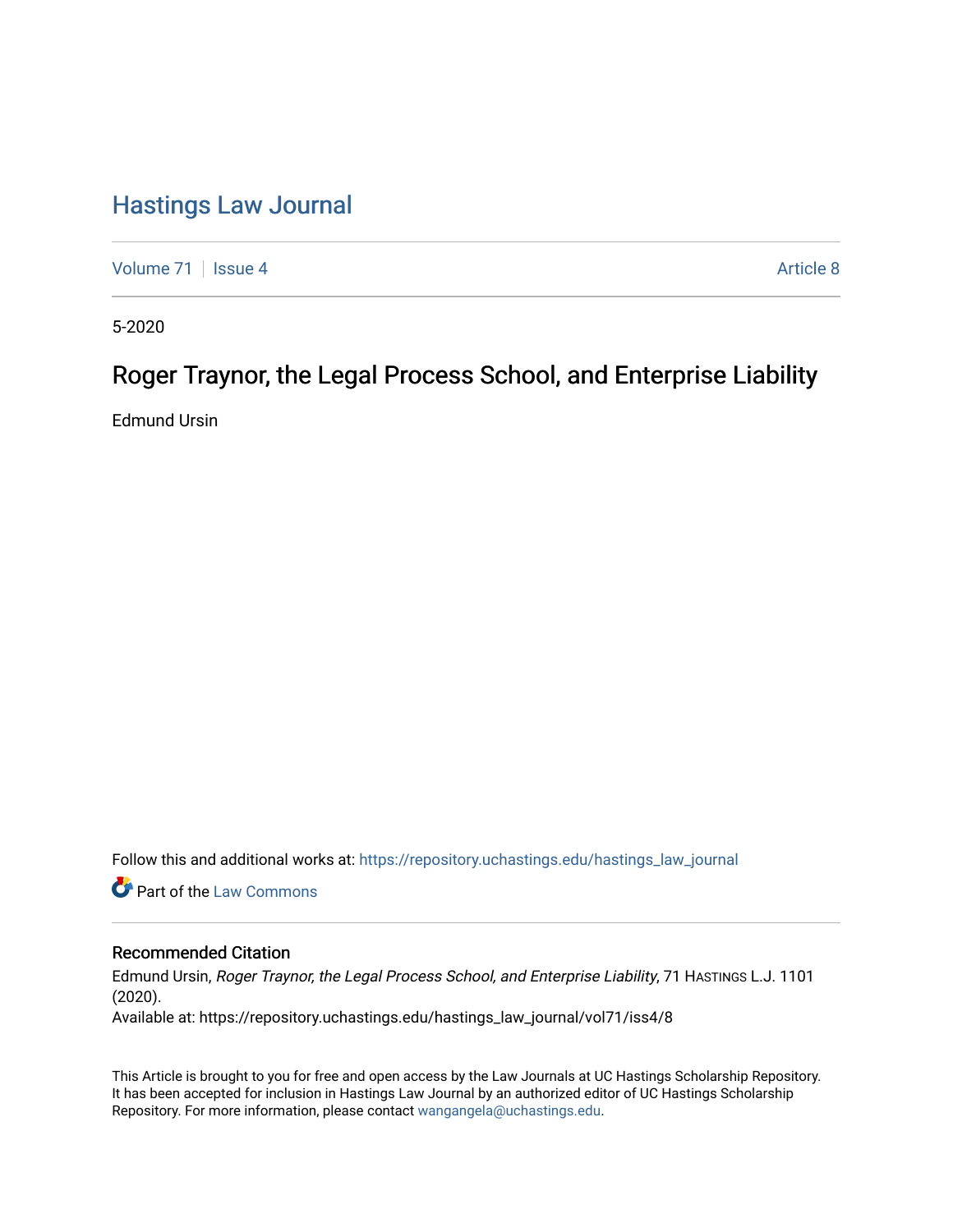# [Hastings Law Journal](https://repository.uchastings.edu/hastings_law_journal)

[Volume 71](https://repository.uchastings.edu/hastings_law_journal/vol71) | [Issue 4](https://repository.uchastings.edu/hastings_law_journal/vol71/iss4) Article 8

5-2020

# Roger Traynor, the Legal Process School, and Enterprise Liability

Edmund Ursin

Follow this and additional works at: [https://repository.uchastings.edu/hastings\\_law\\_journal](https://repository.uchastings.edu/hastings_law_journal?utm_source=repository.uchastings.edu%2Fhastings_law_journal%2Fvol71%2Fiss4%2F8&utm_medium=PDF&utm_campaign=PDFCoverPages) 

**C** Part of the [Law Commons](http://network.bepress.com/hgg/discipline/578?utm_source=repository.uchastings.edu%2Fhastings_law_journal%2Fvol71%2Fiss4%2F8&utm_medium=PDF&utm_campaign=PDFCoverPages)

# Recommended Citation

Edmund Ursin, Roger Traynor, the Legal Process School, and Enterprise Liability, 71 HASTINGS L.J. 1101 (2020).

Available at: https://repository.uchastings.edu/hastings\_law\_journal/vol71/iss4/8

This Article is brought to you for free and open access by the Law Journals at UC Hastings Scholarship Repository. It has been accepted for inclusion in Hastings Law Journal by an authorized editor of UC Hastings Scholarship Repository. For more information, please contact [wangangela@uchastings.edu](mailto:wangangela@uchastings.edu).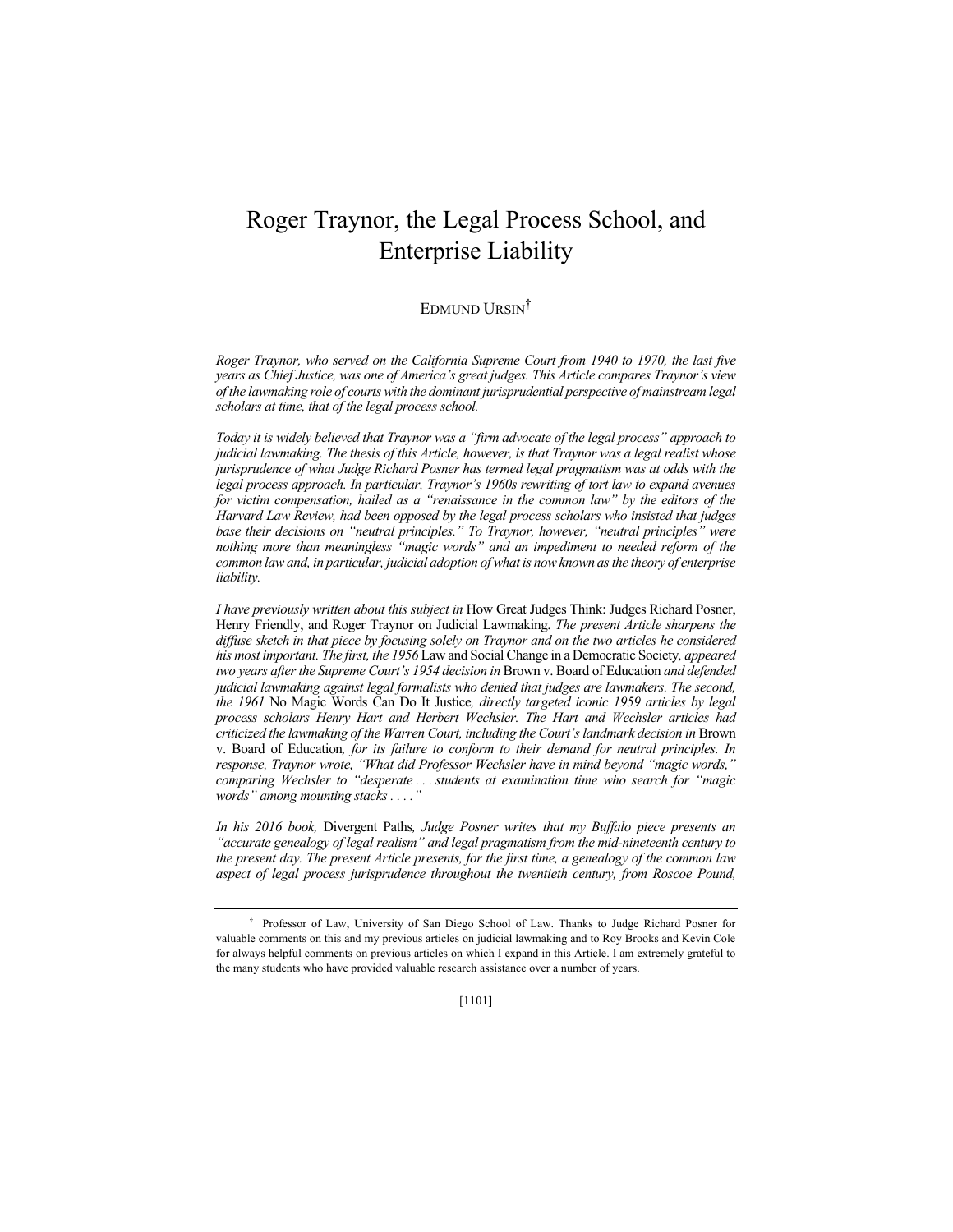# Roger Traynor, the Legal Process School, and Enterprise Liability

#### EDMUND URSIN†

*Roger Traynor, who served on the California Supreme Court from 1940 to 1970, the last five years as Chief Justice, was one of America's great judges. This Article compares Traynor's view of the lawmaking role of courts with the dominant jurisprudential perspective of mainstream legal scholars at time, that of the legal process school.* 

*Today it is widely believed that Traynor was a "firm advocate of the legal process" approach to judicial lawmaking. The thesis of this Article, however, is that Traynor was a legal realist whose jurisprudence of what Judge Richard Posner has termed legal pragmatism was at odds with the legal process approach. In particular, Traynor's 1960s rewriting of tort law to expand avenues for victim compensation, hailed as a "renaissance in the common law" by the editors of the Harvard Law Review, had been opposed by the legal process scholars who insisted that judges base their decisions on "neutral principles." To Traynor, however, "neutral principles" were nothing more than meaningless "magic words" and an impediment to needed reform of the common law and, in particular, judicial adoption of what is now known as the theory of enterprise liability.*

*I have previously written about this subject in* How Great Judges Think: Judges Richard Posner, Henry Friendly, and Roger Traynor on Judicial Lawmaking. *The present Article sharpens the diffuse sketch in that piece by focusing solely on Traynor and on the two articles he considered his most important. The first, the 1956* Law and Social Change in a Democratic Society*, appeared two years after the Supreme Court's 1954 decision in* Brown v. Board of Education *and defended judicial lawmaking against legal formalists who denied that judges are lawmakers. The second, the 1961* No Magic Words Can Do It Justice*, directly targeted iconic 1959 articles by legal process scholars Henry Hart and Herbert Wechsler. The Hart and Wechsler articles had criticized the lawmaking of the Warren Court, including the Court's landmark decision in* Brown v. Board of Education*, for its failure to conform to their demand for neutral principles. In response, Traynor wrote, "What did Professor Wechsler have in mind beyond "magic words," comparing Wechsler to "desperate . . . students at examination time who search for "magic words" among mounting stacks . . . ."*

*In his 2016 book,* Divergent Paths*, Judge Posner writes that my Buffalo piece presents an "accurate genealogy of legal realism" and legal pragmatism from the mid-nineteenth century to the present day. The present Article presents, for the first time, a genealogy of the common law*  aspect of legal process jurisprudence throughout the twentieth century, from Roscoe Pound,

<sup>†</sup> Professor of Law, University of San Diego School of Law. Thanks to Judge Richard Posner for valuable comments on this and my previous articles on judicial lawmaking and to Roy Brooks and Kevin Cole for always helpful comments on previous articles on which I expand in this Article. I am extremely grateful to the many students who have provided valuable research assistance over a number of years.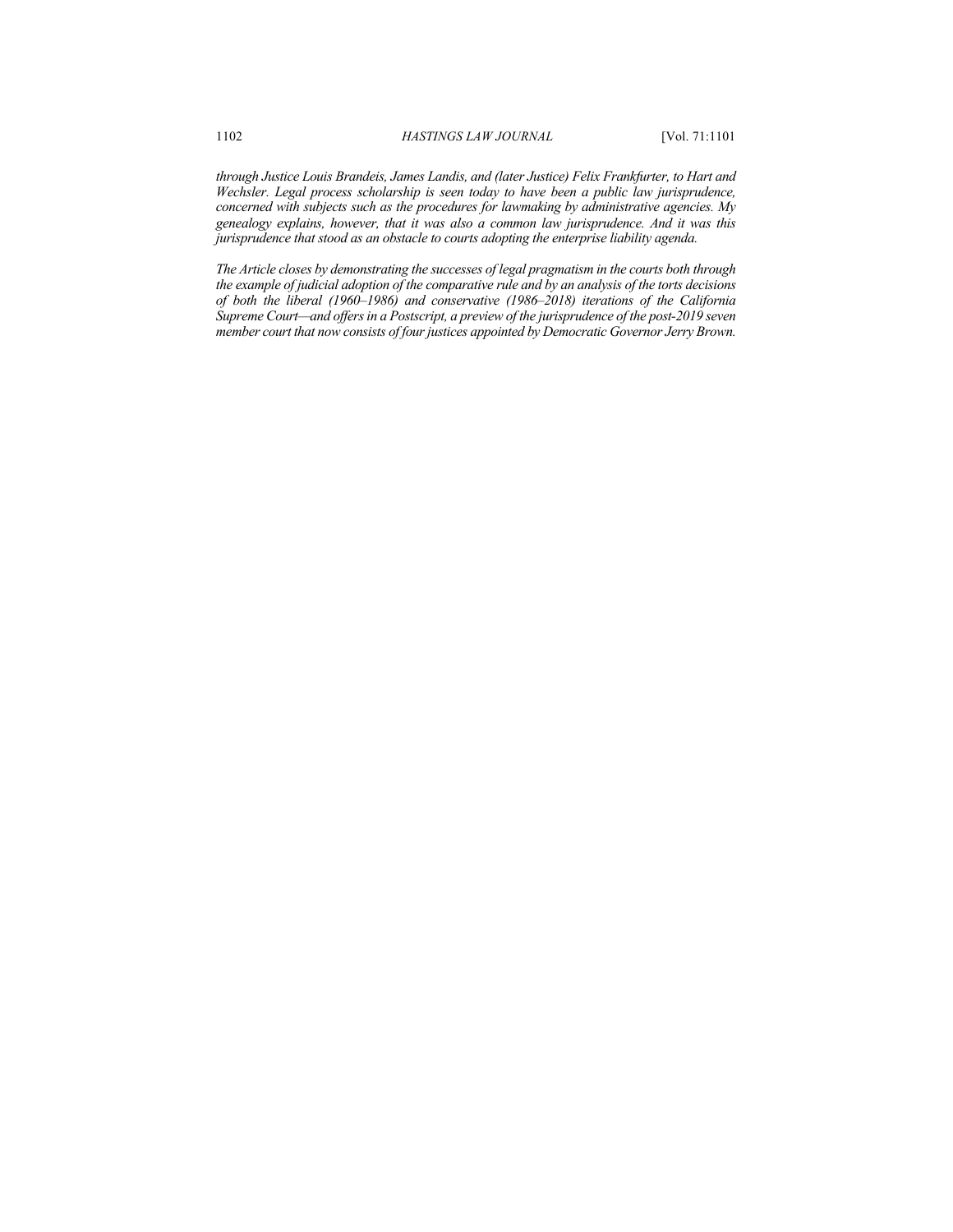*through Justice Louis Brandeis, James Landis, and (later Justice) Felix Frankfurter, to Hart and Wechsler. Legal process scholarship is seen today to have been a public law jurisprudence, concerned with subjects such as the procedures for lawmaking by administrative agencies. My genealogy explains, however, that it was also a common law jurisprudence. And it was this jurisprudence that stood as an obstacle to courts adopting the enterprise liability agenda.*

*The Article closes by demonstrating the successes of legal pragmatism in the courts both through the example of judicial adoption of the comparative rule and by an analysis of the torts decisions of both the liberal (1960–1986) and conservative (1986–2018) iterations of the California Supreme Court—and offersin a Postscript, a preview of the jurisprudence of the post-2019 seven member court that now consists of four justices appointed by Democratic Governor Jerry Brown.*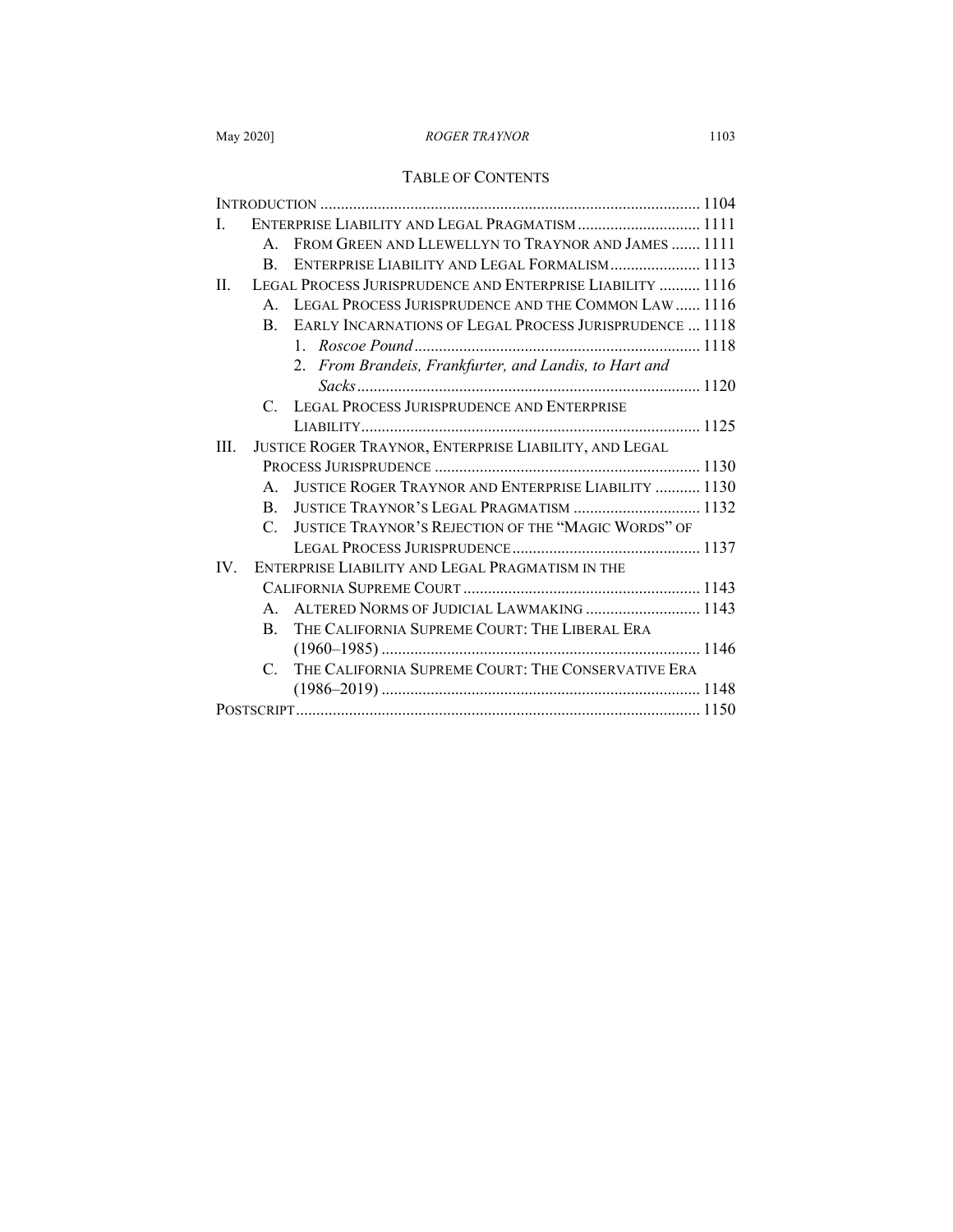# TABLE OF CONTENTS

| ENTERPRISE LIABILITY AND LEGAL PRAGMATISM 1111<br>$\mathbf{L}$         |  |
|------------------------------------------------------------------------|--|
| FROM GREEN AND LLEWELLYN TO TRAYNOR AND JAMES  1111<br>$\mathbf{A}$    |  |
| ENTERPRISE LIABILITY AND LEGAL FORMALISM 1113<br>B.                    |  |
| LEGAL PROCESS JURISPRUDENCE AND ENTERPRISE LIABILITY  1116<br>$\Pi$    |  |
| A. LEGAL PROCESS JURISPRUDENCE AND THE COMMON LAW  1116                |  |
| B. EARLY INCARNATIONS OF LEGAL PROCESS JURISPRUDENCE  1118             |  |
|                                                                        |  |
| 2. From Brandeis, Frankfurter, and Landis, to Hart and                 |  |
|                                                                        |  |
| C. LEGAL PROCESS JURISPRUDENCE AND ENTERPRISE                          |  |
|                                                                        |  |
| JUSTICE ROGER TRAYNOR, ENTERPRISE LIABILITY, AND LEGAL<br>III.         |  |
|                                                                        |  |
| <b>JUSTICE ROGER TRAYNOR AND ENTERPRISE LIABILITY  1130</b><br>$A_{-}$ |  |
| JUSTICE TRAYNOR'S LEGAL PRAGMATISM  1132<br>$\mathbf{B}$               |  |
| JUSTICE TRAYNOR'S REJECTION OF THE "MAGIC WORDS" OF<br>$\mathcal{C}$   |  |
|                                                                        |  |
| ENTERPRISE LIABILITY AND LEGAL PRAGMATISM IN THE<br>IV.                |  |
|                                                                        |  |
| ALTERED NORMS OF JUDICIAL LAWMAKING  1143<br>$\mathbf{A}$              |  |
| THE CALIFORNIA SUPREME COURT: THE LIBERAL ERA<br>$\mathbf{B}$          |  |
|                                                                        |  |
| C. THE CALIFORNIA SUPREME COURT: THE CONSERVATIVE ERA                  |  |
|                                                                        |  |
|                                                                        |  |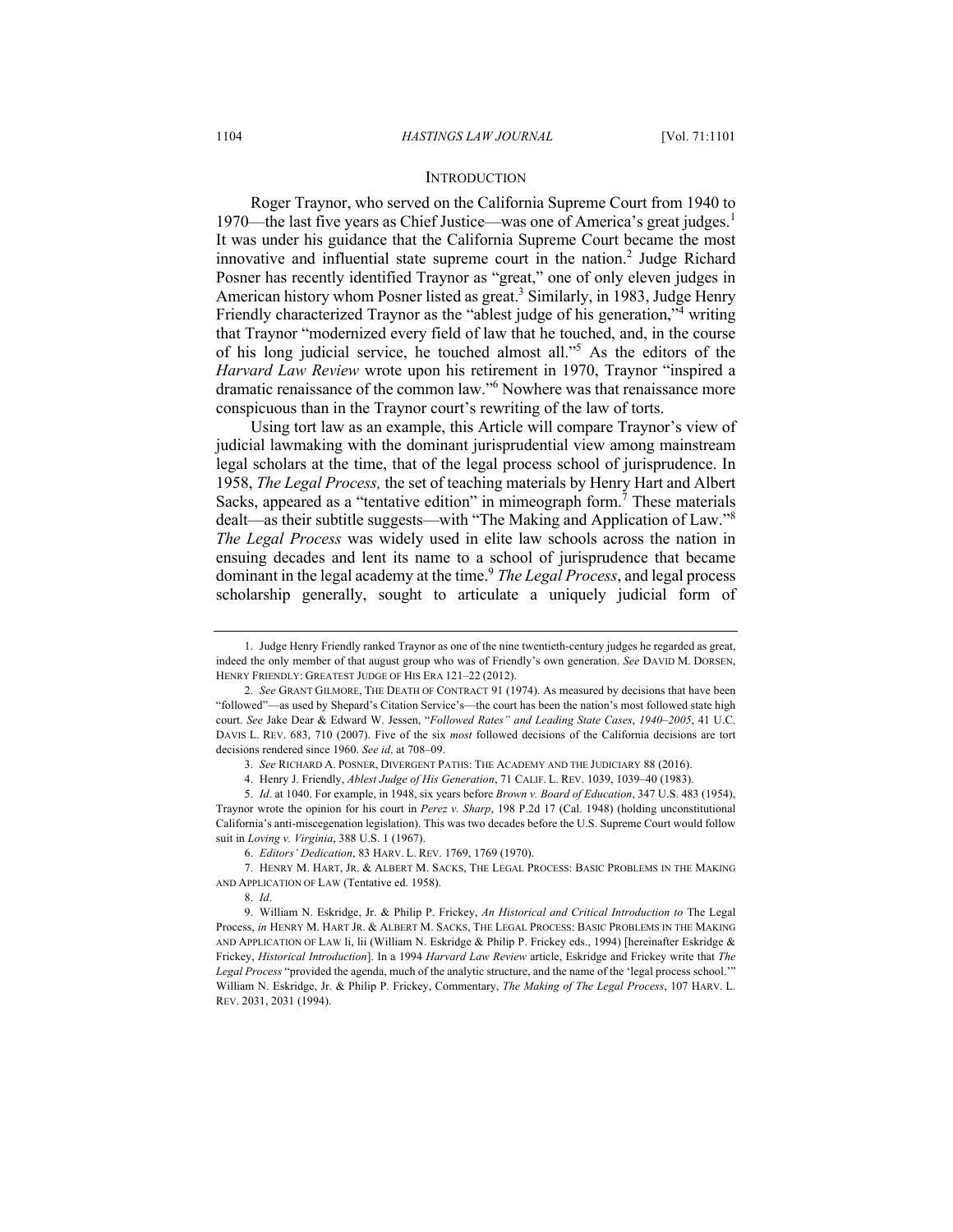### **INTRODUCTION**

Roger Traynor, who served on the California Supreme Court from 1940 to 1970—the last five years as Chief Justice—was one of America's great judges.<sup>1</sup> It was under his guidance that the California Supreme Court became the most innovative and influential state supreme court in the nation.<sup>2</sup> Judge Richard Posner has recently identified Traynor as "great," one of only eleven judges in American history whom Posner listed as great. <sup>3</sup> Similarly, in 1983, Judge Henry Friendly characterized Traynor as the "ablest judge of his generation,"<sup>4</sup> writing that Traynor "modernized every field of law that he touched, and, in the course of his long judicial service, he touched almost all."5 As the editors of the *Harvard Law Review* wrote upon his retirement in 1970, Traynor "inspired a dramatic renaissance of the common law."6 Nowhere was that renaissance more conspicuous than in the Traynor court's rewriting of the law of torts.

Using tort law as an example, this Article will compare Traynor's view of judicial lawmaking with the dominant jurisprudential view among mainstream legal scholars at the time, that of the legal process school of jurisprudence. In 1958, *The Legal Process,* the set of teaching materials by Henry Hart and Albert Sacks, appeared as a "tentative edition" in mimeograph form.<sup>7</sup> These materials dealt—as their subtitle suggests—with "The Making and Application of Law."<sup>8</sup> *The Legal Process* was widely used in elite law schools across the nation in ensuing decades and lent its name to a school of jurisprudence that became dominant in the legal academy at the time.9 *The Legal Process*, and legal process scholarship generally, sought to articulate a uniquely judicial form of

5. *Id*. at 1040. For example, in 1948, six years before *Brown v. Board of Education*, 347 U.S. 483 (1954), Traynor wrote the opinion for his court in *Perez v. Sharp*, 198 P.2d 17 (Cal. 1948) (holding unconstitutional California's anti-miscegenation legislation). This was two decades before the U.S. Supreme Court would follow suit in *Loving v. Virginia*, 388 U.S. 1 (1967).

7. HENRY M. HART, JR. & ALBERT M. SACKS, THE LEGAL PROCESS: BASIC PROBLEMS IN THE MAKING AND APPLICATION OF LAW (Tentative ed. 1958).

8. *Id*.

9. William N. Eskridge, Jr. & Philip P. Frickey, *An Historical and Critical Introduction to* The Legal Process, *in* HENRY M. HART JR. & ALBERT M. SACKS, THE LEGAL PROCESS: BASIC PROBLEMS IN THE MAKING AND APPLICATION OF LAW li, lii (William N. Eskridge & Philip P. Frickey eds., 1994) [hereinafter Eskridge & Frickey, *Historical Introduction*]. In a 1994 *Harvard Law Review* article, Eskridge and Frickey write that *The Legal Process* "provided the agenda, much of the analytic structure, and the name of the 'legal process school.'" William N. Eskridge, Jr. & Philip P. Frickey, Commentary, *The Making of The Legal Process*, 107 HARV. L. REV. 2031, 2031 (1994).

<sup>1.</sup> Judge Henry Friendly ranked Traynor as one of the nine twentieth-century judges he regarded as great, indeed the only member of that august group who was of Friendly's own generation. *See* DAVID M. DORSEN, HENRY FRIENDLY: GREATEST JUDGE OF HIS ERA 121–22 (2012).

<sup>2.</sup> *See* GRANT GILMORE, THE DEATH OF CONTRACT 91 (1974). As measured by decisions that have been "followed"—as used by Shepard's Citation Service's—the court has been the nation's most followed state high court. *See* Jake Dear & Edward W. Jessen, "*Followed Rates" and Leading State Cases*, *1940–2005*, 41 U.C. DAVIS L. REV. 683, 710 (2007). Five of the six *most* followed decisions of the California decisions are tort decisions rendered since 1960. *See id*. at 708–09.

<sup>3.</sup> *See* RICHARD A. POSNER, DIVERGENT PATHS: THE ACADEMY AND THE JUDICIARY 88 (2016).

<sup>4.</sup> Henry J. Friendly, *Ablest Judge of His Generation*, 71 CALIF. L. REV. 1039, 1039–40 (1983).

<sup>6.</sup> *Editors' Dedication*, 83 HARV. L. REV. 1769, 1769 (1970).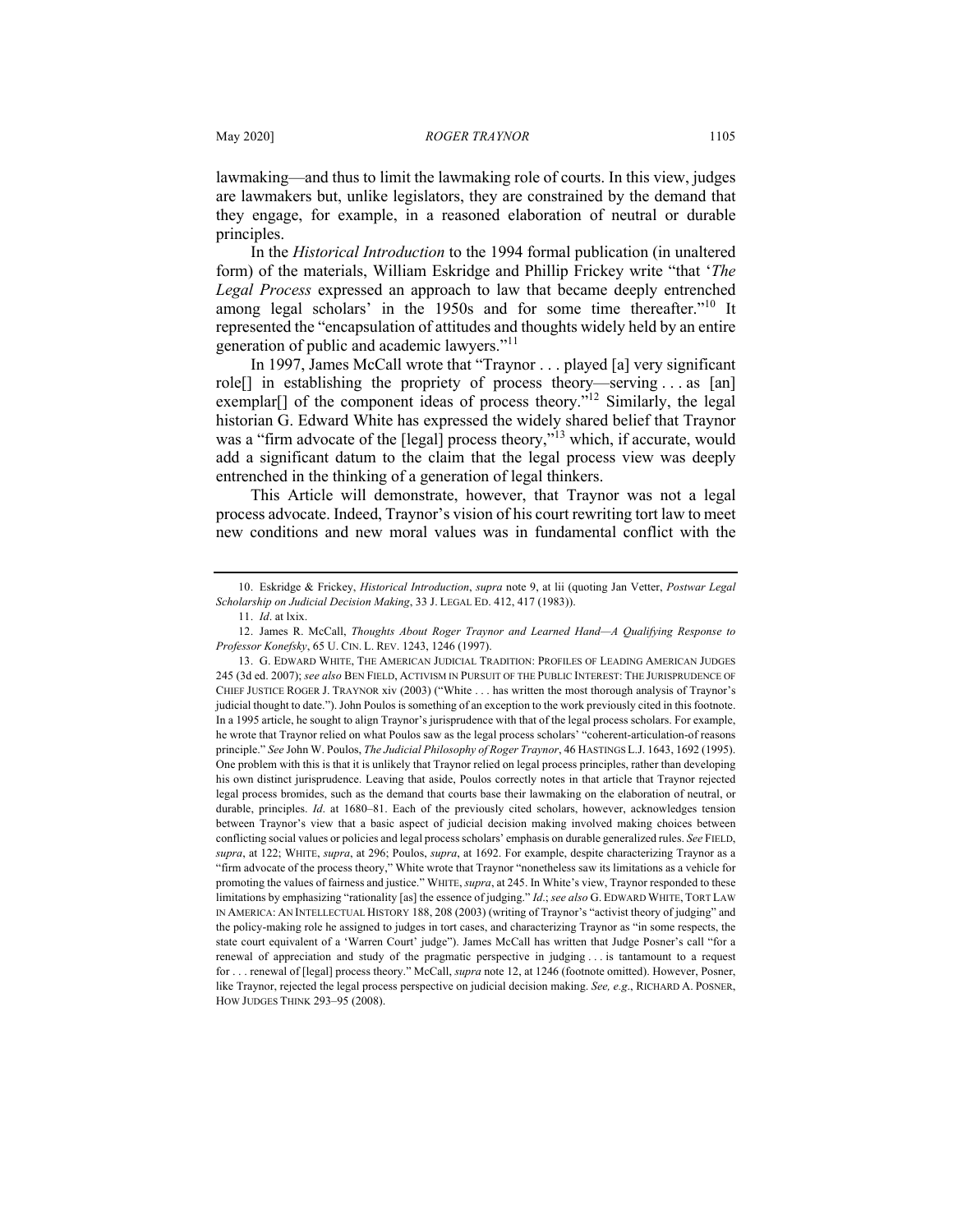lawmaking—and thus to limit the lawmaking role of courts. In this view, judges are lawmakers but, unlike legislators, they are constrained by the demand that they engage, for example, in a reasoned elaboration of neutral or durable principles.

In the *Historical Introduction* to the 1994 formal publication (in unaltered form) of the materials, William Eskridge and Phillip Frickey write "that '*The Legal Process* expressed an approach to law that became deeply entrenched among legal scholars' in the 1950s and for some time thereafter."<sup>10</sup> It represented the "encapsulation of attitudes and thoughts widely held by an entire generation of public and academic lawyers."<sup>11</sup>

In 1997, James McCall wrote that "Traynor . . . played [a] very significant role[] in establishing the propriety of process theory—serving . . . as [an] exemplar[] of the component ideas of process theory."<sup>12</sup> Similarly, the legal historian G. Edward White has expressed the widely shared belief that Traynor was a "firm advocate of the [legal] process theory,"<sup>13</sup> which, if accurate, would add a significant datum to the claim that the legal process view was deeply entrenched in the thinking of a generation of legal thinkers.

This Article will demonstrate, however, that Traynor was not a legal process advocate. Indeed, Traynor's vision of his court rewriting tort law to meet new conditions and new moral values was in fundamental conflict with the

<sup>10.</sup> Eskridge & Frickey, *Historical Introduction*, *supra* note 9, at lii (quoting Jan Vetter, *Postwar Legal Scholarship on Judicial Decision Making*, 33 J. LEGAL ED. 412, 417 (1983)).

<sup>11.</sup> *Id*. at lxix.

<sup>12.</sup> James R. McCall, *Thoughts About Roger Traynor and Learned Hand—A Qualifying Response to Professor Konefsky*, 65 U. CIN. L. REV. 1243, 1246 (1997).

<sup>13.</sup> G. EDWARD WHITE, THE AMERICAN JUDICIAL TRADITION: PROFILES OF LEADING AMERICAN JUDGES 245 (3d ed. 2007); *see also* BEN FIELD, ACTIVISM IN PURSUIT OF THE PUBLIC INTEREST: THE JURISPRUDENCE OF CHIEF JUSTICE ROGER J. TRAYNOR xiv (2003) ("White . . . has written the most thorough analysis of Traynor's judicial thought to date."). John Poulos is something of an exception to the work previously cited in this footnote. In a 1995 article, he sought to align Traynor's jurisprudence with that of the legal process scholars. For example, he wrote that Traynor relied on what Poulos saw as the legal process scholars' "coherent-articulation-of reasons principle." *See* John W. Poulos, *The Judicial Philosophy of Roger Traynor*, 46 HASTINGS L.J. 1643, 1692 (1995). One problem with this is that it is unlikely that Traynor relied on legal process principles, rather than developing his own distinct jurisprudence. Leaving that aside, Poulos correctly notes in that article that Traynor rejected legal process bromides, such as the demand that courts base their lawmaking on the elaboration of neutral, or durable, principles. *Id*. at 1680–81. Each of the previously cited scholars, however, acknowledges tension between Traynor's view that a basic aspect of judicial decision making involved making choices between conflicting social values or policies and legal process scholars' emphasis on durable generalized rules. *See* FIELD, *supra*, at 122; WHITE, *supra*, at 296; Poulos, *supra*, at 1692. For example, despite characterizing Traynor as a "firm advocate of the process theory," White wrote that Traynor "nonetheless saw its limitations as a vehicle for promoting the values of fairness and justice." WHITE, *supra*, at 245. In White's view, Traynor responded to these limitations by emphasizing "rationality [as] the essence of judging." *Id*.; *see also* G. EDWARD WHITE, TORT LAW IN AMERICA: AN INTELLECTUAL HISTORY 188, 208 (2003) (writing of Traynor's "activist theory of judging" and the policy-making role he assigned to judges in tort cases, and characterizing Traynor as "in some respects, the state court equivalent of a 'Warren Court' judge"). James McCall has written that Judge Posner's call "for a renewal of appreciation and study of the pragmatic perspective in judging . . . is tantamount to a request for . . . renewal of [legal] process theory." McCall, *supra* note 12, at 1246 (footnote omitted). However, Posner, like Traynor, rejected the legal process perspective on judicial decision making. *See, e.g*., RICHARD A. POSNER, HOW JUDGES THINK 293–95 (2008).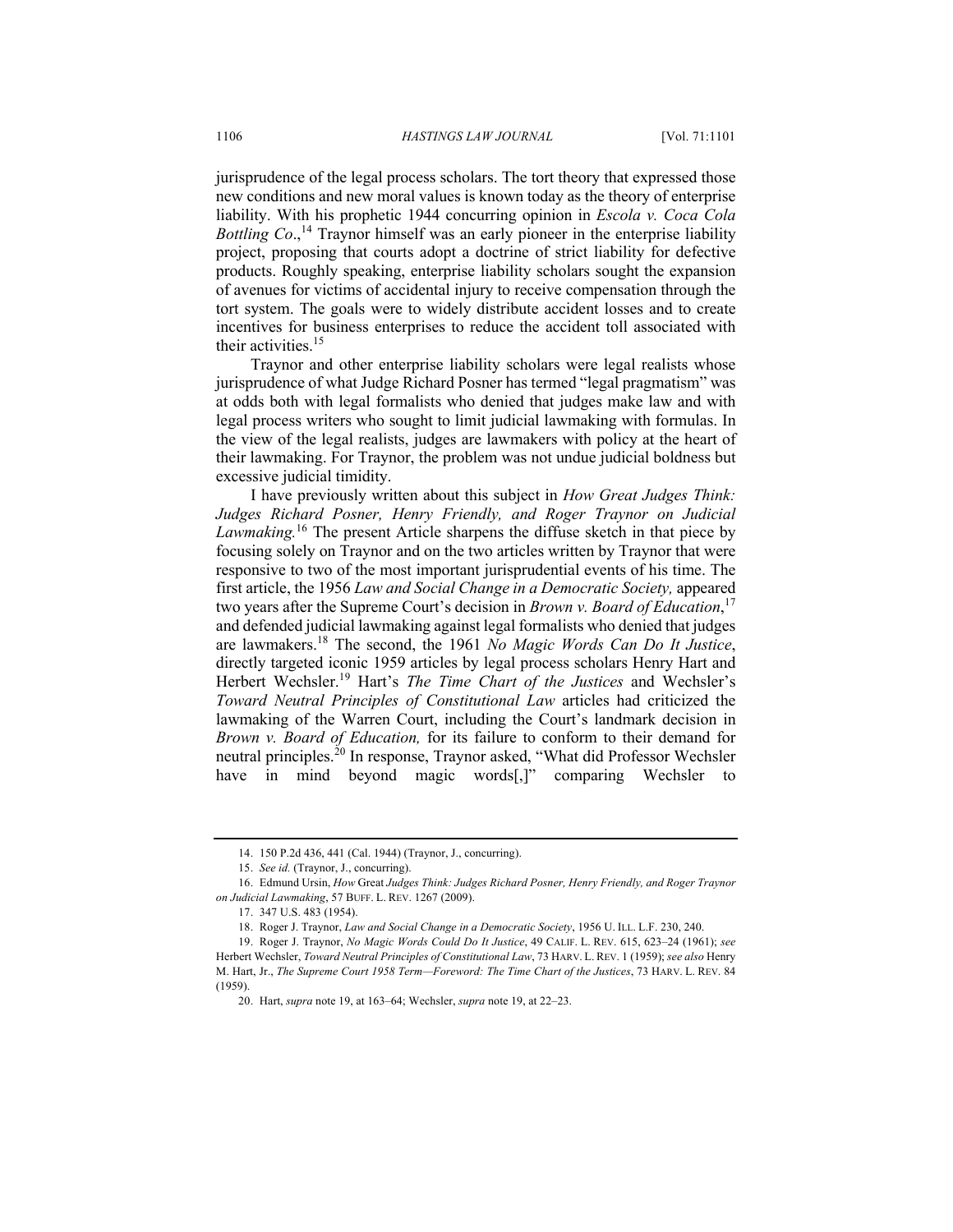jurisprudence of the legal process scholars. The tort theory that expressed those new conditions and new moral values is known today as the theory of enterprise liability. With his prophetic 1944 concurring opinion in *Escola v. Coca Cola Bottling Co.*,<sup>14</sup> Traynor himself was an early pioneer in the enterprise liability project, proposing that courts adopt a doctrine of strict liability for defective products. Roughly speaking, enterprise liability scholars sought the expansion of avenues for victims of accidental injury to receive compensation through the tort system. The goals were to widely distribute accident losses and to create incentives for business enterprises to reduce the accident toll associated with their activities.<sup>15</sup>

Traynor and other enterprise liability scholars were legal realists whose jurisprudence of what Judge Richard Posner has termed "legal pragmatism" was at odds both with legal formalists who denied that judges make law and with legal process writers who sought to limit judicial lawmaking with formulas. In the view of the legal realists, judges are lawmakers with policy at the heart of their lawmaking. For Traynor, the problem was not undue judicial boldness but excessive judicial timidity.

I have previously written about this subject in *How Great Judges Think: Judges Richard Posner, Henry Friendly, and Roger Traynor on Judicial*  Lawmaking.<sup>16</sup> The present Article sharpens the diffuse sketch in that piece by focusing solely on Traynor and on the two articles written by Traynor that were responsive to two of the most important jurisprudential events of his time. The first article, the 1956 *Law and Social Change in a Democratic Society,* appeared two years after the Supreme Court's decision in *Brown v. Board of Education*, 17 and defended judicial lawmaking against legal formalists who denied that judges are lawmakers.<sup>18</sup> The second, the 1961 *No Magic Words Can Do It Justice*, directly targeted iconic 1959 articles by legal process scholars Henry Hart and Herbert Wechsler.<sup>19</sup> Hart's *The Time Chart of the Justices* and Wechsler's *Toward Neutral Principles of Constitutional Law* articles had criticized the lawmaking of the Warren Court, including the Court's landmark decision in *Brown v. Board of Education,* for its failure to conform to their demand for neutral principles.<sup>20</sup> In response, Traynor asked, "What did Professor Wechsler have in mind beyond magic words[,]" comparing Wechsler to

<sup>14.</sup> 150 P.2d 436, 441 (Cal. 1944) (Traynor, J., concurring).

<sup>15.</sup> *See id.* (Traynor, J., concurring).

<sup>16.</sup> Edmund Ursin, *How* Great *Judges Think: Judges Richard Posner, Henry Friendly, and Roger Traynor on Judicial Lawmaking*, 57 BUFF. L. REV. 1267 (2009).

<sup>17.</sup> 347 U.S. 483 (1954).

<sup>18.</sup> Roger J. Traynor, *Law and Social Change in a Democratic Society*, 1956 U. ILL. L.F. 230, 240.

<sup>19.</sup> Roger J. Traynor, *No Magic Words Could Do It Justice*, 49 CALIF. L. REV. 615, 623–24 (1961); *see* Herbert Wechsler, *Toward Neutral Principles of Constitutional Law*, 73 HARV. L. REV. 1 (1959); *see also* Henry M. Hart, Jr., *The Supreme Court 1958 Term—Foreword: The Time Chart of the Justices*, 73 HARV. L. REV. 84 (1959).

<sup>20.</sup> Hart, *supra* note 19, at 163–64; Wechsler, *supra* note 19, at 22–23.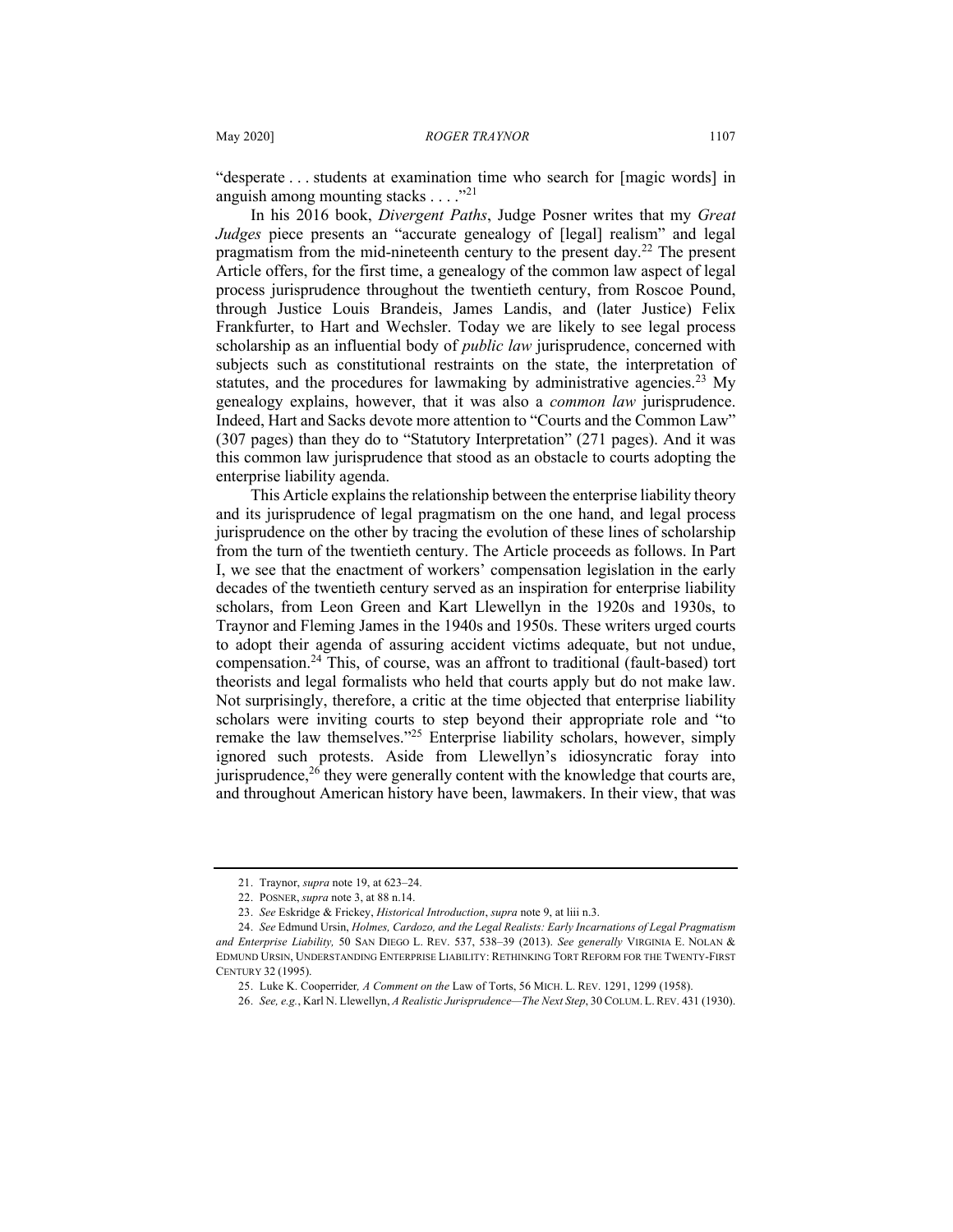"desperate . . . students at examination time who search for [magic words] in anguish among mounting stacks  $\ldots$ ."<sup>21</sup>

In his 2016 book, *Divergent Paths*, Judge Posner writes that my *Great Judges* piece presents an "accurate genealogy of [legal] realism" and legal pragmatism from the mid-nineteenth century to the present day.<sup>22</sup> The present Article offers, for the first time, a genealogy of the common law aspect of legal process jurisprudence throughout the twentieth century, from Roscoe Pound, through Justice Louis Brandeis, James Landis, and (later Justice) Felix Frankfurter, to Hart and Wechsler. Today we are likely to see legal process scholarship as an influential body of *public law* jurisprudence, concerned with subjects such as constitutional restraints on the state, the interpretation of statutes, and the procedures for lawmaking by administrative agencies.<sup>23</sup> My genealogy explains, however, that it was also a *common law* jurisprudence. Indeed, Hart and Sacks devote more attention to "Courts and the Common Law" (307 pages) than they do to "Statutory Interpretation" (271 pages). And it was this common law jurisprudence that stood as an obstacle to courts adopting the enterprise liability agenda.

This Article explains the relationship between the enterprise liability theory and its jurisprudence of legal pragmatism on the one hand, and legal process jurisprudence on the other by tracing the evolution of these lines of scholarship from the turn of the twentieth century. The Article proceeds as follows. In Part I, we see that the enactment of workers' compensation legislation in the early decades of the twentieth century served as an inspiration for enterprise liability scholars, from Leon Green and Kart Llewellyn in the 1920s and 1930s, to Traynor and Fleming James in the 1940s and 1950s. These writers urged courts to adopt their agenda of assuring accident victims adequate, but not undue, compensation.<sup>24</sup> This, of course, was an affront to traditional (fault-based) tort theorists and legal formalists who held that courts apply but do not make law. Not surprisingly, therefore, a critic at the time objected that enterprise liability scholars were inviting courts to step beyond their appropriate role and "to remake the law themselves."<sup>25</sup> Enterprise liability scholars, however, simply ignored such protests. Aside from Llewellyn's idiosyncratic foray into jurisprudence,<sup>26</sup> they were generally content with the knowledge that courts are, and throughout American history have been, lawmakers. In their view, that was

<sup>21.</sup> Traynor, *supra* note 19, at 623–24.

<sup>22.</sup> POSNER, *supra* note 3, at 88 n.14.

<sup>23.</sup> *See* Eskridge & Frickey, *Historical Introduction*, *supra* note 9, at liii n.3.

<sup>24.</sup> *See* Edmund Ursin, *Holmes, Cardozo, and the Legal Realists: Early Incarnations of Legal Pragmatism and Enterprise Liability,* 50 SAN DIEGO L. REV. 537, 538–39 (2013). *See generally* VIRGINIA E. NOLAN & EDMUND URSIN, UNDERSTANDING ENTERPRISE LIABILITY: RETHINKING TORT REFORM FOR THE TWENTY-FIRST CENTURY 32 (1995).

<sup>25.</sup> Luke K. Cooperrider*, A Comment on the* Law of Torts, 56 MICH. L. REV. 1291, 1299 (1958).

<sup>26.</sup> *See, e.g.*, Karl N. Llewellyn, *A Realistic Jurisprudence—The Next Step*, 30 COLUM. L.REV. 431 (1930).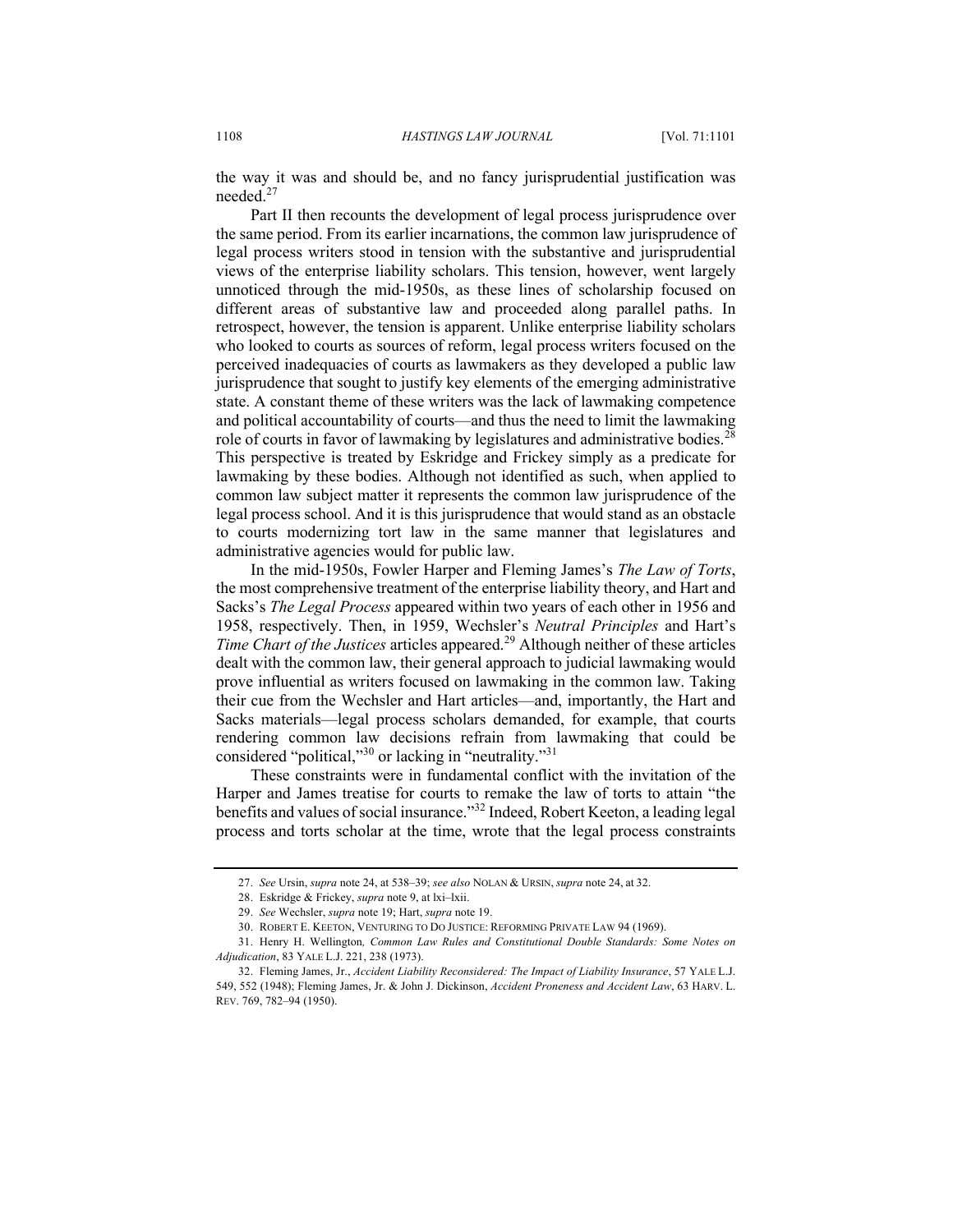the way it was and should be, and no fancy jurisprudential justification was needed.<sup>27</sup>

Part II then recounts the development of legal process jurisprudence over the same period. From its earlier incarnations, the common law jurisprudence of legal process writers stood in tension with the substantive and jurisprudential views of the enterprise liability scholars. This tension, however, went largely unnoticed through the mid-1950s, as these lines of scholarship focused on different areas of substantive law and proceeded along parallel paths. In retrospect, however, the tension is apparent. Unlike enterprise liability scholars who looked to courts as sources of reform, legal process writers focused on the perceived inadequacies of courts as lawmakers as they developed a public law jurisprudence that sought to justify key elements of the emerging administrative state. A constant theme of these writers was the lack of lawmaking competence and political accountability of courts—and thus the need to limit the lawmaking role of courts in favor of lawmaking by legislatures and administrative bodies.<sup>28</sup> This perspective is treated by Eskridge and Frickey simply as a predicate for lawmaking by these bodies. Although not identified as such, when applied to common law subject matter it represents the common law jurisprudence of the legal process school. And it is this jurisprudence that would stand as an obstacle to courts modernizing tort law in the same manner that legislatures and administrative agencies would for public law.

In the mid-1950s, Fowler Harper and Fleming James's *The Law of Torts*, the most comprehensive treatment of the enterprise liability theory, and Hart and Sacks's *The Legal Process* appeared within two years of each other in 1956 and 1958, respectively. Then, in 1959, Wechsler's *Neutral Principles* and Hart's *Time Chart of the Justices* articles appeared.<sup>29</sup> Although neither of these articles dealt with the common law, their general approach to judicial lawmaking would prove influential as writers focused on lawmaking in the common law. Taking their cue from the Wechsler and Hart articles—and, importantly, the Hart and Sacks materials—legal process scholars demanded, for example, that courts rendering common law decisions refrain from lawmaking that could be considered "political,"<sup>30</sup> or lacking in "neutrality."<sup>31</sup>

These constraints were in fundamental conflict with the invitation of the Harper and James treatise for courts to remake the law of torts to attain "the benefits and values of social insurance."<sup>32</sup> Indeed, Robert Keeton, a leading legal process and torts scholar at the time, wrote that the legal process constraints

<sup>27.</sup> *See* Ursin, *supra* note 24, at 538–39; *see also* NOLAN & URSIN, *supra* note 24, at 32.

<sup>28.</sup> Eskridge & Frickey, *supra* note 9, at lxi–lxii.

<sup>29.</sup> *See* Wechsler, *supra* note 19; Hart, *supra* note 19.

<sup>30.</sup> ROBERT E. KEETON, VENTURING TO DO JUSTICE: REFORMING PRIVATE LAW 94 (1969).

<sup>31.</sup> Henry H. Wellington*, Common Law Rules and Constitutional Double Standards: Some Notes on Adjudication*, 83 YALE L.J. 221, 238 (1973).

<sup>32.</sup> Fleming James, Jr., *Accident Liability Reconsidered: The Impact of Liability Insurance*, 57 YALE L.J. 549, 552 (1948); Fleming James, Jr. & John J. Dickinson, *Accident Proneness and Accident Law*, 63 HARV. L. REV. 769, 782–94 (1950).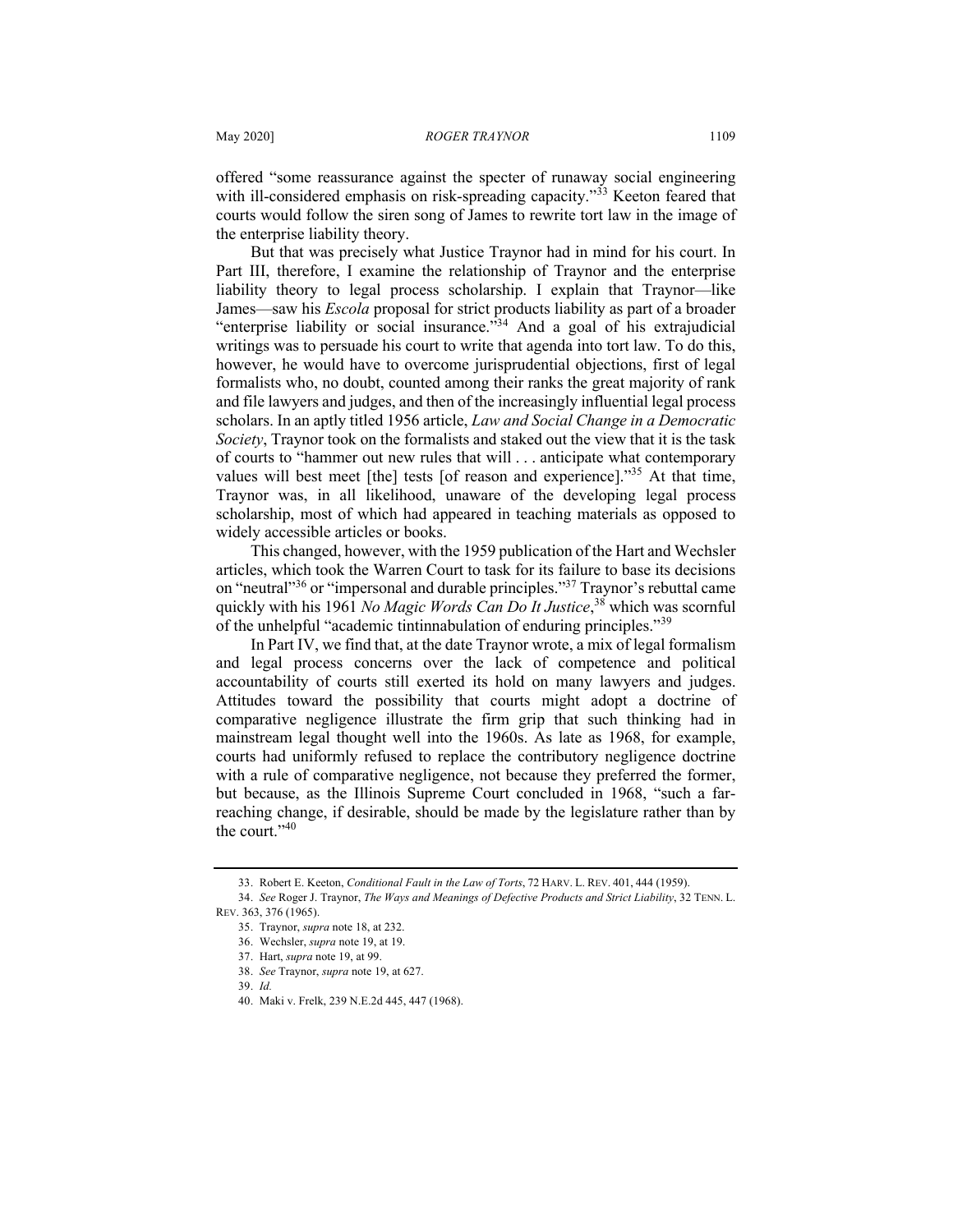offered "some reassurance against the specter of runaway social engineering with ill-considered emphasis on risk-spreading capacity."<sup>33</sup> Keeton feared that courts would follow the siren song of James to rewrite tort law in the image of the enterprise liability theory.

But that was precisely what Justice Traynor had in mind for his court. In Part III, therefore, I examine the relationship of Traynor and the enterprise liability theory to legal process scholarship. I explain that Traynor—like James—saw his *Escola* proposal for strict products liability as part of a broader "enterprise liability or social insurance."<sup>34</sup> And a goal of his extrajudicial writings was to persuade his court to write that agenda into tort law. To do this, however, he would have to overcome jurisprudential objections, first of legal formalists who, no doubt, counted among their ranks the great majority of rank and file lawyers and judges, and then of the increasingly influential legal process scholars. In an aptly titled 1956 article, *Law and Social Change in a Democratic Society*, Traynor took on the formalists and staked out the view that it is the task of courts to "hammer out new rules that will . . . anticipate what contemporary values will best meet [the] tests [of reason and experience]."<sup>35</sup> At that time, Traynor was, in all likelihood, unaware of the developing legal process scholarship, most of which had appeared in teaching materials as opposed to widely accessible articles or books.

This changed, however, with the 1959 publication of the Hart and Wechsler articles, which took the Warren Court to task for its failure to base its decisions on "neutral"<sup>36</sup> or "impersonal and durable principles."<sup>37</sup> Traynor's rebuttal came quickly with his 1961 *No Magic Words Can Do It Justice*, <sup>38</sup> which was scornful of the unhelpful "academic tintinnabulation of enduring principles."<sup>39</sup>

In Part IV, we find that, at the date Traynor wrote, a mix of legal formalism and legal process concerns over the lack of competence and political accountability of courts still exerted its hold on many lawyers and judges. Attitudes toward the possibility that courts might adopt a doctrine of comparative negligence illustrate the firm grip that such thinking had in mainstream legal thought well into the 1960s. As late as 1968, for example, courts had uniformly refused to replace the contributory negligence doctrine with a rule of comparative negligence, not because they preferred the former, but because, as the Illinois Supreme Court concluded in 1968, "such a farreaching change, if desirable, should be made by the legislature rather than by the court."<sup>40</sup>

<sup>33.</sup> Robert E. Keeton, *Conditional Fault in the Law of Torts*, 72 HARV. L. REV. 401, 444 (1959).

<sup>34.</sup> *See* Roger J. Traynor, *The Ways and Meanings of Defective Products and Strict Liability*, 32 TENN. L. REV. 363, 376 (1965).

<sup>35.</sup> Traynor, *supra* note 18, at 232.

<sup>36.</sup> Wechsler, *supra* note 19, at 19.

<sup>37.</sup> Hart, *supra* note 19, at 99.

<sup>38.</sup> *See* Traynor, *supra* note 19, at 627.

<sup>39.</sup> *Id.*

<sup>40.</sup> Maki v. Frelk, 239 N.E.2d 445, 447 (1968).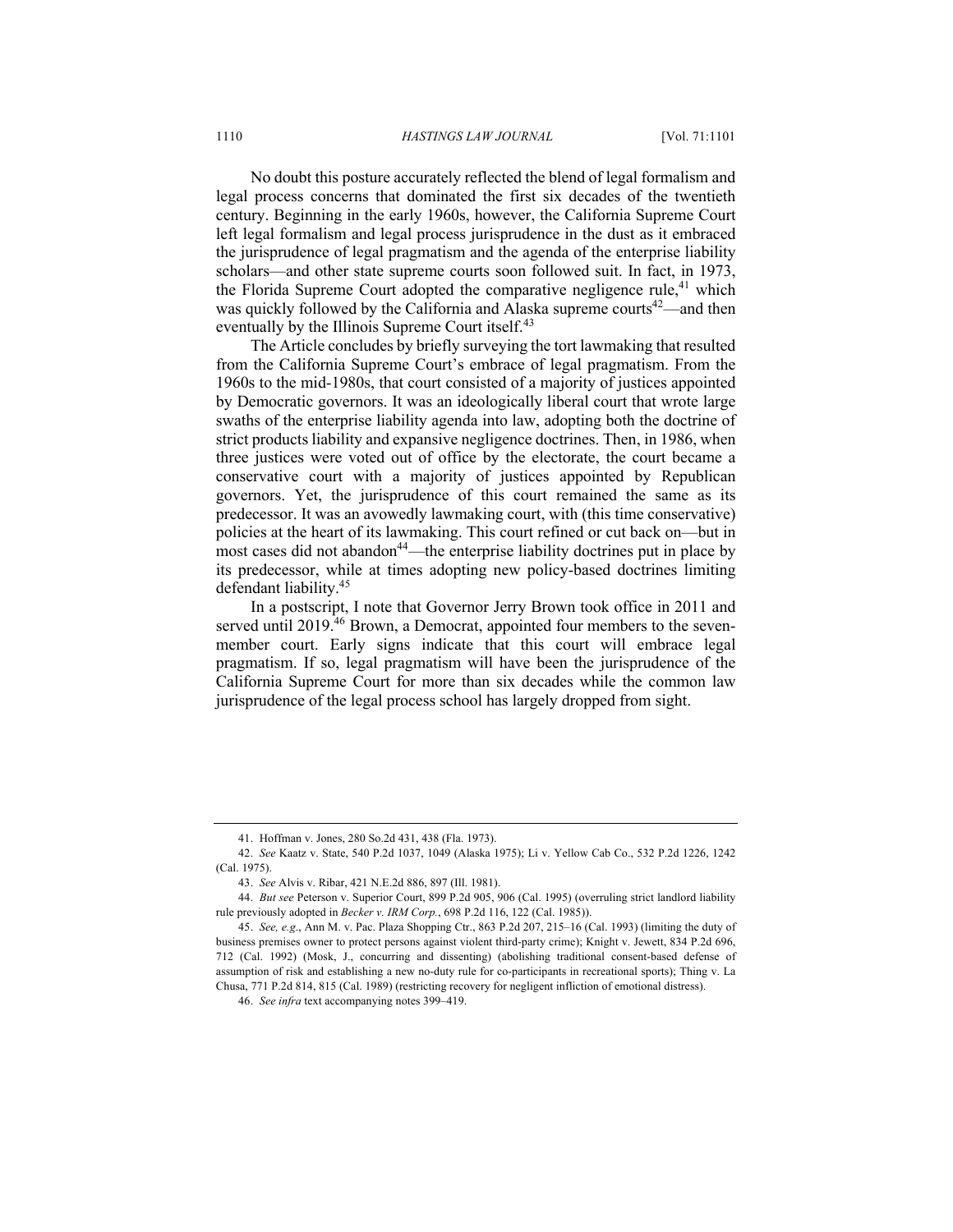No doubt this posture accurately reflected the blend of legal formalism and legal process concerns that dominated the first six decades of the twentieth century. Beginning in the early 1960s, however, the California Supreme Court left legal formalism and legal process jurisprudence in the dust as it embraced the jurisprudence of legal pragmatism and the agenda of the enterprise liability scholars—and other state supreme courts soon followed suit. In fact, in 1973, the Florida Supreme Court adopted the comparative negligence rule,<sup>41</sup> which was quickly followed by the California and Alaska supreme courts<sup>42</sup>—and then eventually by the Illinois Supreme Court itself.<sup>43</sup>

The Article concludes by briefly surveying the tort lawmaking that resulted from the California Supreme Court's embrace of legal pragmatism. From the 1960s to the mid-1980s, that court consisted of a majority of justices appointed by Democratic governors. It was an ideologically liberal court that wrote large swaths of the enterprise liability agenda into law, adopting both the doctrine of strict products liability and expansive negligence doctrines. Then, in 1986, when three justices were voted out of office by the electorate, the court became a conservative court with a majority of justices appointed by Republican governors. Yet, the jurisprudence of this court remained the same as its predecessor. It was an avowedly lawmaking court, with (this time conservative) policies at the heart of its lawmaking. This court refined or cut back on—but in most cases did not abandon<sup>44</sup>—the enterprise liability doctrines put in place by its predecessor, while at times adopting new policy-based doctrines limiting defendant liability.45

In a postscript, I note that Governor Jerry Brown took office in 2011 and served until 2019.<sup>46</sup> Brown, a Democrat, appointed four members to the sevenmember court. Early signs indicate that this court will embrace legal pragmatism. If so, legal pragmatism will have been the jurisprudence of the California Supreme Court for more than six decades while the common law jurisprudence of the legal process school has largely dropped from sight.

<sup>41.</sup> Hoffman v. Jones, 280 So.2d 431, 438 (Fla. 1973).

<sup>42.</sup> *See* Kaatz v. State, 540 P.2d 1037, 1049 (Alaska 1975); Li v. Yellow Cab Co., 532 P.2d 1226, 1242 (Cal. 1975).

<sup>43.</sup> *See* Alvis v. Ribar, 421 N.E.2d 886, 897 (Ill. 1981).

<sup>44.</sup> *But see* Peterson v. Superior Court, 899 P.2d 905, 906 (Cal. 1995) (overruling strict landlord liability rule previously adopted in *Becker v. IRM Corp.*, 698 P.2d 116, 122 (Cal. 1985)).

<sup>45.</sup> *See, e.g*., Ann M. v. Pac. Plaza Shopping Ctr., 863 P.2d 207, 215–16 (Cal. 1993) (limiting the duty of business premises owner to protect persons against violent third-party crime); Knight v. Jewett, 834 P.2d 696, 712 (Cal. 1992) (Mosk, J., concurring and dissenting) (abolishing traditional consent-based defense of assumption of risk and establishing a new no-duty rule for co-participants in recreational sports); Thing v. La Chusa, 771 P.2d 814, 815 (Cal. 1989) (restricting recovery for negligent infliction of emotional distress).

<sup>46.</sup> *See infra* text accompanying notes 399–419.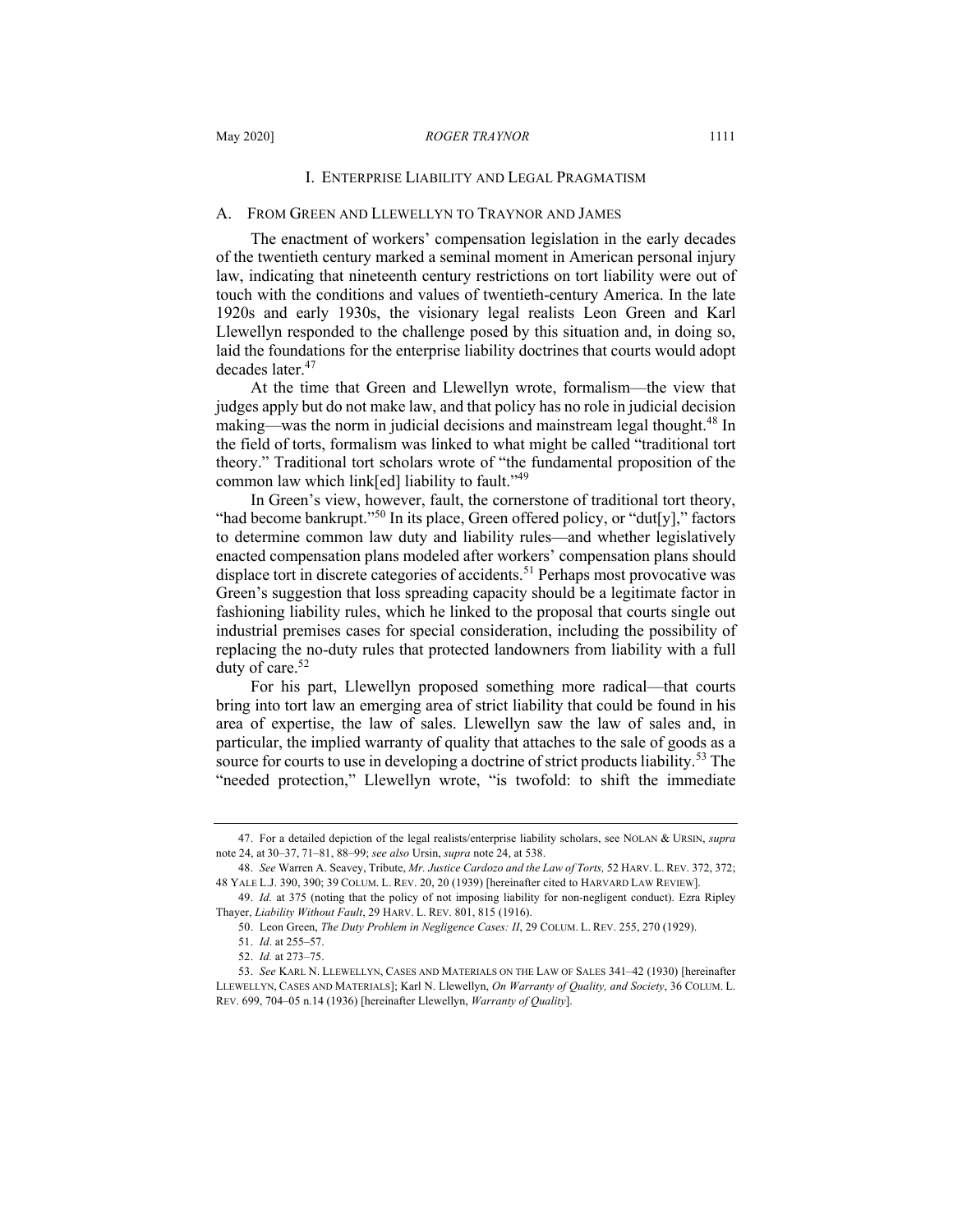#### I. ENTERPRISE LIABILITY AND LEGAL PRAGMATISM

### A. FROM GREEN AND LLEWELLYN TO TRAYNOR AND JAMES

The enactment of workers' compensation legislation in the early decades of the twentieth century marked a seminal moment in American personal injury law, indicating that nineteenth century restrictions on tort liability were out of touch with the conditions and values of twentieth-century America. In the late 1920s and early 1930s, the visionary legal realists Leon Green and Karl Llewellyn responded to the challenge posed by this situation and, in doing so, laid the foundations for the enterprise liability doctrines that courts would adopt decades later.<sup>47</sup>

At the time that Green and Llewellyn wrote, formalism—the view that judges apply but do not make law, and that policy has no role in judicial decision making—was the norm in judicial decisions and mainstream legal thought.<sup>48</sup> In the field of torts, formalism was linked to what might be called "traditional tort theory." Traditional tort scholars wrote of "the fundamental proposition of the common law which link[ed] liability to fault." $49$ 

In Green's view, however, fault, the cornerstone of traditional tort theory, "had become bankrupt."<sup>50</sup> In its place, Green offered policy, or "dut[y]," factors to determine common law duty and liability rules—and whether legislatively enacted compensation plans modeled after workers' compensation plans should displace tort in discrete categories of accidents.<sup>51</sup> Perhaps most provocative was Green's suggestion that loss spreading capacity should be a legitimate factor in fashioning liability rules, which he linked to the proposal that courts single out industrial premises cases for special consideration, including the possibility of replacing the no-duty rules that protected landowners from liability with a full duty of care.<sup>52</sup>

For his part, Llewellyn proposed something more radical—that courts bring into tort law an emerging area of strict liability that could be found in his area of expertise, the law of sales. Llewellyn saw the law of sales and, in particular, the implied warranty of quality that attaches to the sale of goods as a source for courts to use in developing a doctrine of strict products liability.<sup>53</sup> The "needed protection," Llewellyn wrote, "is twofold: to shift the immediate

<sup>47.</sup> For a detailed depiction of the legal realists/enterprise liability scholars, see NOLAN & URSIN, *supra* note 24, at 30–37, 71–81, 88–99; *see also* Ursin, *supra* note 24, at 538.

<sup>48.</sup> *See* Warren A. Seavey, Tribute, *Mr. Justice Cardozo and the Law of Torts,* 52 HARV. L. REV. 372, 372; 48 YALE L.J. 390, 390; 39 COLUM. L. REV. 20, 20 (1939) [hereinafter cited to HARVARD LAW REVIEW].

<sup>49.</sup> *Id.* at 375 (noting that the policy of not imposing liability for non-negligent conduct). Ezra Ripley Thayer, *Liability Without Fault*, 29 HARV. L. REV. 801, 815 (1916).

<sup>50.</sup> Leon Green, *The Duty Problem in Negligence Cases: II*, 29 COLUM. L. REV. 255, 270 (1929).

<sup>51.</sup> *Id*. at 255–57.

<sup>52.</sup> *Id.* at 273–75.

<sup>53.</sup> *See* KARL N. LLEWELLYN, CASES AND MATERIALS ON THE LAW OF SALES 341–42 (1930) [hereinafter LLEWELLYN, CASES AND MATERIALS]; Karl N. Llewellyn, *On Warranty of Quality, and Society*, 36 COLUM. L. REV. 699, 704–05 n.14 (1936) [hereinafter Llewellyn, *Warranty of Quality*].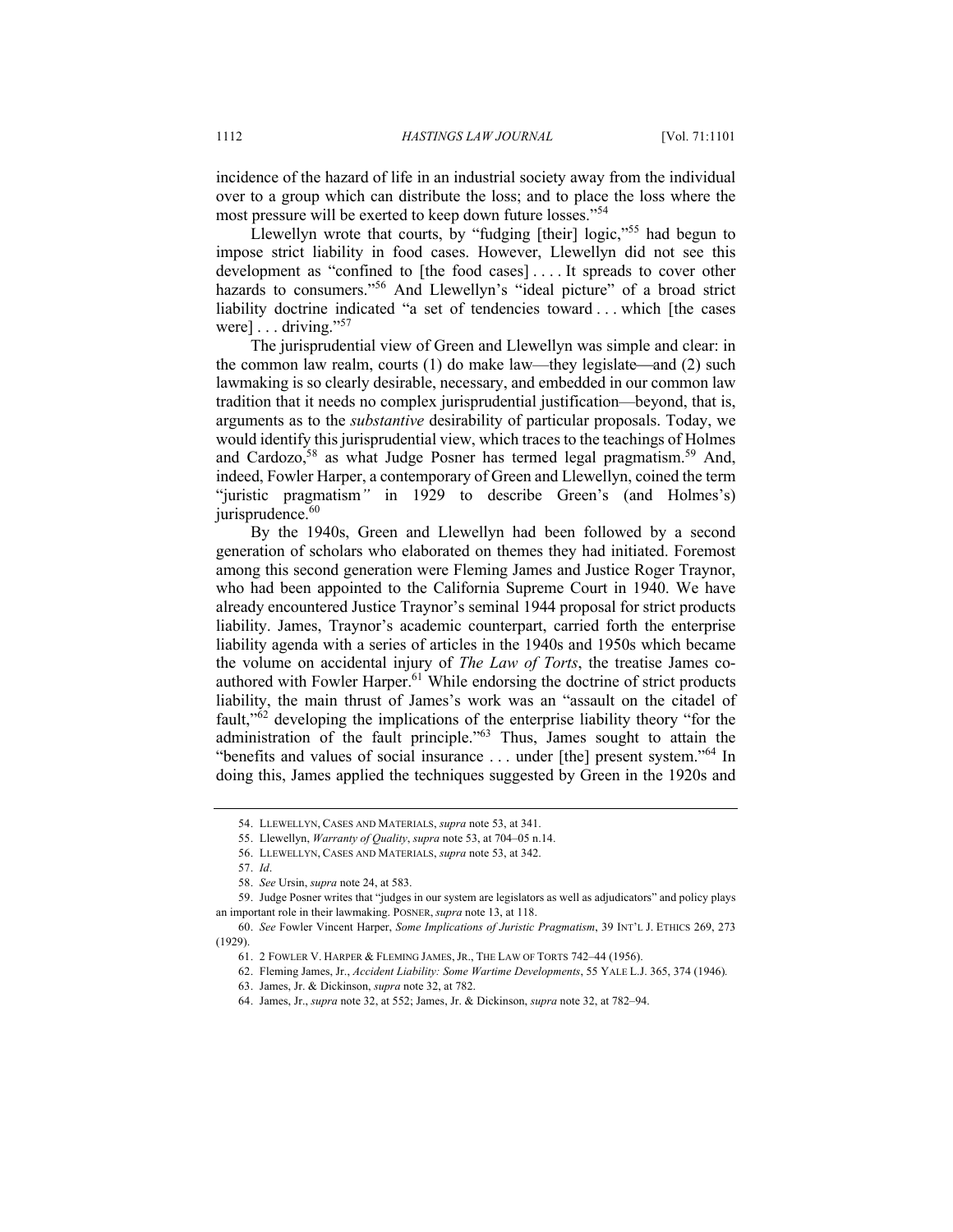incidence of the hazard of life in an industrial society away from the individual over to a group which can distribute the loss; and to place the loss where the most pressure will be exerted to keep down future losses."<sup>54</sup>

Llewellyn wrote that courts, by "fudging [their] logic,"<sup>55</sup> had begun to impose strict liability in food cases. However, Llewellyn did not see this development as "confined to [the food cases] . . . . It spreads to cover other hazards to consumers."<sup>56</sup> And Llewellyn's "ideal picture" of a broad strict liability doctrine indicated "a set of tendencies toward . . . which [the cases were]  $\dots$  driving."<sup>57</sup>

The jurisprudential view of Green and Llewellyn was simple and clear: in the common law realm, courts  $(1)$  do make law—they legislate—and  $(2)$  such lawmaking is so clearly desirable, necessary, and embedded in our common law tradition that it needs no complex jurisprudential justification—beyond, that is, arguments as to the *substantive* desirability of particular proposals. Today, we would identify this jurisprudential view, which traces to the teachings of Holmes and Cardozo,<sup>58</sup> as what Judge Posner has termed legal pragmatism.<sup>59</sup> And, indeed, Fowler Harper, a contemporary of Green and Llewellyn, coined the term "juristic pragmatism*"* in 1929 to describe Green's (and Holmes's) jurisprudence. $60$ 

By the 1940s, Green and Llewellyn had been followed by a second generation of scholars who elaborated on themes they had initiated. Foremost among this second generation were Fleming James and Justice Roger Traynor, who had been appointed to the California Supreme Court in 1940. We have already encountered Justice Traynor's seminal 1944 proposal for strict products liability. James, Traynor's academic counterpart, carried forth the enterprise liability agenda with a series of articles in the 1940s and 1950s which became the volume on accidental injury of *The Law of Torts*, the treatise James coauthored with Fowler Harper.<sup>61</sup> While endorsing the doctrine of strict products liability, the main thrust of James's work was an "assault on the citadel of fault,"<sup>62</sup> developing the implications of the enterprise liability theory "for the administration of the fault principle."<sup>63</sup> Thus, James sought to attain the "benefits and values of social insurance ... under [the] present system."<sup>64</sup> In doing this, James applied the techniques suggested by Green in the 1920s and

<sup>54.</sup> LLEWELLYN, CASES AND MATERIALS, *supra* note 53, at 341.

<sup>55.</sup> Llewellyn, *Warranty of Quality*, *supra* note 53, at 704–05 n.14.

<sup>56.</sup> LLEWELLYN, CASES AND MATERIALS, *supra* note 53, at 342.

<sup>57.</sup> *Id*.

<sup>58.</sup> *See* Ursin, *supra* note 24, at 583.

<sup>59.</sup> Judge Posner writes that "judges in our system are legislators as well as adjudicators" and policy plays an important role in their lawmaking. POSNER, *supra* note 13, at 118.

<sup>60.</sup> *See* Fowler Vincent Harper, *Some Implications of Juristic Pragmatism*, 39 INT'L J. ETHICS 269, 273 (1929).

<sup>61.</sup> 2 FOWLER V. HARPER & FLEMING JAMES, JR., THE LAW OF TORTS 742–44 (1956).

<sup>62.</sup> Fleming James, Jr., *Accident Liability: Some Wartime Developments*, 55 YALE L.J. 365, 374 (1946)*.*

<sup>63.</sup> James, Jr. & Dickinson, *supra* note 32, at 782.

<sup>64.</sup> James, Jr., *supra* note 32, at 552; James, Jr. & Dickinson, *supra* note 32, at 782–94.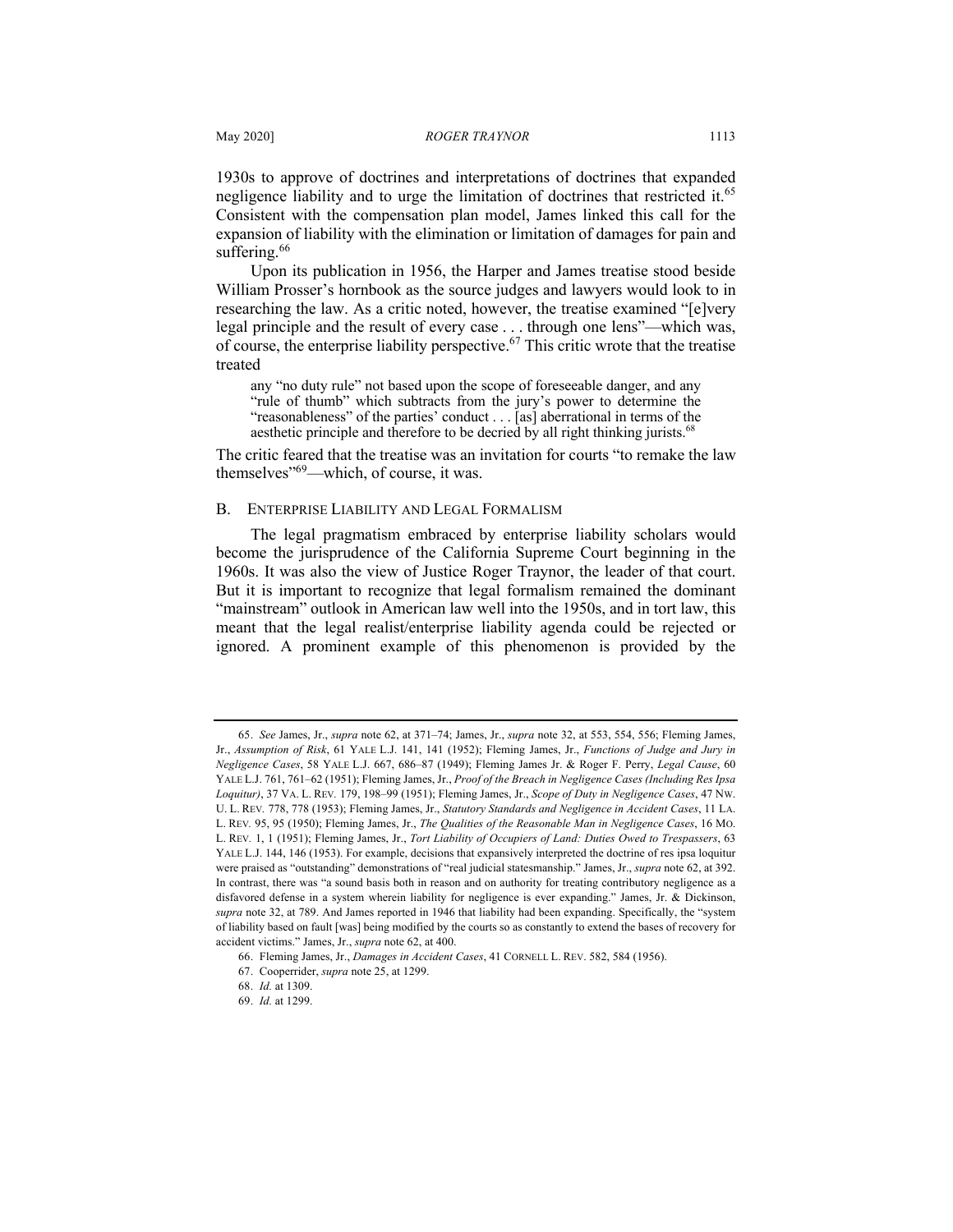1930s to approve of doctrines and interpretations of doctrines that expanded negligence liability and to urge the limitation of doctrines that restricted it.<sup>65</sup> Consistent with the compensation plan model, James linked this call for the expansion of liability with the elimination or limitation of damages for pain and suffering.<sup>66</sup>

Upon its publication in 1956, the Harper and James treatise stood beside William Prosser's hornbook as the source judges and lawyers would look to in researching the law. As a critic noted, however, the treatise examined "[e]very legal principle and the result of every case . . . through one lens"—which was, of course, the enterprise liability perspective.<sup>67</sup> This critic wrote that the treatise treated

any "no duty rule" not based upon the scope of foreseeable danger, and any "rule of thumb" which subtracts from the jury's power to determine the "reasonableness" of the parties' conduct . . . [as] aberrational in terms of the aesthetic principle and therefore to be decried by all right thinking jurists.<sup>68</sup>

The critic feared that the treatise was an invitation for courts "to remake the law themselves"69—which, of course, it was.

#### B. ENTERPRISE LIABILITY AND LEGAL FORMALISM

The legal pragmatism embraced by enterprise liability scholars would become the jurisprudence of the California Supreme Court beginning in the 1960s. It was also the view of Justice Roger Traynor, the leader of that court. But it is important to recognize that legal formalism remained the dominant "mainstream" outlook in American law well into the 1950s, and in tort law, this meant that the legal realist/enterprise liability agenda could be rejected or ignored. A prominent example of this phenomenon is provided by the

<sup>65.</sup> *See* James, Jr., *supra* note 62, at 371–74; James, Jr., *supra* note 32, at 553, 554, 556; Fleming James, Jr., *Assumption of Risk*, 61 YALE L.J. 141, 141 (1952); Fleming James, Jr., *Functions of Judge and Jury in Negligence Cases*, 58 YALE L.J. 667, 686–87 (1949); Fleming James Jr. & Roger F. Perry, *Legal Cause*, 60 YALE L.J. 761, 761–62 (1951); Fleming James, Jr., *Proof of the Breach in Negligence Cases (Including Res Ipsa Loquitur)*, 37 VA. L. REV*.* 179, 198–99 (1951); Fleming James, Jr., *Scope of Duty in Negligence Cases*, 47 NW. U. L. REV*.* 778, 778 (1953); Fleming James, Jr., *Statutory Standards and Negligence in Accident Cases*, 11 LA. L. REV*.* 95, 95 (1950); Fleming James, Jr., *The Qualities of the Reasonable Man in Negligence Cases*, 16 MO. L. REV*.* 1, 1 (1951); Fleming James, Jr., *Tort Liability of Occupiers of Land: Duties Owed to Trespassers*, 63 YALE L.J. 144, 146 (1953). For example, decisions that expansively interpreted the doctrine of res ipsa loquitur were praised as "outstanding" demonstrations of "real judicial statesmanship." James, Jr., *supra* note 62, at 392. In contrast, there was "a sound basis both in reason and on authority for treating contributory negligence as a disfavored defense in a system wherein liability for negligence is ever expanding." James, Jr. & Dickinson, *supra* note 32, at 789. And James reported in 1946 that liability had been expanding. Specifically, the "system of liability based on fault [was] being modified by the courts so as constantly to extend the bases of recovery for accident victims." James, Jr., *supra* note 62, at 400.

<sup>66.</sup> Fleming James, Jr., *Damages in Accident Cases*, 41 CORNELL L. REV. 582, 584 (1956).

<sup>67.</sup> Cooperrider, *supra* note 25, at 1299.

<sup>68.</sup> *Id.* at 1309.

<sup>69.</sup> *Id.* at 1299.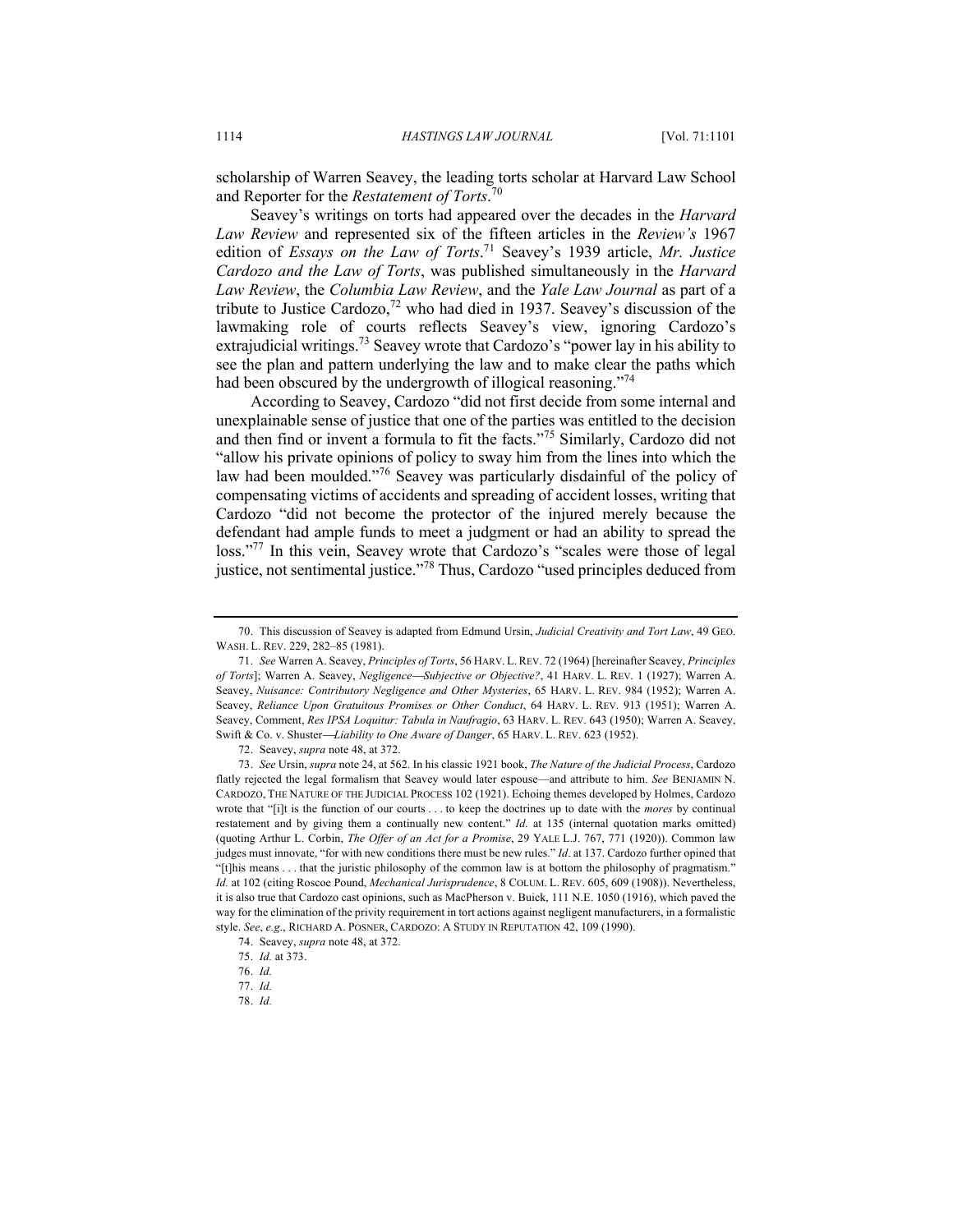scholarship of Warren Seavey, the leading torts scholar at Harvard Law School and Reporter for the *Restatement of Torts*. 70

Seavey's writings on torts had appeared over the decades in the *Harvard Law Review* and represented six of the fifteen articles in the *Review's* 1967 edition of *Essays on the Law of Torts*. <sup>71</sup> Seavey's 1939 article, *Mr. Justice Cardozo and the Law of Torts*, was published simultaneously in the *Harvard Law Review*, the *Columbia Law Review*, and the *Yale Law Journal* as part of a tribute to Justice Cardozo,<sup>72</sup> who had died in 1937. Seavey's discussion of the lawmaking role of courts reflects Seavey's view, ignoring Cardozo's extrajudicial writings.<sup>73</sup> Seavey wrote that Cardozo's "power lay in his ability to see the plan and pattern underlying the law and to make clear the paths which had been obscured by the undergrowth of illogical reasoning."<sup>74</sup>

According to Seavey, Cardozo "did not first decide from some internal and unexplainable sense of justice that one of the parties was entitled to the decision and then find or invent a formula to fit the facts."<sup>75</sup> Similarly, Cardozo did not "allow his private opinions of policy to sway him from the lines into which the law had been moulded."<sup>76</sup> Seavey was particularly disdainful of the policy of compensating victims of accidents and spreading of accident losses, writing that Cardozo "did not become the protector of the injured merely because the defendant had ample funds to meet a judgment or had an ability to spread the loss."<sup>77</sup> In this vein, Seavey wrote that Cardozo's "scales were those of legal justice, not sentimental justice."<sup>78</sup> Thus, Cardozo "used principles deduced from

72. Seavey, *supra* note 48, at 372.

<sup>70.</sup> This discussion of Seavey is adapted from Edmund Ursin, *Judicial Creativity and Tort Law*, 49 GEO. WASH. L. REV. 229, 282–85 (1981).

<sup>71.</sup> *See* Warren A. Seavey, *Principles of Torts*, 56 HARV. L.REV. 72 (1964) [hereinafter Seavey, *Principles of Torts*]; Warren A. Seavey, *Negligence*¾*Subjective or Objective?*, 41 HARV. L. REV. 1 (1927); Warren A. Seavey, *Nuisance: Contributory Negligence and Other Mysteries*, 65 HARV. L. REV. 984 (1952); Warren A. Seavey, *Reliance Upon Gratuitous Promises or Other Conduct*, 64 HARV. L. REV. 913 (1951); Warren A. Seavey, Comment, *Res IPSA Loquitur: Tabula in Naufragio*, 63 HARV. L. REV. 643 (1950); Warren A. Seavey, Swift & Co. v. Shuster-*Liability to One Aware of Danger*, 65 HARV. L. REV. 623 (1952).

<sup>73.</sup> *See* Ursin, *supra* note 24, at 562. In his classic 1921 book, *The Nature of the Judicial Process*, Cardozo flatly rejected the legal formalism that Seavey would later espouse—and attribute to him. *See* BENJAMIN N. CARDOZO, THE NATURE OF THE JUDICIAL PROCESS 102 (1921). Echoing themes developed by Holmes, Cardozo wrote that "[i]t is the function of our courts . . . to keep the doctrines up to date with the *mores* by continual restatement and by giving them a continually new content." *Id.* at 135 (internal quotation marks omitted) (quoting Arthur L. Corbin, *The Offer of an Act for a Promise*, 29 YALE L.J. 767, 771 (1920)). Common law judges must innovate, "for with new conditions there must be new rules." *Id*. at 137. Cardozo further opined that "[t]his means . . . that the juristic philosophy of the common law is at bottom the philosophy of pragmatism." *Id.* at 102 (citing Roscoe Pound, *Mechanical Jurisprudence*, 8 COLUM. L. REV. 605, 609 (1908)). Nevertheless, it is also true that Cardozo cast opinions, such as MacPherson v. Buick, 111 N.E. 1050 (1916), which paved the way for the elimination of the privity requirement in tort actions against negligent manufacturers, in a formalistic style. *See*, *e.g*., RICHARD A. POSNER, CARDOZO: A STUDY IN REPUTATION 42, 109 (1990).

<sup>74.</sup> Seavey, *supra* note 48, at 372.

<sup>75.</sup> *Id.* at 373.

<sup>76.</sup> *Id.*

<sup>77.</sup> *Id.*

<sup>78.</sup> *Id.*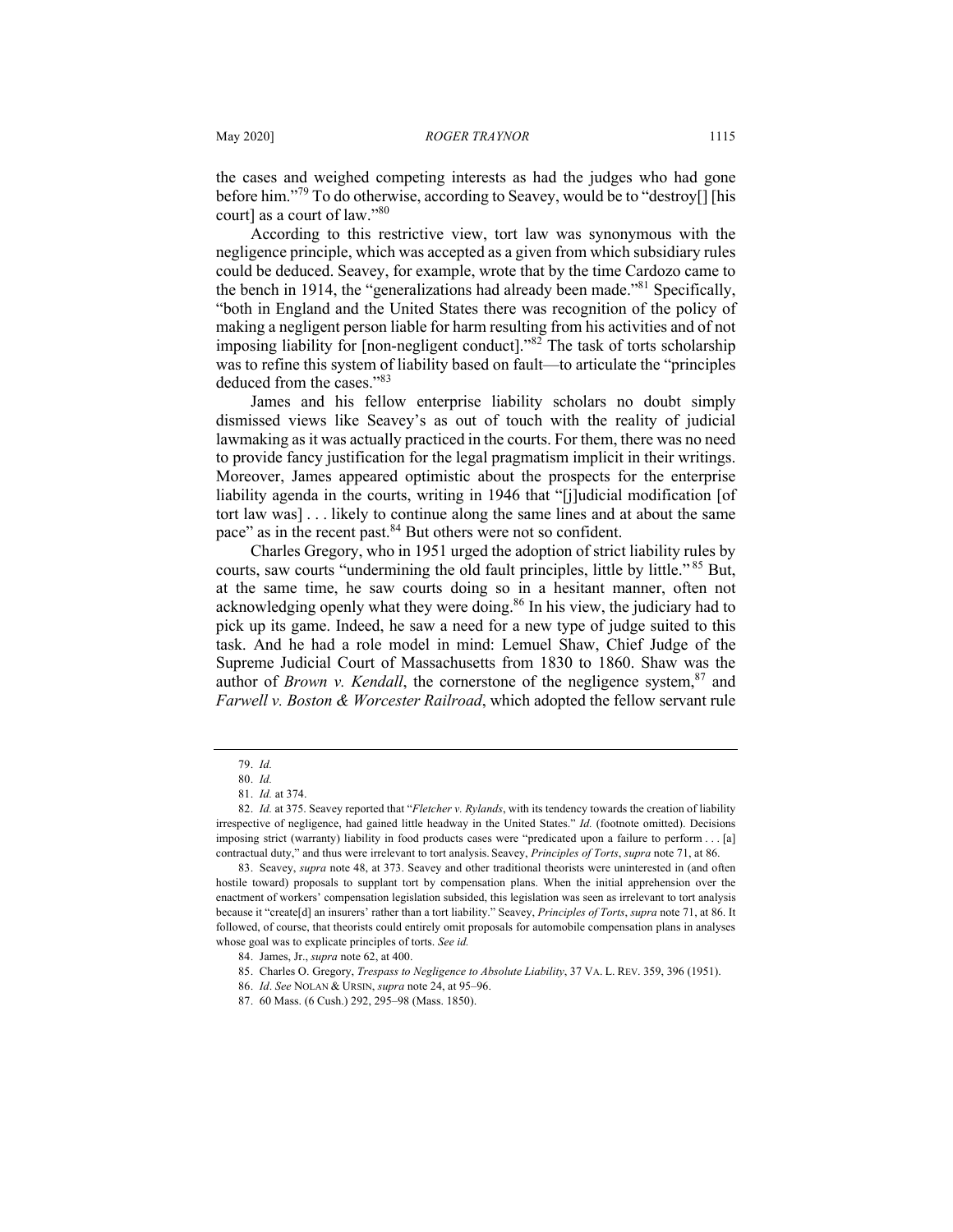the cases and weighed competing interests as had the judges who had gone before him."79 To do otherwise, according to Seavey, would be to "destroy[] [his court] as a court of law."80

According to this restrictive view, tort law was synonymous with the negligence principle, which was accepted as a given from which subsidiary rules could be deduced. Seavey, for example, wrote that by the time Cardozo came to the bench in 1914, the "generalizations had already been made."<sup>81</sup> Specifically, "both in England and the United States there was recognition of the policy of making a negligent person liable for harm resulting from his activities and of not imposing liability for [non-negligent conduct].<sup>82</sup> The task of torts scholarship was to refine this system of liability based on fault—to articulate the "principles deduced from the cases."<sup>83</sup>

James and his fellow enterprise liability scholars no doubt simply dismissed views like Seavey's as out of touch with the reality of judicial lawmaking as it was actually practiced in the courts. For them, there was no need to provide fancy justification for the legal pragmatism implicit in their writings. Moreover, James appeared optimistic about the prospects for the enterprise liability agenda in the courts, writing in 1946 that "[j]udicial modification [of tort law was] . . . likely to continue along the same lines and at about the same pace" as in the recent past.<sup>84</sup> But others were not so confident.

Charles Gregory, who in 1951 urged the adoption of strict liability rules by courts, saw courts "undermining the old fault principles, little by little."<sup>85</sup> But, at the same time, he saw courts doing so in a hesitant manner, often not acknowledging openly what they were doing.<sup>86</sup> In his view, the judiciary had to pick up its game. Indeed, he saw a need for a new type of judge suited to this task. And he had a role model in mind: Lemuel Shaw, Chief Judge of the Supreme Judicial Court of Massachusetts from 1830 to 1860. Shaw was the author of *Brown v. Kendall*, the cornerstone of the negligence system,  $87$  and *Farwell v. Boston & Worcester Railroad*, which adopted the fellow servant rule

<sup>79.</sup> *Id.*

<sup>80.</sup> *Id.*

<sup>81.</sup> *Id.* at 374.

<sup>82.</sup> *Id.* at 375. Seavey reported that "*Fletcher v. Rylands*, with its tendency towards the creation of liability irrespective of negligence, had gained little headway in the United States." *Id.* (footnote omitted). Decisions imposing strict (warranty) liability in food products cases were "predicated upon a failure to perform . . . [a] contractual duty," and thus were irrelevant to tort analysis. Seavey, *Principles of Torts*, *supra* note 71, at 86.

<sup>83.</sup> Seavey, *supra* note 48, at 373. Seavey and other traditional theorists were uninterested in (and often hostile toward) proposals to supplant tort by compensation plans. When the initial apprehension over the enactment of workers' compensation legislation subsided, this legislation was seen as irrelevant to tort analysis because it "create[d] an insurers' rather than a tort liability." Seavey, *Principles of Torts*, *supra* note 71, at 86. It followed, of course, that theorists could entirely omit proposals for automobile compensation plans in analyses whose goal was to explicate principles of torts. *See id.*

<sup>84.</sup> James, Jr., *supra* note 62, at 400.

<sup>85.</sup> Charles O. Gregory, *Trespass to Negligence to Absolute Liability*, 37 VA. L. REV. 359, 396 (1951).

<sup>86.</sup> *Id*. *See* NOLAN & URSIN, *supra* note 24, at 95–96.

<sup>87.</sup> 60 Mass. (6 Cush.) 292, 295–98 (Mass. 1850).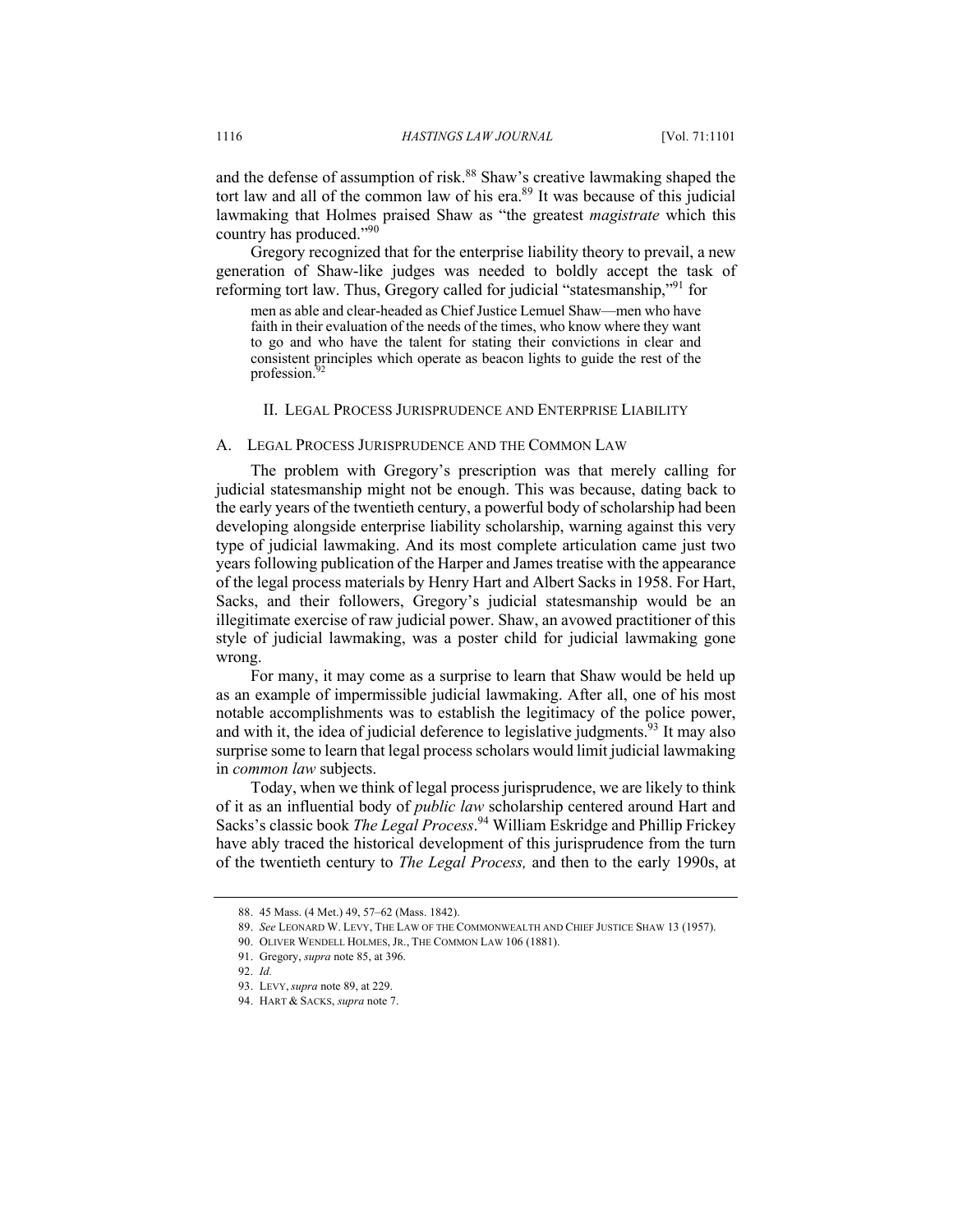and the defense of assumption of risk.<sup>88</sup> Shaw's creative lawmaking shaped the tort law and all of the common law of his era. $89$  It was because of this judicial lawmaking that Holmes praised Shaw as "the greatest *magistrate* which this country has produced."90

Gregory recognized that for the enterprise liability theory to prevail, a new generation of Shaw-like judges was needed to boldly accept the task of reforming tort law. Thus, Gregory called for judicial "statesmanship,"<sup>91</sup> for

men as able and clear-headed as Chief Justice Lemuel Shaw—men who have faith in their evaluation of the needs of the times, who know where they want to go and who have the talent for stating their convictions in clear and consistent principles which operate as beacon lights to guide the rest of the profession.<sup>92</sup>

#### II. LEGAL PROCESS JURISPRUDENCE AND ENTERPRISE LIABILITY

### A. LEGAL PROCESS JURISPRUDENCE AND THE COMMON LAW

The problem with Gregory's prescription was that merely calling for judicial statesmanship might not be enough. This was because, dating back to the early years of the twentieth century, a powerful body of scholarship had been developing alongside enterprise liability scholarship, warning against this very type of judicial lawmaking. And its most complete articulation came just two years following publication of the Harper and James treatise with the appearance of the legal process materials by Henry Hart and Albert Sacks in 1958. For Hart, Sacks, and their followers, Gregory's judicial statesmanship would be an illegitimate exercise of raw judicial power. Shaw, an avowed practitioner of this style of judicial lawmaking, was a poster child for judicial lawmaking gone wrong.

For many, it may come as a surprise to learn that Shaw would be held up as an example of impermissible judicial lawmaking. After all, one of his most notable accomplishments was to establish the legitimacy of the police power, and with it, the idea of judicial deference to legislative judgments.<sup>93</sup> It may also surprise some to learn that legal process scholars would limit judicial lawmaking in *common law* subjects.

Today, when we think of legal process jurisprudence, we are likely to think of it as an influential body of *public law* scholarship centered around Hart and Sacks's classic book *The Legal Process*. <sup>94</sup> William Eskridge and Phillip Frickey have ably traced the historical development of this jurisprudence from the turn of the twentieth century to *The Legal Process,* and then to the early 1990s, at

<sup>88.</sup> 45 Mass. (4 Met.) 49, 57–62 (Mass. 1842).

<sup>89.</sup> *See* LEONARD W. LEVY, THE LAW OF THE COMMONWEALTH AND CHIEF JUSTICE SHAW 13 (1957).

<sup>90.</sup> OLIVER WENDELL HOLMES, JR., THE COMMON LAW 106 (1881).

<sup>91.</sup> Gregory, *supra* note 85, at 396.

<sup>92.</sup> *Id.*

<sup>93.</sup> LEVY, *supra* note 89, at 229.

<sup>94.</sup> HART & SACKS, *supra* note 7.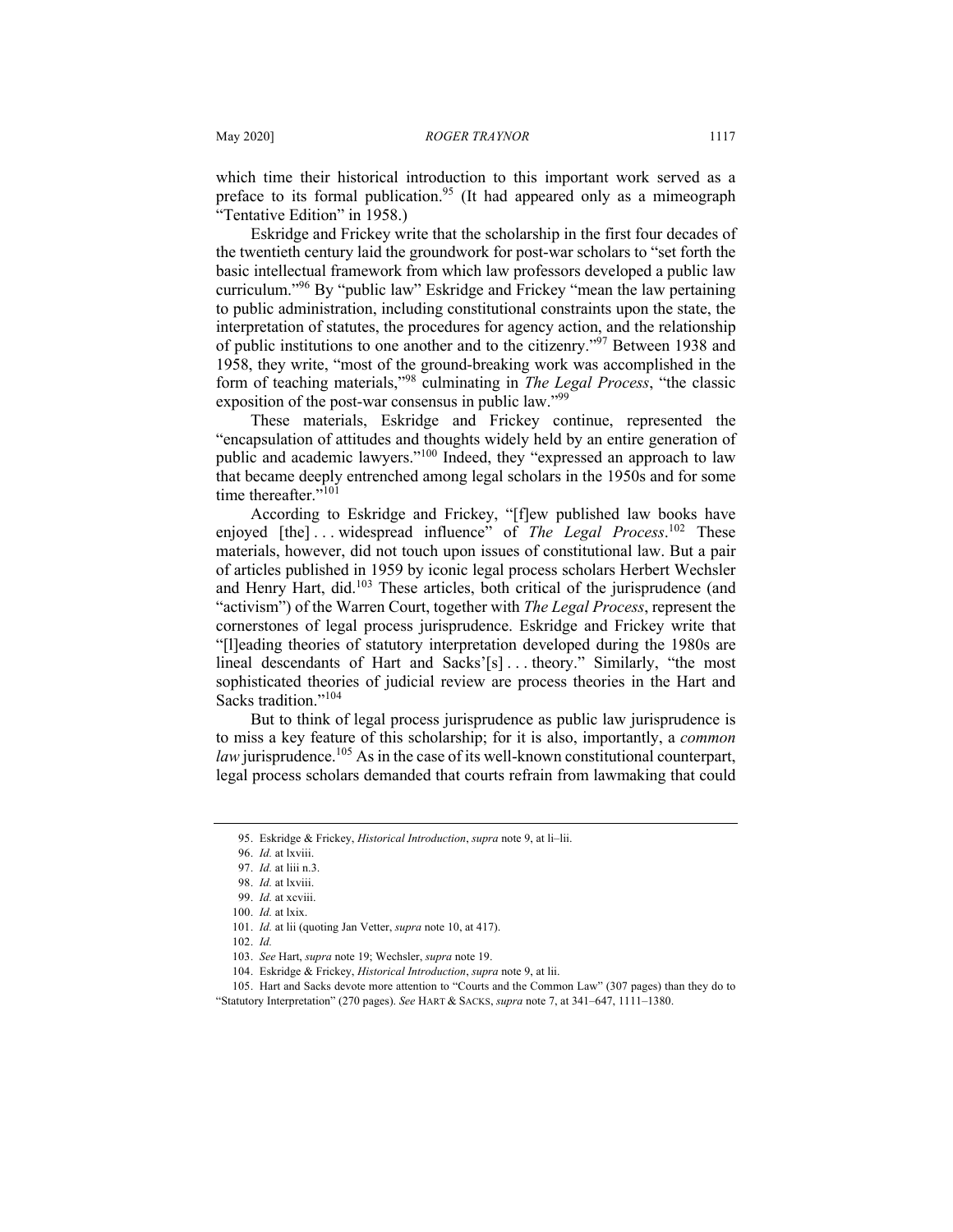which time their historical introduction to this important work served as a preface to its formal publication.<sup>95</sup> (It had appeared only as a mimeograph "Tentative Edition" in 1958.)

Eskridge and Frickey write that the scholarship in the first four decades of the twentieth century laid the groundwork for post-war scholars to "set forth the basic intellectual framework from which law professors developed a public law curriculum."<sup>96</sup> By "public law" Eskridge and Frickey "mean the law pertaining to public administration, including constitutional constraints upon the state, the interpretation of statutes, the procedures for agency action, and the relationship of public institutions to one another and to the citizenry."97 Between 1938 and 1958, they write, "most of the ground-breaking work was accomplished in the form of teaching materials,"<sup>98</sup> culminating in *The Legal Process*, "the classic exposition of the post-war consensus in public law."<sup>99</sup>

These materials, Eskridge and Frickey continue, represented the "encapsulation of attitudes and thoughts widely held by an entire generation of public and academic lawyers."<sup>100</sup> Indeed, they "expressed an approach to law that became deeply entrenched among legal scholars in the 1950s and for some time thereafter."<sup>101</sup>

According to Eskridge and Frickey, "[f]ew published law books have enjoyed [the]...widespread influence" of *The Legal Process*.<sup>102</sup> These materials, however, did not touch upon issues of constitutional law. But a pair of articles published in 1959 by iconic legal process scholars Herbert Wechsler and Henry Hart, did.<sup>103</sup> These articles, both critical of the jurisprudence (and "activism") of the Warren Court, together with *The Legal Process*, represent the cornerstones of legal process jurisprudence. Eskridge and Frickey write that "[l]eading theories of statutory interpretation developed during the 1980s are lineal descendants of Hart and Sacks'[s] . . . theory." Similarly, "the most sophisticated theories of judicial review are process theories in the Hart and Sacks tradition."<sup>104</sup>

But to think of legal process jurisprudence as public law jurisprudence is to miss a key feature of this scholarship; for it is also, importantly, a *common law* jurisprudence.<sup>105</sup> As in the case of its well-known constitutional counterpart, legal process scholars demanded that courts refrain from lawmaking that could

<sup>95.</sup> Eskridge & Frickey, *Historical Introduction*, *supra* note 9, at li–lii.

<sup>96.</sup> *Id.* at lxviii.

<sup>97.</sup> *Id.* at liii n.3. 98. *Id.* at lxviii.

<sup>99.</sup> *Id.* at xcviii.

<sup>100.</sup> *Id.* at lxix.

<sup>101.</sup> *Id.* at lii (quoting Jan Vetter, *supra* note 10, at 417).

<sup>102.</sup> *Id.*

<sup>103.</sup> *See* Hart, *supra* note 19; Wechsler, *supra* note 19.

<sup>104.</sup> Eskridge & Frickey, *Historical Introduction*, *supra* note 9, at lii.

<sup>105.</sup> Hart and Sacks devote more attention to "Courts and the Common Law" (307 pages) than they do to "Statutory Interpretation" (270 pages). *See* HART & SACKS, *supra* note 7, at 341–647, 1111–1380.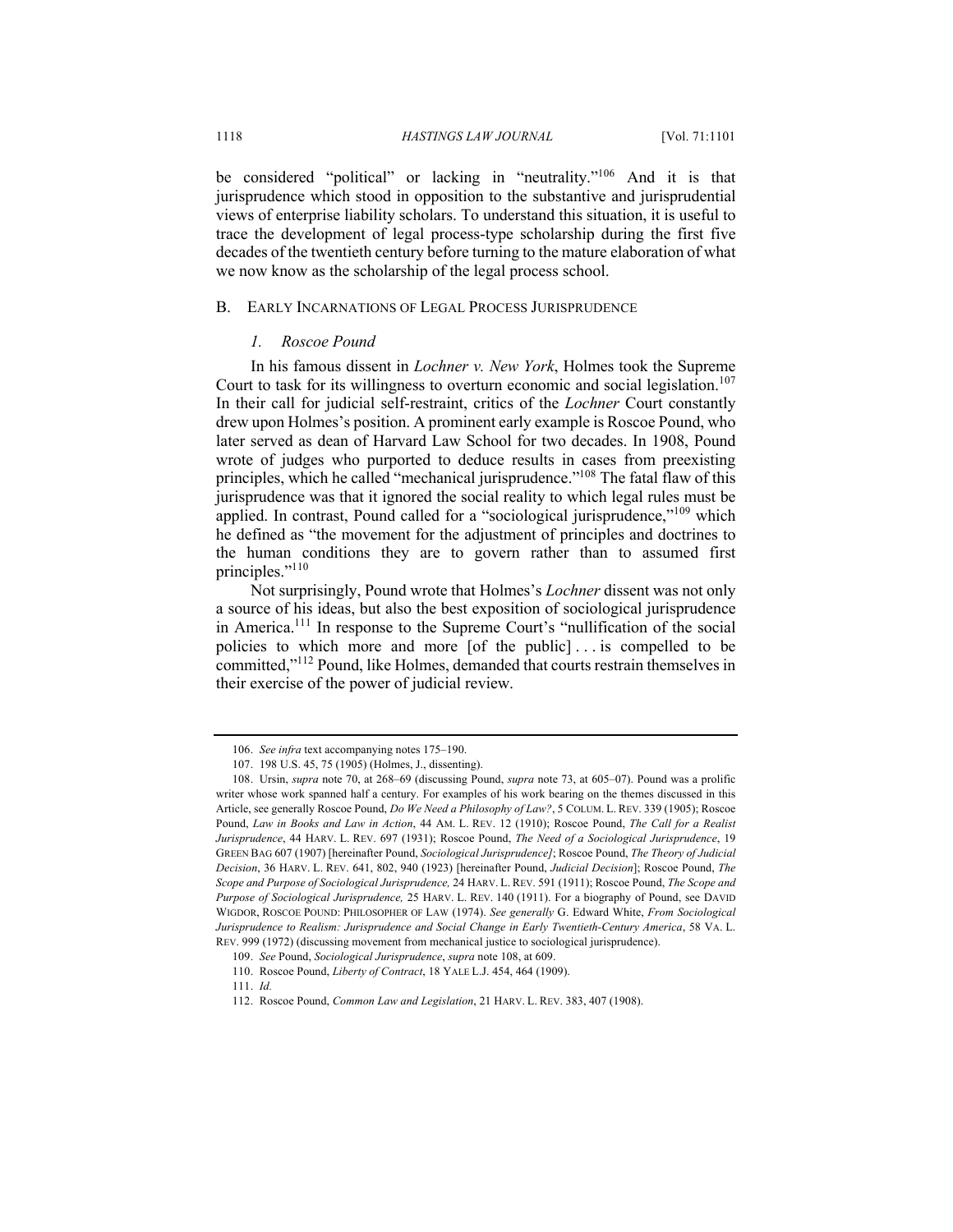be considered "political" or lacking in "neutrality."<sup>106</sup> And it is that jurisprudence which stood in opposition to the substantive and jurisprudential views of enterprise liability scholars. To understand this situation, it is useful to trace the development of legal process-type scholarship during the first five decades of the twentieth century before turning to the mature elaboration of what we now know as the scholarship of the legal process school.

#### B. EARLY INCARNATIONS OF LEGAL PROCESS JURISPRUDENCE

### *1. Roscoe Pound*

In his famous dissent in *Lochner v. New York*, Holmes took the Supreme Court to task for its willingness to overturn economic and social legislation.<sup>107</sup> In their call for judicial self-restraint, critics of the *Lochner* Court constantly drew upon Holmes's position. A prominent early example is Roscoe Pound, who later served as dean of Harvard Law School for two decades. In 1908, Pound wrote of judges who purported to deduce results in cases from preexisting principles, which he called "mechanical jurisprudence."<sup>108</sup> The fatal flaw of this jurisprudence was that it ignored the social reality to which legal rules must be applied. In contrast, Pound called for a "sociological jurisprudence,"<sup>109</sup> which he defined as "the movement for the adjustment of principles and doctrines to the human conditions they are to govern rather than to assumed first principles."<sup>110</sup>

Not surprisingly, Pound wrote that Holmes's *Lochner* dissent was not only a source of his ideas, but also the best exposition of sociological jurisprudence in America.<sup>111</sup> In response to the Supreme Court's "nullification of the social policies to which more and more [of the public] . . . is compelled to be committed,"112 Pound, like Holmes, demanded that courts restrain themselves in their exercise of the power of judicial review.

<sup>106.</sup> *See infra* text accompanying notes 175–190.

<sup>107.</sup> 198 U.S. 45, 75 (1905) (Holmes, J., dissenting).

<sup>108.</sup> Ursin, *supra* note 70, at 268–69 (discussing Pound, *supra* note 73, at 605–07). Pound was a prolific writer whose work spanned half a century. For examples of his work bearing on the themes discussed in this Article, see generally Roscoe Pound, *Do We Need a Philosophy of Law?*, 5 COLUM. L. REV. 339 (1905); Roscoe Pound, *Law in Books and Law in Action*, 44 AM. L. REV. 12 (1910); Roscoe Pound, *The Call for a Realist Jurisprudence*, 44 HARV. L. REV. 697 (1931); Roscoe Pound, *The Need of a Sociological Jurisprudence*, 19 GREEN BAG 607 (1907) [hereinafter Pound, *Sociological Jurisprudence]*; Roscoe Pound, *The Theory of Judicial Decision*, 36 HARV. L. REV. 641, 802, 940 (1923) [hereinafter Pound, *Judicial Decision*]; Roscoe Pound, *The Scope and Purpose of Sociological Jurisprudence,* 24 HARV. L. REV. 591 (1911); Roscoe Pound, *The Scope and Purpose of Sociological Jurisprudence,* 25 HARV. L. REV. 140 (1911). For a biography of Pound, see DAVID WIGDOR, ROSCOE POUND: PHILOSOPHER OF LAW (1974). *See generally* G. Edward White, *From Sociological Jurisprudence to Realism: Jurisprudence and Social Change in Early Twentieth-Century America*, 58 VA. L. REV. 999 (1972) (discussing movement from mechanical justice to sociological jurisprudence).

<sup>109.</sup> *See* Pound, *Sociological Jurisprudence*, *supra* note 108, at 609.

<sup>110.</sup> Roscoe Pound, *Liberty of Contract*, 18 YALE L.J. 454, 464 (1909).

<sup>111.</sup> *Id.*

<sup>112.</sup> Roscoe Pound, *Common Law and Legislation*, 21 HARV. L. REV. 383, 407 (1908).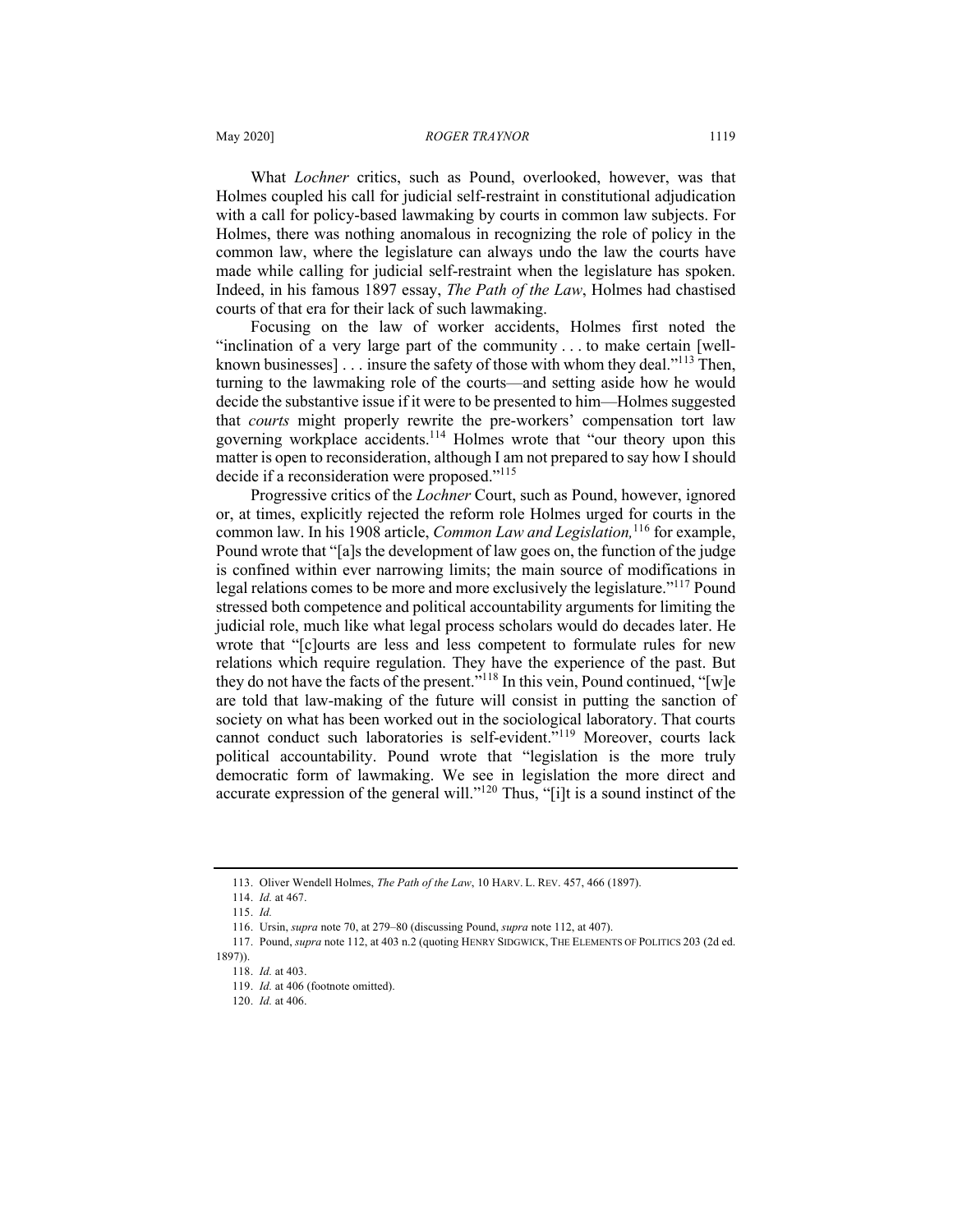What *Lochner* critics, such as Pound, overlooked, however, was that Holmes coupled his call for judicial self-restraint in constitutional adjudication with a call for policy-based lawmaking by courts in common law subjects. For Holmes, there was nothing anomalous in recognizing the role of policy in the common law, where the legislature can always undo the law the courts have made while calling for judicial self-restraint when the legislature has spoken. Indeed, in his famous 1897 essay, *The Path of the Law*, Holmes had chastised courts of that era for their lack of such lawmaking.

Focusing on the law of worker accidents, Holmes first noted the "inclination of a very large part of the community . . . to make certain [wellknown businesses]  $\ldots$  insure the safety of those with whom they deal."<sup>113</sup> Then, turning to the lawmaking role of the courts—and setting aside how he would decide the substantive issue if it were to be presented to him—Holmes suggested that *courts* might properly rewrite the pre-workers' compensation tort law governing workplace accidents.114 Holmes wrote that "our theory upon this matter is open to reconsideration, although I am not prepared to say how I should decide if a reconsideration were proposed."<sup>115</sup>

Progressive critics of the *Lochner* Court, such as Pound, however, ignored or, at times, explicitly rejected the reform role Holmes urged for courts in the common law. In his 1908 article, *Common Law and Legislation,*<sup>116</sup> for example, Pound wrote that "[a]s the development of law goes on, the function of the judge is confined within ever narrowing limits; the main source of modifications in legal relations comes to be more and more exclusively the legislature."<sup>117</sup> Pound stressed both competence and political accountability arguments for limiting the judicial role, much like what legal process scholars would do decades later. He wrote that "[c]ourts are less and less competent to formulate rules for new relations which require regulation. They have the experience of the past. But they do not have the facts of the present."118 In this vein, Pound continued, "[w]e are told that law-making of the future will consist in putting the sanction of society on what has been worked out in the sociological laboratory. That courts cannot conduct such laboratories is self-evident."<sup>119</sup> Moreover, courts lack political accountability. Pound wrote that "legislation is the more truly democratic form of lawmaking. We see in legislation the more direct and accurate expression of the general will."<sup>120</sup> Thus, "[i]t is a sound instinct of the

<sup>113.</sup> Oliver Wendell Holmes, *The Path of the Law*, 10 HARV. L. REV. 457, 466 (1897).

<sup>114.</sup> *Id.* at 467.

<sup>115.</sup> *Id.*

<sup>116.</sup> Ursin, *supra* note 70, at 279–80 (discussing Pound, *supra* note 112, at 407).

<sup>117.</sup> Pound, *supra* note 112, at 403 n.2 (quoting HENRY SIDGWICK, THE ELEMENTS OF POLITICS 203 (2d ed.

<sup>1897)).</sup>

<sup>118.</sup> *Id.* at 403.

<sup>119.</sup> *Id.* at 406 (footnote omitted).

<sup>120.</sup> *Id.* at 406.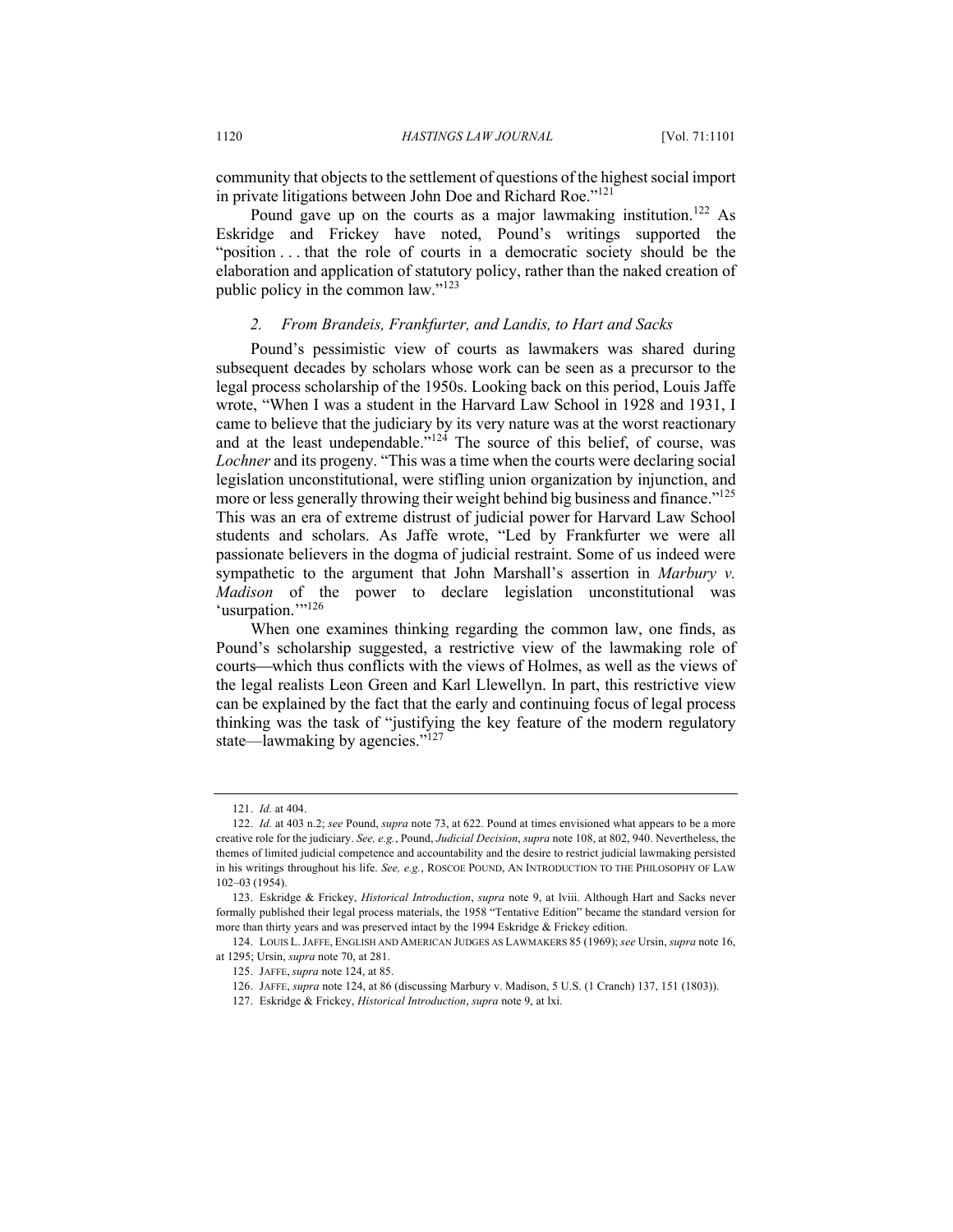community that objects to the settlement of questions of the highest social import in private litigations between John Doe and Richard Roe."<sup>121</sup>

Pound gave up on the courts as a major lawmaking institution.<sup>122</sup> As Eskridge and Frickey have noted, Pound's writings supported the "position . . . that the role of courts in a democratic society should be the elaboration and application of statutory policy, rather than the naked creation of public policy in the common law."<sup>123</sup>

### *2. From Brandeis, Frankfurter, and Landis, to Hart and Sacks*

Pound's pessimistic view of courts as lawmakers was shared during subsequent decades by scholars whose work can be seen as a precursor to the legal process scholarship of the 1950s. Looking back on this period, Louis Jaffe wrote, "When I was a student in the Harvard Law School in 1928 and 1931, I came to believe that the judiciary by its very nature was at the worst reactionary and at the least undependable."<sup>124</sup> The source of this belief, of course, was *Lochner* and its progeny. "This was a time when the courts were declaring social legislation unconstitutional, were stifling union organization by injunction, and more or less generally throwing their weight behind big business and finance."<sup>125</sup> This was an era of extreme distrust of judicial power for Harvard Law School students and scholars. As Jaffe wrote, "Led by Frankfurter we were all passionate believers in the dogma of judicial restraint. Some of us indeed were sympathetic to the argument that John Marshall's assertion in *Marbury v. Madison* of the power to declare legislation unconstitutional was 'usurpation.""<sup>126</sup>

When one examines thinking regarding the common law, one finds, as Pound's scholarship suggested, a restrictive view of the lawmaking role of courts—which thus conflicts with the views of Holmes, as well as the views of the legal realists Leon Green and Karl Llewellyn. In part, this restrictive view can be explained by the fact that the early and continuing focus of legal process thinking was the task of "justifying the key feature of the modern regulatory state—lawmaking by agencies."<sup>127</sup>

<sup>121.</sup> *Id.* at 404.

<sup>122.</sup> *Id.* at 403 n.2; *see* Pound, *supra* note 73, at 622. Pound at times envisioned what appears to be a more creative role for the judiciary. *See, e.g.*, Pound, *Judicial Decision*, *supra* note 108, at 802, 940. Nevertheless, the themes of limited judicial competence and accountability and the desire to restrict judicial lawmaking persisted in his writings throughout his life. *See, e.g.*, ROSCOE POUND, AN INTRODUCTION TO THE PHILOSOPHY OF LAW 102–03 (1954).

<sup>123.</sup> Eskridge & Frickey, *Historical Introduction*, *supra* note 9, at lviii. Although Hart and Sacks never formally published their legal process materials, the 1958 "Tentative Edition" became the standard version for more than thirty years and was preserved intact by the 1994 Eskridge & Frickey edition.

<sup>124.</sup> LOUIS L.JAFFE, ENGLISH AND AMERICAN JUDGES AS LAWMAKERS 85 (1969); *see* Ursin, *supra* note 16, at 1295; Ursin, *supra* note 70, at 281.

<sup>125.</sup> JAFFE, *supra* note 124, at 85.

<sup>126.</sup> JAFFE, *supra* note 124, at 86 (discussing Marbury v. Madison, 5 U.S. (1 Cranch) 137, 151 (1803)).

<sup>127.</sup> Eskridge & Frickey, *Historical Introduction*, *supra* note 9, at lxi.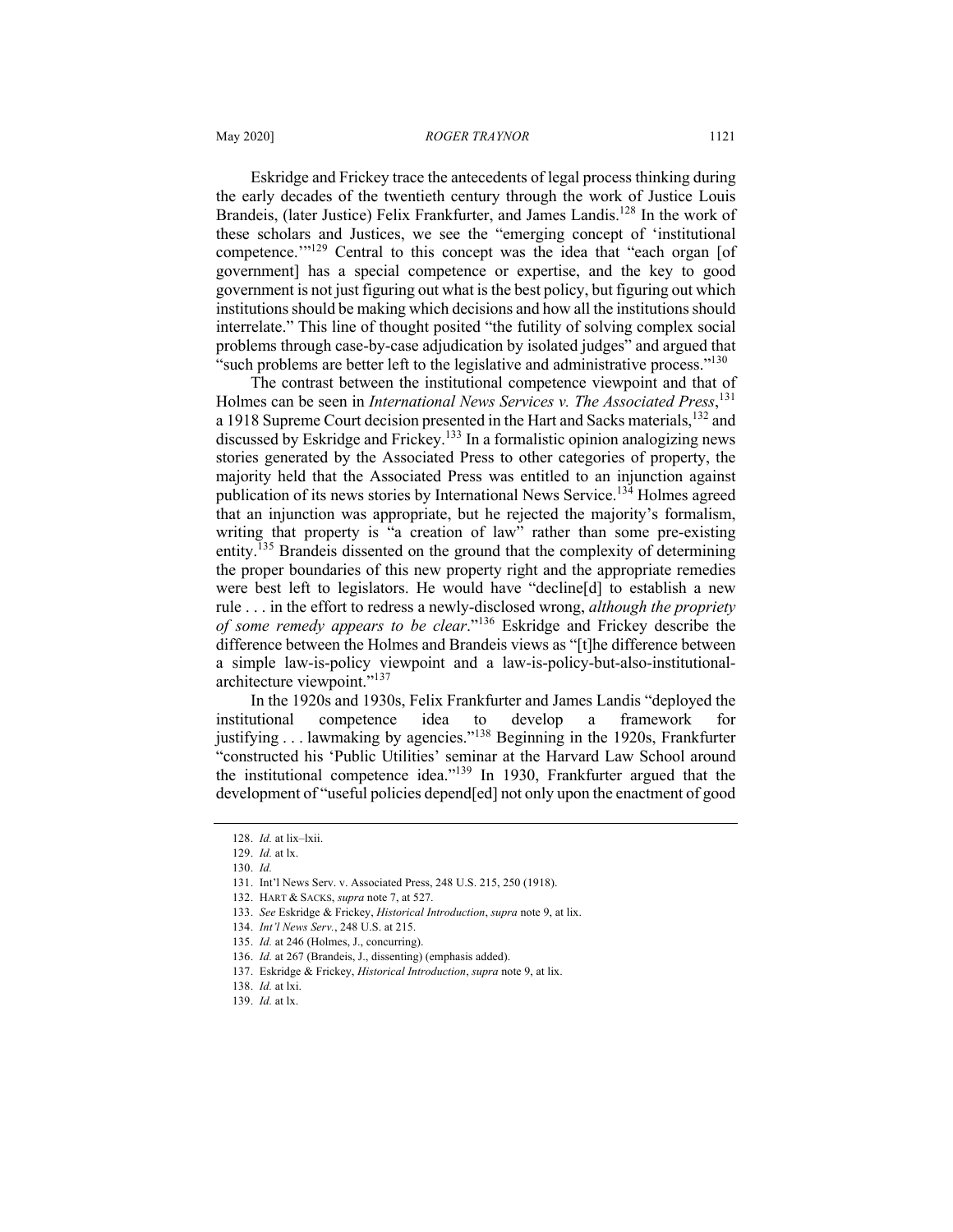Eskridge and Frickey trace the antecedents of legal process thinking during the early decades of the twentieth century through the work of Justice Louis Brandeis, (later Justice) Felix Frankfurter, and James Landis.<sup>128</sup> In the work of these scholars and Justices, we see the "emerging concept of 'institutional competence."<sup>129</sup> Central to this concept was the idea that "each organ [of government] has a special competence or expertise, and the key to good government is not just figuring out what is the best policy, but figuring out which institutions should be making which decisions and how all the institutions should interrelate." This line of thought posited "the futility of solving complex social problems through case-by-case adjudication by isolated judges" and argued that "such problems are better left to the legislative and administrative process."<sup>130</sup>

The contrast between the institutional competence viewpoint and that of Holmes can be seen in *International News Services v. The Associated Press*, 131 a 1918 Supreme Court decision presented in the Hart and Sacks materials, <sup>132</sup> and discussed by Eskridge and Frickey.<sup>133</sup> In a formalistic opinion analogizing news stories generated by the Associated Press to other categories of property, the majority held that the Associated Press was entitled to an injunction against publication of its news stories by International News Service.<sup>134</sup> Holmes agreed that an injunction was appropriate, but he rejected the majority's formalism, writing that property is "a creation of law" rather than some pre-existing entity.<sup>135</sup> Brandeis dissented on the ground that the complexity of determining the proper boundaries of this new property right and the appropriate remedies were best left to legislators. He would have "decline[d] to establish a new rule . . . in the effort to redress a newly-disclosed wrong, *although the propriety of some remedy appears to be clear*."<sup>136</sup> Eskridge and Frickey describe the difference between the Holmes and Brandeis views as "[t]he difference between a simple law-is-policy viewpoint and a law-is-policy-but-also-institutionalarchitecture viewpoint."<sup>137</sup>

In the 1920s and 1930s, Felix Frankfurter and James Landis "deployed the institutional competence idea to develop a framework for justifying . . . lawmaking by agencies."<sup>138</sup> Beginning in the 1920s, Frankfurter "constructed his 'Public Utilities' seminar at the Harvard Law School around the institutional competence idea."139 In 1930, Frankfurter argued that the development of "useful policies depend[ed] not only upon the enactment of good

<sup>128.</sup> *Id.* at lix–lxii.

<sup>129.</sup> *Id.* at lx.

<sup>130.</sup> *Id.*

<sup>131.</sup> Int'l News Serv. v. Associated Press, 248 U.S. 215, 250 (1918).

<sup>132.</sup> HART & SACKS, *supra* note 7, at 527.

<sup>133.</sup> *See* Eskridge & Frickey, *Historical Introduction*, *supra* note 9, at lix.

<sup>134.</sup> *Int'l News Serv.*, 248 U.S. at 215.

<sup>135.</sup> *Id.* at 246 (Holmes, J., concurring).

<sup>136.</sup> *Id.* at 267 (Brandeis, J., dissenting) (emphasis added).

<sup>137.</sup> Eskridge & Frickey, *Historical Introduction*, *supra* note 9, at lix.

<sup>138.</sup> *Id.* at lxi.

<sup>139.</sup> *Id.* at lx.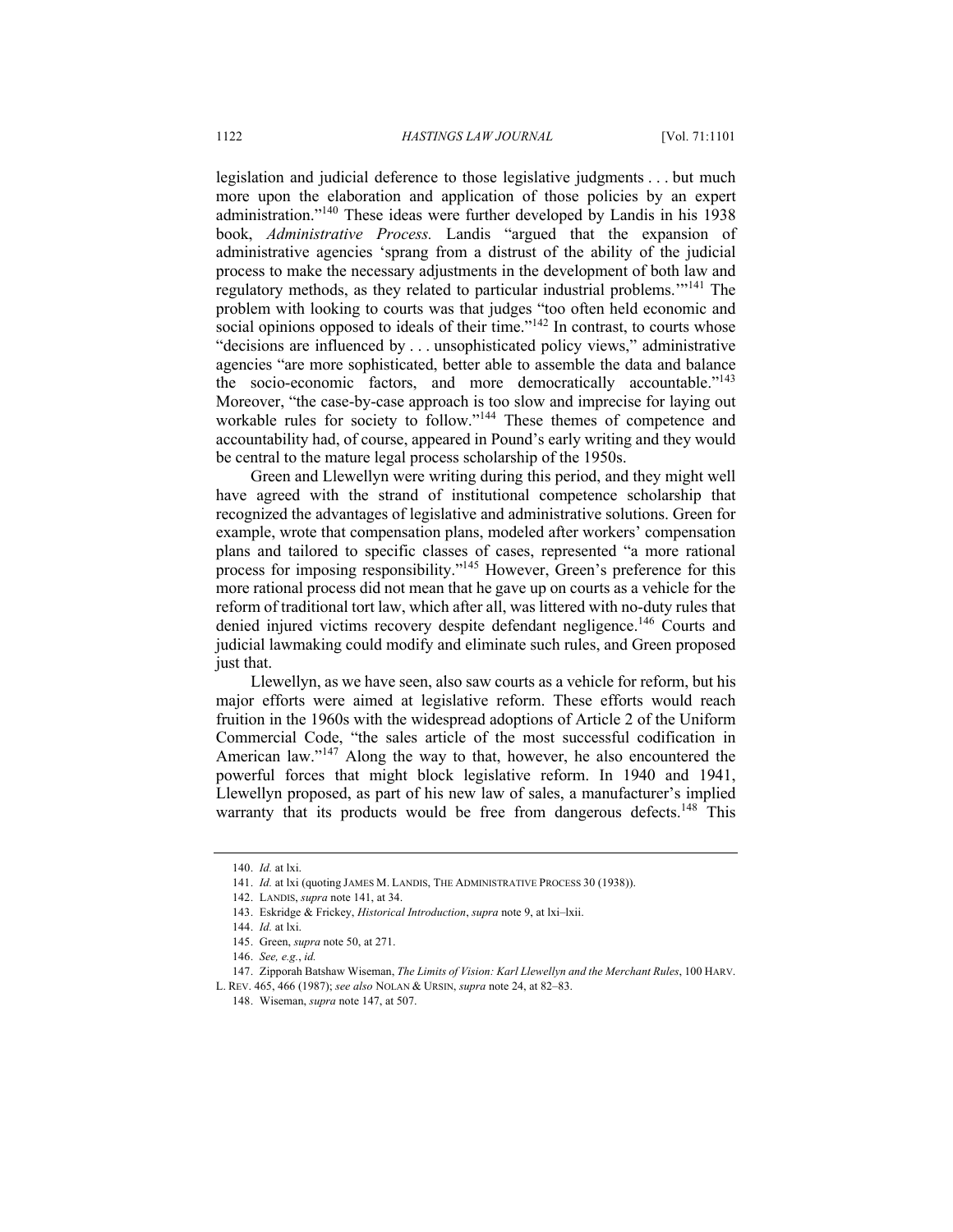legislation and judicial deference to those legislative judgments . . . but much more upon the elaboration and application of those policies by an expert administration."140 These ideas were further developed by Landis in his 1938 book, *Administrative Process.* Landis "argued that the expansion of administrative agencies 'sprang from a distrust of the ability of the judicial process to make the necessary adjustments in the development of both law and regulatory methods, as they related to particular industrial problems."<sup>141</sup> The problem with looking to courts was that judges "too often held economic and social opinions opposed to ideals of their time."<sup>142</sup> In contrast, to courts whose "decisions are influenced by . . . unsophisticated policy views," administrative agencies "are more sophisticated, better able to assemble the data and balance the socio-economic factors, and more democratically accountable."<sup>143</sup> Moreover, "the case-by-case approach is too slow and imprecise for laying out workable rules for society to follow."<sup>144</sup> These themes of competence and accountability had, of course, appeared in Pound's early writing and they would be central to the mature legal process scholarship of the 1950s.

Green and Llewellyn were writing during this period, and they might well have agreed with the strand of institutional competence scholarship that recognized the advantages of legislative and administrative solutions. Green for example, wrote that compensation plans, modeled after workers' compensation plans and tailored to specific classes of cases, represented "a more rational process for imposing responsibility."<sup>145</sup> However, Green's preference for this more rational process did not mean that he gave up on courts as a vehicle for the reform of traditional tort law, which after all, was littered with no-duty rules that denied injured victims recovery despite defendant negligence.<sup>146</sup> Courts and judicial lawmaking could modify and eliminate such rules, and Green proposed just that.

Llewellyn, as we have seen, also saw courts as a vehicle for reform, but his major efforts were aimed at legislative reform. These efforts would reach fruition in the 1960s with the widespread adoptions of Article 2 of the Uniform Commercial Code, "the sales article of the most successful codification in American law." $147$  Along the way to that, however, he also encountered the powerful forces that might block legislative reform. In 1940 and 1941, Llewellyn proposed, as part of his new law of sales, a manufacturer's implied warranty that its products would be free from dangerous defects.<sup>148</sup> This

<sup>140.</sup> *Id.* at lxi.

<sup>141.</sup> *Id.* at lxi (quoting JAMES M. LANDIS, THE ADMINISTRATIVE PROCESS 30 (1938)).

<sup>142.</sup> LANDIS, *supra* note 141, at 34.

<sup>143.</sup> Eskridge & Frickey, *Historical Introduction*, *supra* note 9, at lxi–lxii.

<sup>144.</sup> *Id.* at lxi.

<sup>145.</sup> Green, *supra* note 50, at 271.

<sup>146.</sup> *See, e.g.*, *id.*

<sup>147.</sup> Zipporah Batshaw Wiseman, *The Limits of Vision: Karl Llewellyn and the Merchant Rules*, 100 HARV.

L. REV. 465, 466 (1987); *see also* NOLAN & URSIN, *supra* note 24, at 82–83.

<sup>148.</sup> Wiseman, *supra* note 147, at 507.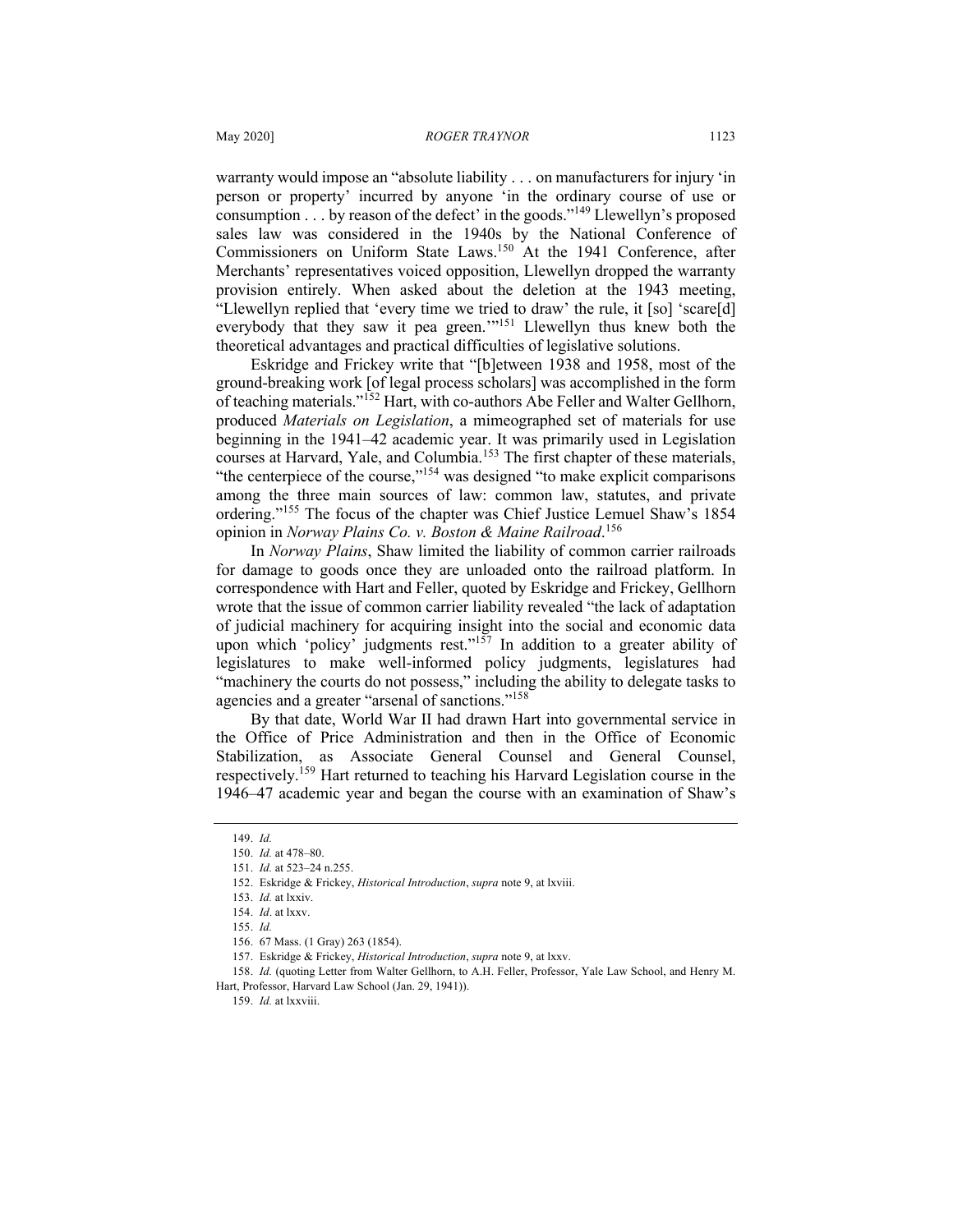warranty would impose an "absolute liability . . . on manufacturers for injury 'in person or property' incurred by anyone 'in the ordinary course of use or consumption  $\dots$  by reason of the defect' in the goods."<sup>149</sup> Llewellyn's proposed sales law was considered in the 1940s by the National Conference of Commissioners on Uniform State Laws.<sup>150</sup> At the 1941 Conference, after Merchants' representatives voiced opposition, Llewellyn dropped the warranty provision entirely. When asked about the deletion at the 1943 meeting, "Llewellyn replied that 'every time we tried to draw' the rule, it [so] 'scare[d] everybody that they saw it pea green."<sup>151</sup> Llewellyn thus knew both the theoretical advantages and practical difficulties of legislative solutions.

Eskridge and Frickey write that "[b]etween 1938 and 1958, most of the ground-breaking work [of legal process scholars] was accomplished in the form of teaching materials."<sup>152</sup> Hart, with co-authors Abe Feller and Walter Gellhorn, produced *Materials on Legislation*, a mimeographed set of materials for use beginning in the 1941–42 academic year. It was primarily used in Legislation courses at Harvard, Yale, and Columbia.<sup>153</sup> The first chapter of these materials, "the centerpiece of the course,"<sup>154</sup> was designed "to make explicit comparisons among the three main sources of law: common law, statutes, and private ordering."<sup>155</sup> The focus of the chapter was Chief Justice Lemuel Shaw's 1854 opinion in *Norway Plains Co. v. Boston & Maine Railroad*. 156

In *Norway Plains*, Shaw limited the liability of common carrier railroads for damage to goods once they are unloaded onto the railroad platform. In correspondence with Hart and Feller, quoted by Eskridge and Frickey, Gellhorn wrote that the issue of common carrier liability revealed "the lack of adaptation of judicial machinery for acquiring insight into the social and economic data upon which 'policy' judgments rest." $157$  In addition to a greater ability of legislatures to make well-informed policy judgments, legislatures had "machinery the courts do not possess," including the ability to delegate tasks to agencies and a greater "arsenal of sanctions."<sup>158</sup>

By that date, World War II had drawn Hart into governmental service in the Office of Price Administration and then in the Office of Economic Stabilization, as Associate General Counsel and General Counsel, respectively.<sup>159</sup> Hart returned to teaching his Harvard Legislation course in the 1946–47 academic year and began the course with an examination of Shaw's

158. *Id.* (quoting Letter from Walter Gellhorn, to A.H. Feller, Professor, Yale Law School, and Henry M. Hart, Professor, Harvard Law School (Jan. 29, 1941)).

<sup>149.</sup> *Id.*

<sup>150.</sup> *Id.* at 478–80.

<sup>151.</sup> *Id.* at 523–24 n.255.

<sup>152.</sup> Eskridge & Frickey, *Historical Introduction*, *supra* note 9, at lxviii.

<sup>153.</sup> *Id.* at lxxiv.

<sup>154.</sup> *Id*. at lxxv.

<sup>155.</sup> *Id.*

<sup>156.</sup> 67 Mass. (1 Gray) 263 (1854).

<sup>157.</sup> Eskridge & Frickey, *Historical Introduction*, *supra* note 9, at lxxv.

<sup>159.</sup> *Id.* at lxxviii.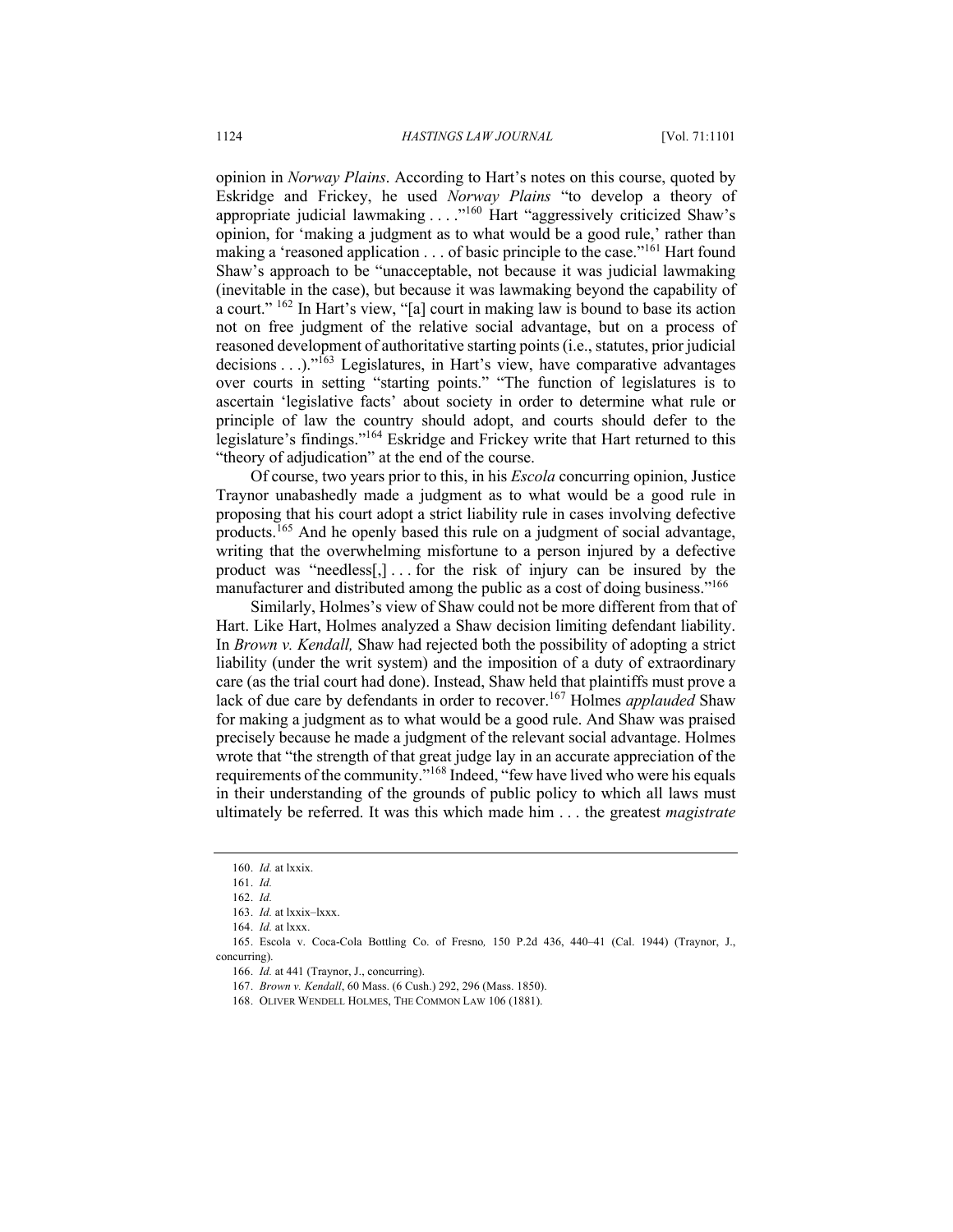opinion in *Norway Plains*. According to Hart's notes on this course, quoted by Eskridge and Frickey, he used *Norway Plains* "to develop a theory of appropriate judicial lawmaking . . . ."<sup>160</sup> Hart "aggressively criticized Shaw's opinion, for 'making a judgment as to what would be a good rule,' rather than making a 'reasoned application . . . of basic principle to the case."<sup>161</sup> Hart found Shaw's approach to be "unacceptable, not because it was judicial lawmaking (inevitable in the case), but because it was lawmaking beyond the capability of a court." <sup>162</sup> In Hart's view, "[a] court in making law is bound to base its action not on free judgment of the relative social advantage, but on a process of reasoned development of authoritative starting points (i.e., statutes, prior judicial decisions . . .)."<sup>163</sup> Legislatures, in Hart's view, have comparative advantages over courts in setting "starting points." "The function of legislatures is to ascertain 'legislative facts' about society in order to determine what rule or principle of law the country should adopt, and courts should defer to the legislature's findings."<sup>164</sup> Eskridge and Frickey write that Hart returned to this "theory of adjudication" at the end of the course.

Of course, two years prior to this, in his *Escola* concurring opinion, Justice Traynor unabashedly made a judgment as to what would be a good rule in proposing that his court adopt a strict liability rule in cases involving defective products.<sup>165</sup> And he openly based this rule on a judgment of social advantage, writing that the overwhelming misfortune to a person injured by a defective product was "needless[,]... for the risk of injury can be insured by the manufacturer and distributed among the public as a cost of doing business."<sup>166</sup>

Similarly, Holmes's view of Shaw could not be more different from that of Hart. Like Hart, Holmes analyzed a Shaw decision limiting defendant liability. In *Brown v. Kendall,* Shaw had rejected both the possibility of adopting a strict liability (under the writ system) and the imposition of a duty of extraordinary care (as the trial court had done). Instead, Shaw held that plaintiffs must prove a lack of due care by defendants in order to recover.<sup>167</sup> Holmes *applauded* Shaw for making a judgment as to what would be a good rule. And Shaw was praised precisely because he made a judgment of the relevant social advantage. Holmes wrote that "the strength of that great judge lay in an accurate appreciation of the requirements of the community."<sup>168</sup> Indeed, "few have lived who were his equals in their understanding of the grounds of public policy to which all laws must ultimately be referred. It was this which made him . . . the greatest *magistrate*

<sup>160.</sup> *Id.* at lxxix.

<sup>161.</sup> *Id.*

<sup>162.</sup> *Id.*

<sup>163.</sup> *Id.* at lxxix–lxxx.

<sup>164.</sup> *Id.* at lxxx.

<sup>165.</sup> Escola v. Coca-Cola Bottling Co. of Fresno*,* 150 P.2d 436, 440–41 (Cal. 1944) (Traynor, J., concurring).

<sup>166.</sup> *Id.* at 441 (Traynor, J., concurring).

<sup>167.</sup> *Brown v. Kendall*, 60 Mass. (6 Cush.) 292, 296 (Mass. 1850).

<sup>168.</sup> OLIVER WENDELL HOLMES, THE COMMON LAW 106 (1881).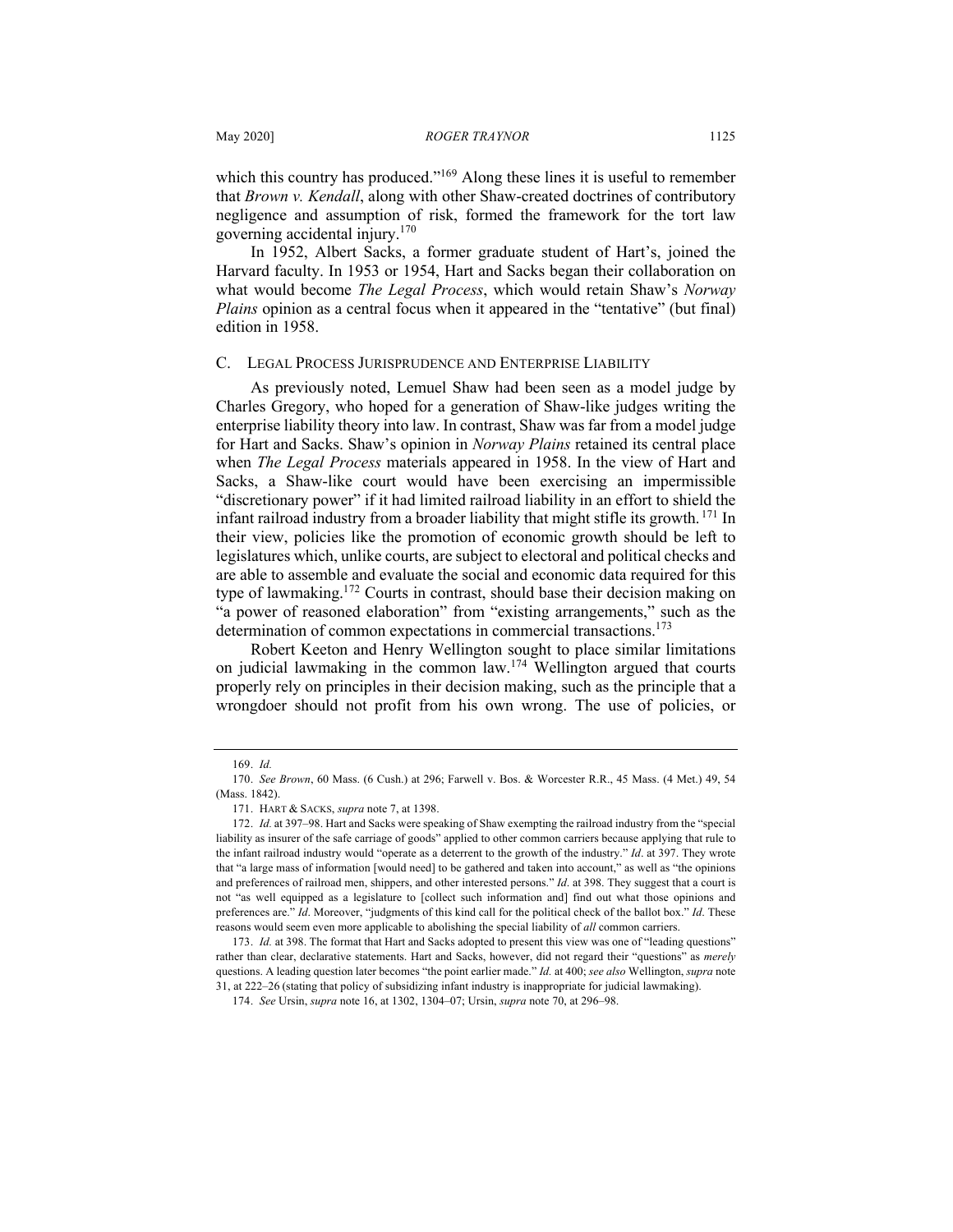which this country has produced."<sup>169</sup> Along these lines it is useful to remember that *Brown v. Kendall*, along with other Shaw-created doctrines of contributory negligence and assumption of risk, formed the framework for the tort law governing accidental injury.170

In 1952, Albert Sacks, a former graduate student of Hart's, joined the Harvard faculty. In 1953 or 1954, Hart and Sacks began their collaboration on what would become *The Legal Process*, which would retain Shaw's *Norway Plains* opinion as a central focus when it appeared in the "tentative" (but final) edition in 1958.

#### C. LEGAL PROCESS JURISPRUDENCE AND ENTERPRISE LIABILITY

As previously noted, Lemuel Shaw had been seen as a model judge by Charles Gregory, who hoped for a generation of Shaw-like judges writing the enterprise liability theory into law. In contrast, Shaw was far from a model judge for Hart and Sacks. Shaw's opinion in *Norway Plains* retained its central place when *The Legal Process* materials appeared in 1958. In the view of Hart and Sacks, a Shaw-like court would have been exercising an impermissible "discretionary power" if it had limited railroad liability in an effort to shield the infant railroad industry from a broader liability that might stifle its growth. <sup>171</sup> In their view, policies like the promotion of economic growth should be left to legislatures which, unlike courts, are subject to electoral and political checks and are able to assemble and evaluate the social and economic data required for this type of lawmaking.<sup>172</sup> Courts in contrast, should base their decision making on "a power of reasoned elaboration" from "existing arrangements," such as the determination of common expectations in commercial transactions.<sup>173</sup>

Robert Keeton and Henry Wellington sought to place similar limitations on judicial lawmaking in the common law.<sup>174</sup> Wellington argued that courts properly rely on principles in their decision making, such as the principle that a wrongdoer should not profit from his own wrong. The use of policies, or

<sup>169.</sup> *Id.*

<sup>170.</sup> *See Brown*, 60 Mass. (6 Cush.) at 296; Farwell v. Bos. & Worcester R.R., 45 Mass. (4 Met.) 49, 54 (Mass. 1842).

<sup>171.</sup> HART & SACKS, *supra* note 7, at 1398.

<sup>172.</sup> *Id.* at 397–98. Hart and Sacks were speaking of Shaw exempting the railroad industry from the "special liability as insurer of the safe carriage of goods" applied to other common carriers because applying that rule to the infant railroad industry would "operate as a deterrent to the growth of the industry." *Id*. at 397. They wrote that "a large mass of information [would need] to be gathered and taken into account," as well as "the opinions and preferences of railroad men, shippers, and other interested persons." *Id*. at 398. They suggest that a court is not "as well equipped as a legislature to [collect such information and] find out what those opinions and preferences are." *Id*. Moreover, "judgments of this kind call for the political check of the ballot box." *Id*. These reasons would seem even more applicable to abolishing the special liability of *all* common carriers.

<sup>173.</sup> *Id.* at 398. The format that Hart and Sacks adopted to present this view was one of "leading questions" rather than clear, declarative statements. Hart and Sacks, however, did not regard their "questions" as *merely* questions. A leading question later becomes "the point earlier made." *Id.* at 400; *see also* Wellington, *supra* note 31, at 222–26 (stating that policy of subsidizing infant industry is inappropriate for judicial lawmaking).

<sup>174.</sup> *See* Ursin, *supra* note 16, at 1302, 1304–07; Ursin, *supra* note 70, at 296–98.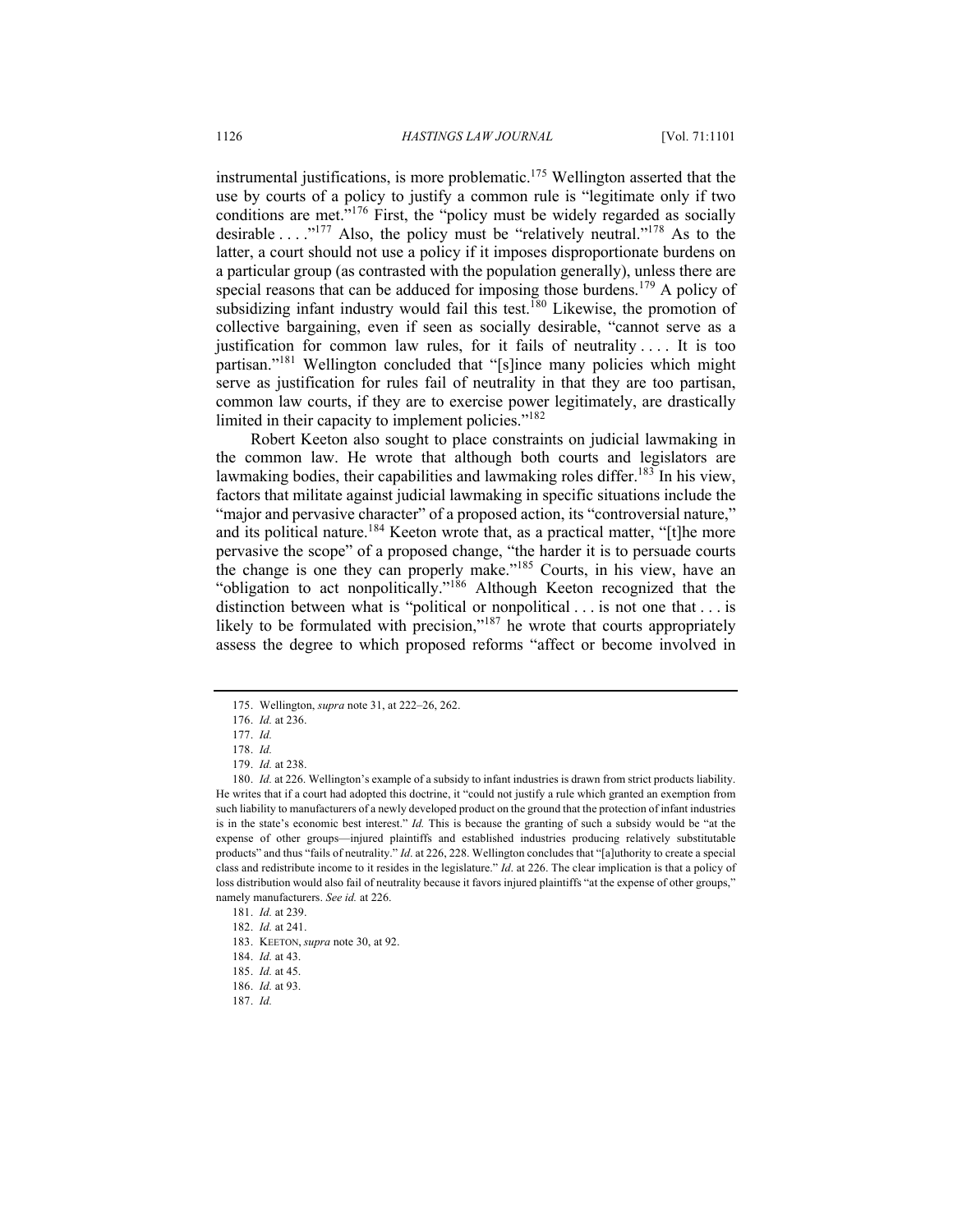instrumental justifications, is more problematic.<sup>175</sup> Wellington asserted that the use by courts of a policy to justify a common rule is "legitimate only if two conditions are met.<sup>"176</sup> First, the "policy must be widely regarded as socially desirable  $\dots$ ."<sup>177</sup> Also, the policy must be "relatively neutral."<sup>178</sup> As to the latter, a court should not use a policy if it imposes disproportionate burdens on a particular group (as contrasted with the population generally), unless there are special reasons that can be adduced for imposing those burdens.<sup>179</sup> A policy of subsidizing infant industry would fail this test.<sup>180</sup> Likewise, the promotion of collective bargaining, even if seen as socially desirable, "cannot serve as a justification for common law rules, for it fails of neutrality .... It is too partisan."<sup>181</sup> Wellington concluded that "[s]ince many policies which might serve as justification for rules fail of neutrality in that they are too partisan, common law courts, if they are to exercise power legitimately, are drastically limited in their capacity to implement policies."<sup>182</sup>

Robert Keeton also sought to place constraints on judicial lawmaking in the common law. He wrote that although both courts and legislators are lawmaking bodies, their capabilities and lawmaking roles differ.<sup>183</sup> In his view, factors that militate against judicial lawmaking in specific situations include the "major and pervasive character" of a proposed action, its "controversial nature," and its political nature.<sup>184</sup> Keeton wrote that, as a practical matter, "[t]he more pervasive the scope" of a proposed change, "the harder it is to persuade courts the change is one they can properly make."<sup>185</sup> Courts, in his view, have an "obligation to act nonpolitically."186 Although Keeton recognized that the distinction between what is "political or nonpolitical . . . is not one that . . . is likely to be formulated with precision,"<sup>187</sup> he wrote that courts appropriately assess the degree to which proposed reforms "affect or become involved in

<sup>175.</sup> Wellington, *supra* note 31, at 222–26, 262.

<sup>176.</sup> *Id.* at 236.

<sup>177.</sup> *Id.*

<sup>178.</sup> *Id.*

<sup>179.</sup> *Id.* at 238.

<sup>180.</sup> *Id.* at 226. Wellington's example of a subsidy to infant industries is drawn from strict products liability. He writes that if a court had adopted this doctrine, it "could not justify a rule which granted an exemption from such liability to manufacturers of a newly developed product on the ground that the protection of infant industries is in the state's economic best interest." *Id.* This is because the granting of such a subsidy would be "at the expense of other groups—injured plaintiffs and established industries producing relatively substitutable products" and thus "fails of neutrality." *Id*. at 226, 228. Wellington concludes that "[a]uthority to create a special class and redistribute income to it resides in the legislature." *Id*. at 226. The clear implication is that a policy of loss distribution would also fail of neutrality because it favors injured plaintiffs "at the expense of other groups," namely manufacturers. *See id.* at 226.

<sup>181.</sup> *Id.* at 239.

<sup>182.</sup> *Id.* at 241.

<sup>183.</sup> KEETON, *supra* note 30, at 92.

<sup>184.</sup> *Id.* at 43.

<sup>185.</sup> *Id.* at 45.

<sup>186.</sup> *Id.* at 93.

<sup>187.</sup> *Id.*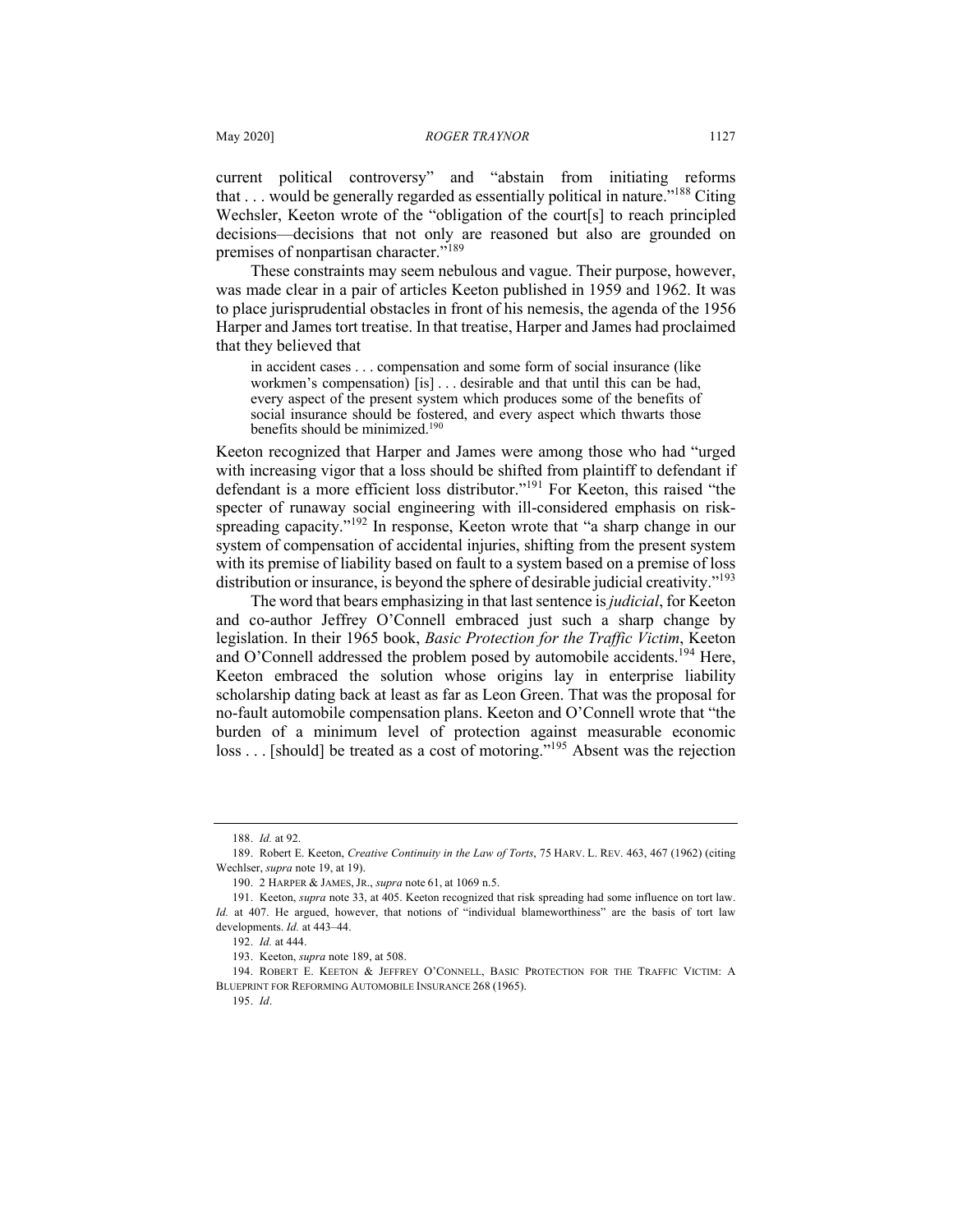current political controversy" and "abstain from initiating reforms that  $\dots$  would be generally regarded as essentially political in nature.<sup> $188$ </sup> Citing Wechsler, Keeton wrote of the "obligation of the court[s] to reach principled decisions—decisions that not only are reasoned but also are grounded on premises of nonpartisan character."<sup>189</sup>

These constraints may seem nebulous and vague. Their purpose, however, was made clear in a pair of articles Keeton published in 1959 and 1962. It was to place jurisprudential obstacles in front of his nemesis, the agenda of the 1956 Harper and James tort treatise. In that treatise, Harper and James had proclaimed that they believed that

in accident cases . . . compensation and some form of social insurance (like workmen's compensation) [is] . . . desirable and that until this can be had, every aspect of the present system which produces some of the benefits of social insurance should be fostered, and every aspect which thwarts those benefits should be minimized.<sup>190</sup>

Keeton recognized that Harper and James were among those who had "urged with increasing vigor that a loss should be shifted from plaintiff to defendant if defendant is a more efficient loss distributor."<sup>191</sup> For Keeton, this raised "the specter of runaway social engineering with ill-considered emphasis on riskspreading capacity."<sup>192</sup> In response, Keeton wrote that "a sharp change in our system of compensation of accidental injuries, shifting from the present system with its premise of liability based on fault to a system based on a premise of loss distribution or insurance, is beyond the sphere of desirable judicial creativity."<sup>193</sup>

The word that bears emphasizing in that last sentence is *judicial*, for Keeton and co-author Jeffrey O'Connell embraced just such a sharp change by legislation. In their 1965 book, *Basic Protection for the Traffic Victim*, Keeton and O'Connell addressed the problem posed by automobile accidents.<sup>194</sup> Here, Keeton embraced the solution whose origins lay in enterprise liability scholarship dating back at least as far as Leon Green. That was the proposal for no-fault automobile compensation plans. Keeton and O'Connell wrote that "the burden of a minimum level of protection against measurable economic loss . . . [should] be treated as a cost of motoring."<sup>195</sup> Absent was the rejection

<sup>188.</sup> *Id.* at 92.

<sup>189.</sup> Robert E. Keeton, *Creative Continuity in the Law of Torts*, 75 HARV. L. REV. 463, 467 (1962) (citing Wechlser, *supra* note 19, at 19).

<sup>190.</sup> 2 HARPER & JAMES, JR., *supra* note 61, at 1069 n.5.

<sup>191.</sup> Keeton, *supra* note 33, at 405. Keeton recognized that risk spreading had some influence on tort law. *Id.* at 407. He argued, however, that notions of "individual blameworthiness" are the basis of tort law developments. *Id.* at 443–44.

<sup>192.</sup> *Id.* at 444.

<sup>193.</sup> Keeton, *supra* note 189, at 508.

<sup>194.</sup> ROBERT E. KEETON & JEFFREY O'CONNELL, BASIC PROTECTION FOR THE TRAFFIC VICTIM: A BLUEPRINT FOR REFORMING AUTOMOBILE INSURANCE 268 (1965).

<sup>195.</sup> *Id*.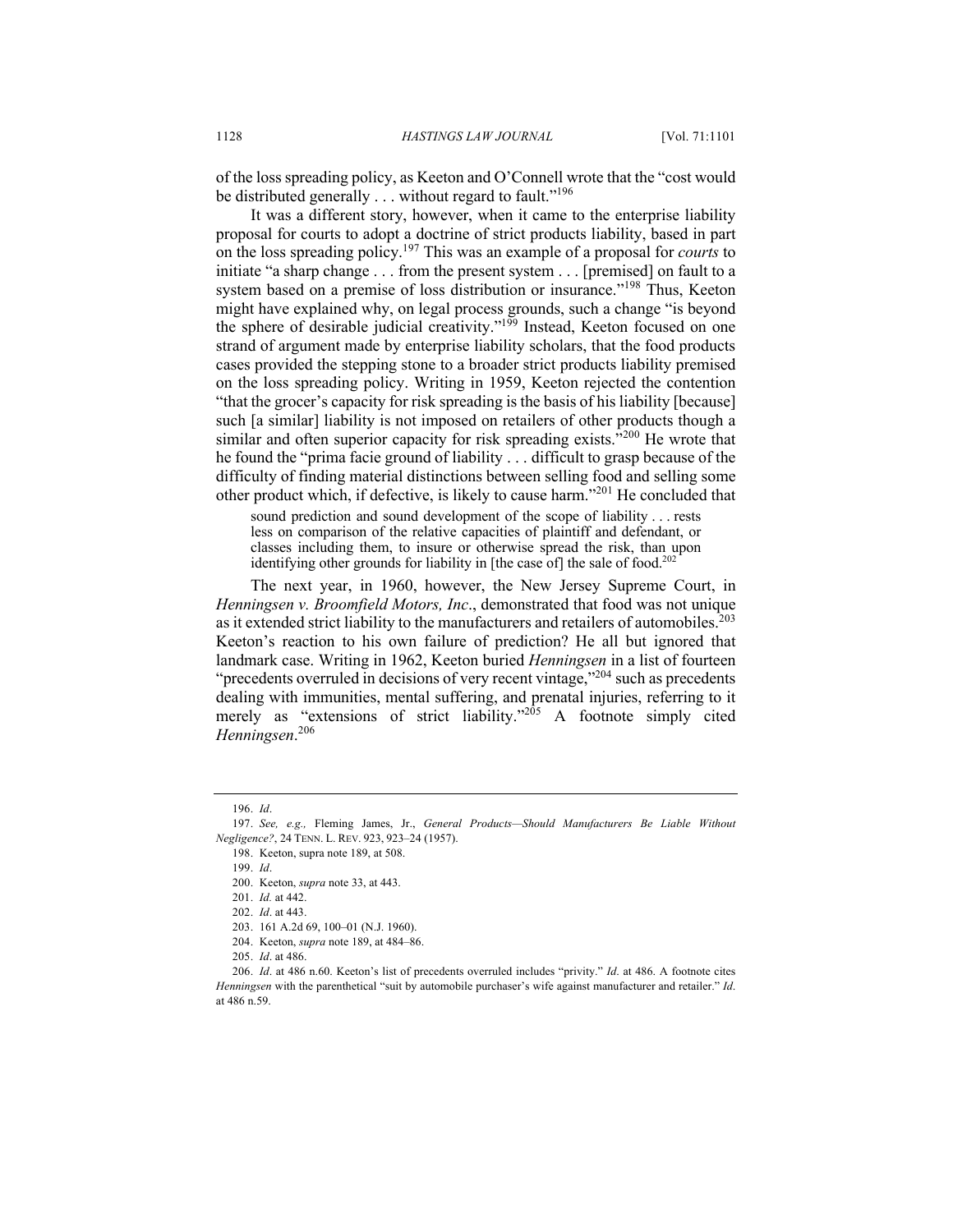of the loss spreading policy, as Keeton and O'Connell wrote that the "cost would be distributed generally . . . without regard to fault."<sup>196</sup>

It was a different story, however, when it came to the enterprise liability proposal for courts to adopt a doctrine of strict products liability, based in part on the loss spreading policy.<sup>197</sup> This was an example of a proposal for *courts* to initiate "a sharp change . . . from the present system . . . [premised] on fault to a system based on a premise of loss distribution or insurance."<sup>198</sup> Thus, Keeton might have explained why, on legal process grounds, such a change "is beyond the sphere of desirable judicial creativity."<sup>199</sup> Instead, Keeton focused on one strand of argument made by enterprise liability scholars, that the food products cases provided the stepping stone to a broader strict products liability premised on the loss spreading policy. Writing in 1959, Keeton rejected the contention "that the grocer's capacity for risk spreading is the basis of his liability [because] such [a similar] liability is not imposed on retailers of other products though a similar and often superior capacity for risk spreading exists."<sup>200</sup> He wrote that he found the "prima facie ground of liability . . . difficult to grasp because of the difficulty of finding material distinctions between selling food and selling some other product which, if defective, is likely to cause harm."<sup>201</sup> He concluded that

sound prediction and sound development of the scope of liability . . . rests less on comparison of the relative capacities of plaintiff and defendant, or classes including them, to insure or otherwise spread the risk, than upon identifying other grounds for liability in [the case of] the sale of food.<sup>202</sup>

The next year, in 1960, however, the New Jersey Supreme Court, in *Henningsen v. Broomfield Motors, Inc*., demonstrated that food was not unique as it extended strict liability to the manufacturers and retailers of automobiles.<sup>203</sup> Keeton's reaction to his own failure of prediction? He all but ignored that landmark case. Writing in 1962, Keeton buried *Henningsen* in a list of fourteen "precedents overruled in decisions of very recent vintage,"<sup>204</sup> such as precedents dealing with immunities, mental suffering, and prenatal injuries, referring to it merely as "extensions of strict liability."<sup>205</sup> A footnote simply cited *Henningsen*. 206

<sup>196.</sup> *Id*.

<sup>197.</sup> *See, e.g.,* Fleming James, Jr., *General Products—Should Manufacturers Be Liable Without Negligence?*, 24 TENN. L. REV. 923, 923–24 (1957).

<sup>198.</sup> Keeton, supra note 189, at 508.

<sup>199.</sup> *Id*.

<sup>200.</sup> Keeton, *supra* note 33, at 443.

<sup>201.</sup> *Id.* at 442.

<sup>202.</sup> *Id*. at 443.

<sup>203.</sup> 161 A.2d 69, 100–01 (N.J. 1960).

<sup>204.</sup> Keeton, *supra* note 189, at 484–86.

<sup>205.</sup> *Id*. at 486.

<sup>206.</sup> *Id*. at 486 n.60. Keeton's list of precedents overruled includes "privity." *Id*. at 486. A footnote cites *Henningsen* with the parenthetical "suit by automobile purchaser's wife against manufacturer and retailer." *Id*. at 486 n.59.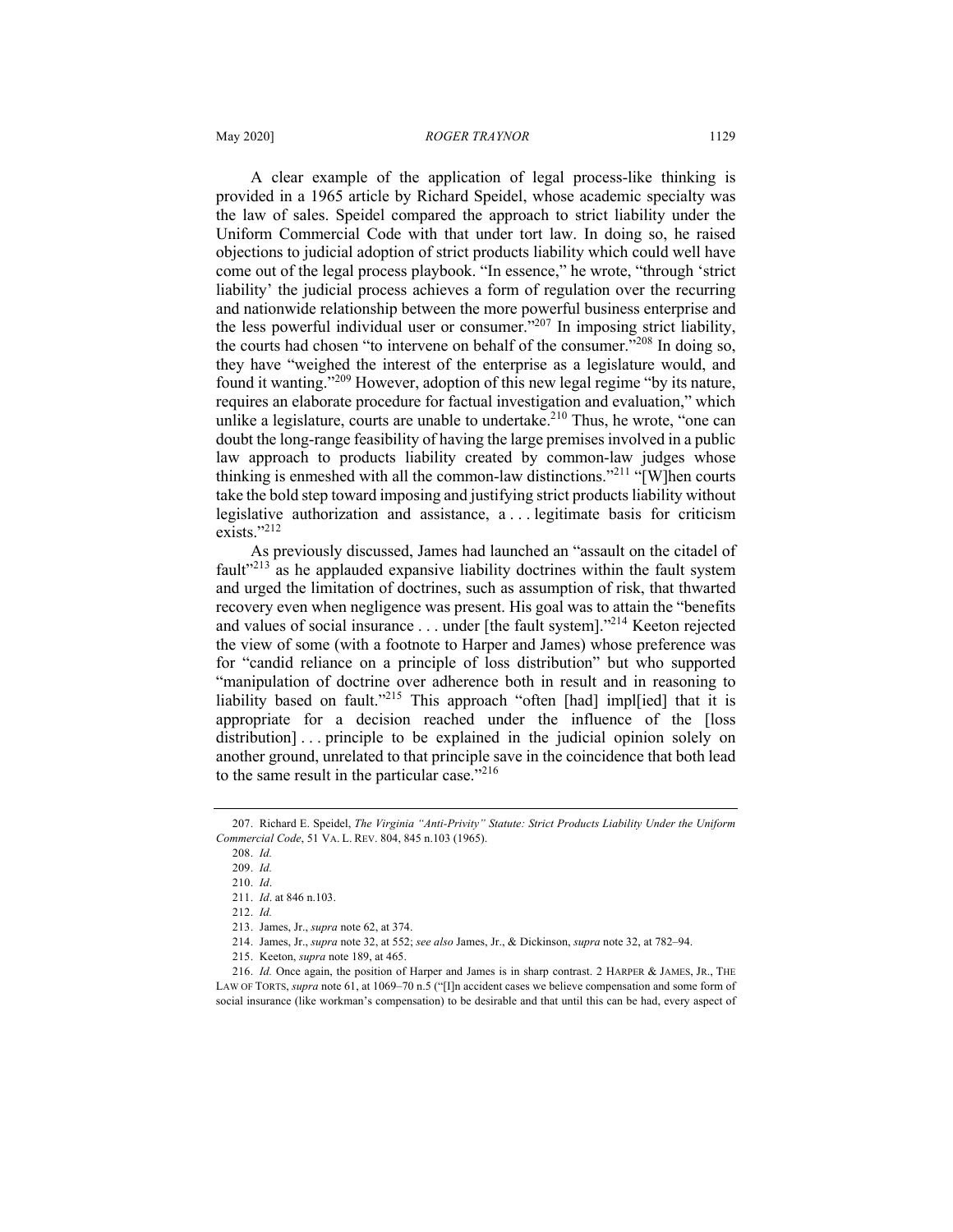A clear example of the application of legal process-like thinking is provided in a 1965 article by Richard Speidel, whose academic specialty was the law of sales. Speidel compared the approach to strict liability under the Uniform Commercial Code with that under tort law. In doing so, he raised objections to judicial adoption of strict products liability which could well have come out of the legal process playbook. "In essence," he wrote, "through 'strict liability' the judicial process achieves a form of regulation over the recurring and nationwide relationship between the more powerful business enterprise and the less powerful individual user or consumer. $v^{207}$  In imposing strict liability, the courts had chosen "to intervene on behalf of the consumer."<sup>208</sup> In doing so, they have "weighed the interest of the enterprise as a legislature would, and found it wanting."<sup>209</sup> However, adoption of this new legal regime "by its nature, requires an elaborate procedure for factual investigation and evaluation," which unlike a legislature, courts are unable to undertake.<sup>210</sup> Thus, he wrote, "one can doubt the long-range feasibility of having the large premises involved in a public law approach to products liability created by common-law judges whose thinking is enmeshed with all the common-law distinctions."<sup>211</sup> "[W]hen courts take the bold step toward imposing and justifying strict products liability without legislative authorization and assistance, a . . . legitimate basis for criticism exists."<sup>212</sup>

As previously discussed, James had launched an "assault on the citadel of fault<sup> $213$ </sup> as he applauded expansive liability doctrines within the fault system and urged the limitation of doctrines, such as assumption of risk, that thwarted recovery even when negligence was present. His goal was to attain the "benefits and values of social insurance . . . under [the fault system]."214 Keeton rejected the view of some (with a footnote to Harper and James) whose preference was for "candid reliance on a principle of loss distribution" but who supported "manipulation of doctrine over adherence both in result and in reasoning to liability based on fault."<sup>215</sup> This approach "often [had] impl[ied] that it is appropriate for a decision reached under the influence of the [loss distribution]... principle to be explained in the judicial opinion solely on another ground, unrelated to that principle save in the coincidence that both lead to the same result in the particular case."<sup>216</sup>

<sup>207.</sup> Richard E. Speidel, *The Virginia "Anti-Privity" Statute: Strict Products Liability Under the Uniform Commercial Code*, 51 VA. L. REV. 804, 845 n.103 (1965).

<sup>208.</sup> *Id.*

<sup>209.</sup> *Id.* 210. *Id*.

<sup>211.</sup> *Id*. at 846 n.103.

<sup>212.</sup> *Id.*

<sup>213.</sup> James, Jr., *supra* note 62, at 374.

<sup>214.</sup> James, Jr., *supra* note 32, at 552; *see also* James, Jr., & Dickinson, *supra* note 32, at 782–94.

<sup>215.</sup> Keeton, *supra* note 189, at 465.

<sup>216.</sup> *Id.* Once again, the position of Harper and James is in sharp contrast. 2 HARPER & JAMES, JR., THE LAW OF TORTS, *supra* note 61, at 1069–70 n.5 ("[I]n accident cases we believe compensation and some form of social insurance (like workman's compensation) to be desirable and that until this can be had, every aspect of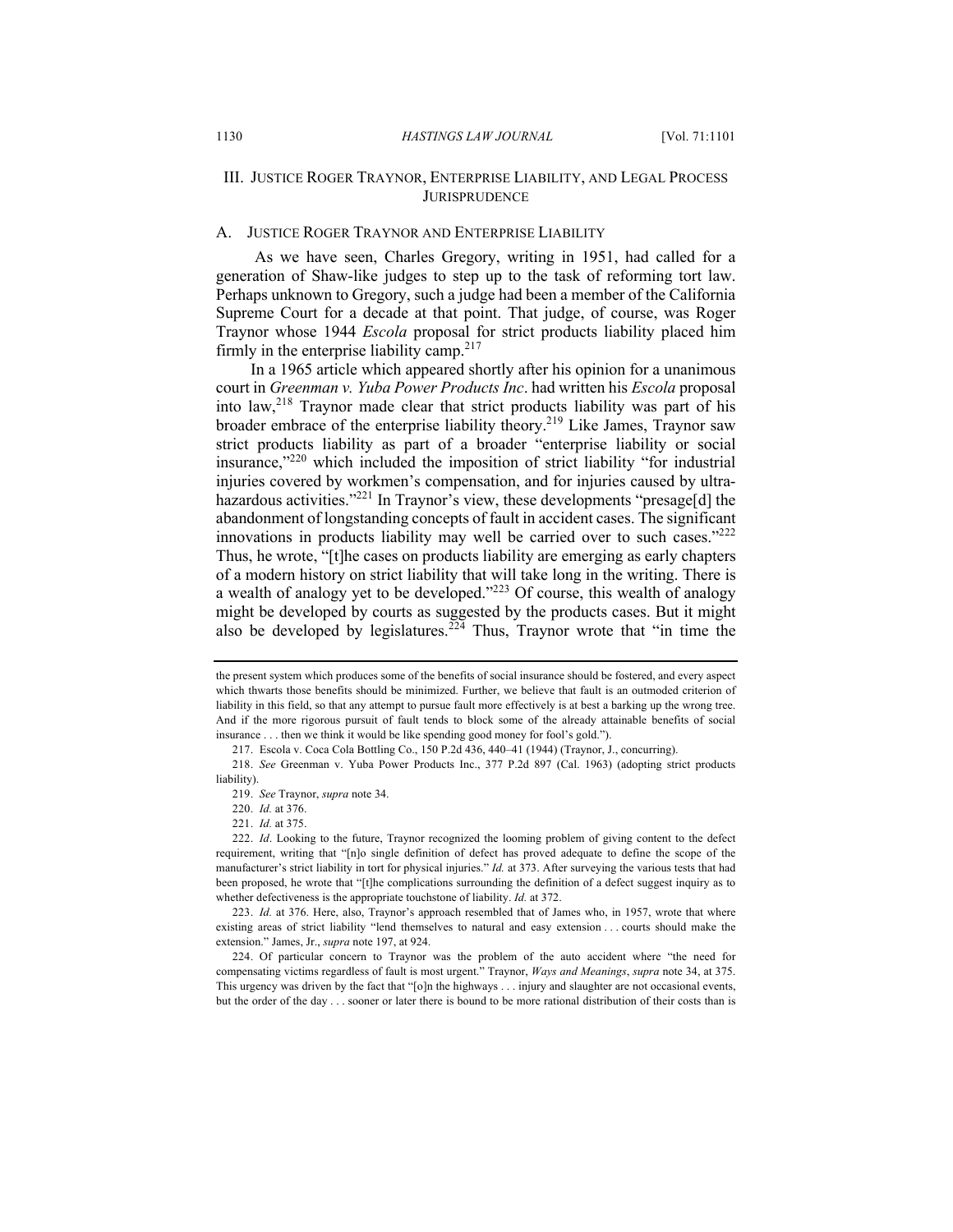# III. JUSTICE ROGER TRAYNOR, ENTERPRISE LIABILITY, AND LEGAL PROCESS **JURISPRUDENCE**

#### A. JUSTICE ROGER TRAYNOR AND ENTERPRISE LIABILITY

As we have seen, Charles Gregory, writing in 1951, had called for a generation of Shaw-like judges to step up to the task of reforming tort law. Perhaps unknown to Gregory, such a judge had been a member of the California Supreme Court for a decade at that point. That judge, of course, was Roger Traynor whose 1944 *Escola* proposal for strict products liability placed him firmly in the enterprise liability camp. $217$ 

In a 1965 article which appeared shortly after his opinion for a unanimous court in *Greenman v. Yuba Power Products Inc*. had written his *Escola* proposal into law,<sup>218</sup> Traynor made clear that strict products liability was part of his broader embrace of the enterprise liability theory.<sup>219</sup> Like James, Traynor saw strict products liability as part of a broader "enterprise liability or social insurance,"220 which included the imposition of strict liability "for industrial injuries covered by workmen's compensation, and for injuries caused by ultrahazardous activities."<sup>221</sup> In Traynor's view, these developments "presage[d] the abandonment of longstanding concepts of fault in accident cases. The significant innovations in products liability may well be carried over to such cases." $222$ Thus, he wrote, "[t]he cases on products liability are emerging as early chapters of a modern history on strict liability that will take long in the writing. There is a wealth of analogy yet to be developed."<sup>223</sup> Of course, this wealth of analogy might be developed by courts as suggested by the products cases. But it might also be developed by legislatures.<sup>224</sup> Thus, Traynor wrote that "in time the

the present system which produces some of the benefits of social insurance should be fostered, and every aspect which thwarts those benefits should be minimized. Further, we believe that fault is an outmoded criterion of liability in this field, so that any attempt to pursue fault more effectively is at best a barking up the wrong tree. And if the more rigorous pursuit of fault tends to block some of the already attainable benefits of social insurance . . . then we think it would be like spending good money for fool's gold.").

<sup>217.</sup> Escola v. Coca Cola Bottling Co., 150 P.2d 436, 440–41 (1944) (Traynor, J., concurring).

<sup>218.</sup> *See* Greenman v. Yuba Power Products Inc., 377 P.2d 897 (Cal. 1963) (adopting strict products liability).

<sup>219.</sup> *See* Traynor, *supra* note 34.

<sup>220.</sup> *Id.* at 376.

<sup>221.</sup> *Id.* at 375.

<sup>222.</sup> *Id*. Looking to the future, Traynor recognized the looming problem of giving content to the defect requirement, writing that "[n]o single definition of defect has proved adequate to define the scope of the manufacturer's strict liability in tort for physical injuries." *Id.* at 373. After surveying the various tests that had been proposed, he wrote that "[t]he complications surrounding the definition of a defect suggest inquiry as to whether defectiveness is the appropriate touchstone of liability. *Id.* at 372.

<sup>223.</sup> *Id.* at 376. Here, also, Traynor's approach resembled that of James who, in 1957, wrote that where existing areas of strict liability "lend themselves to natural and easy extension . . . courts should make the extension." James, Jr., *supra* note 197, at 924.

<sup>224.</sup> Of particular concern to Traynor was the problem of the auto accident where "the need for compensating victims regardless of fault is most urgent." Traynor, *Ways and Meanings*, *supra* note 34, at 375. This urgency was driven by the fact that "[o]n the highways . . . injury and slaughter are not occasional events, but the order of the day . . . sooner or later there is bound to be more rational distribution of their costs than is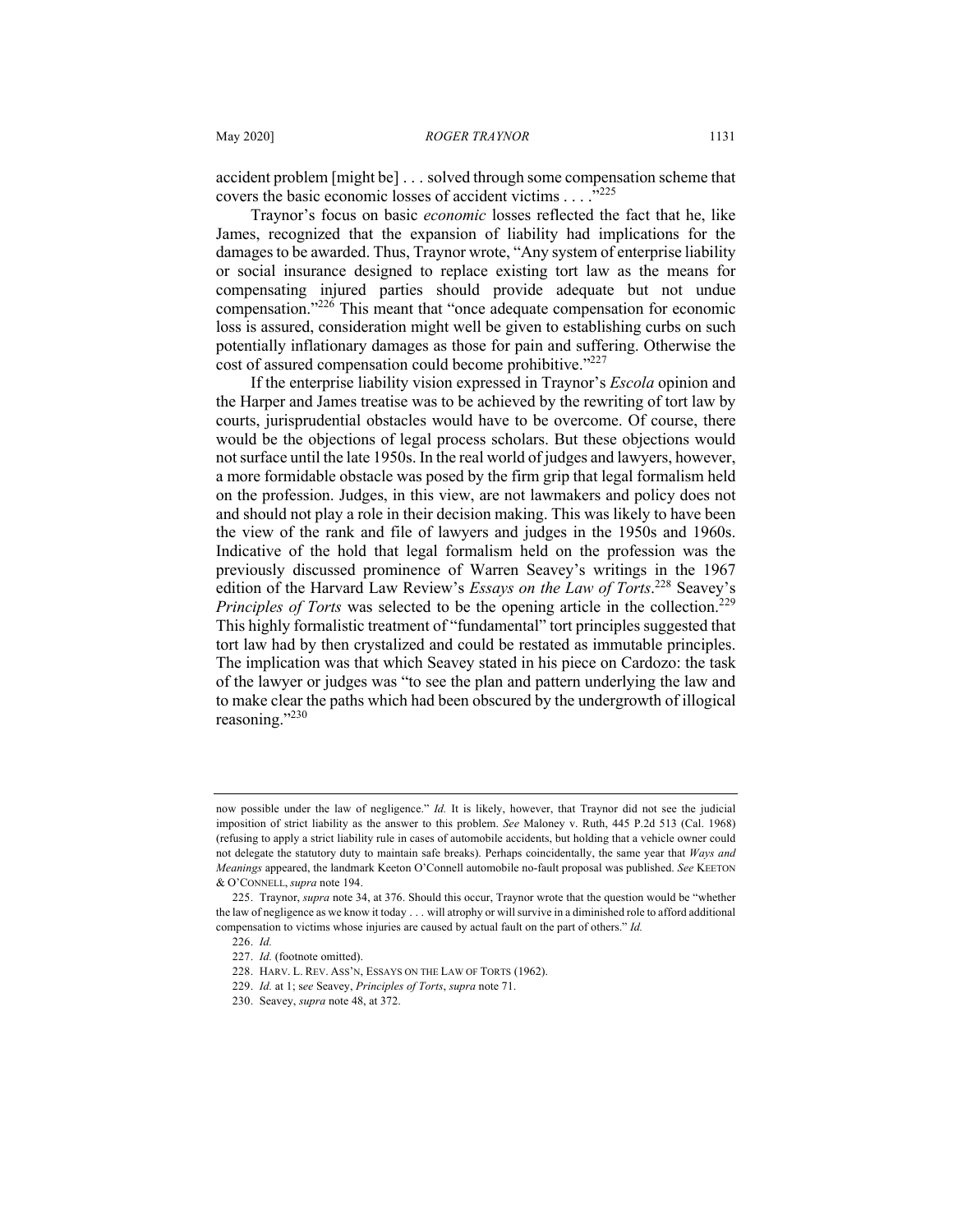accident problem [might be] . . . solved through some compensation scheme that covers the basic economic losses of accident victims  $\ldots$ <sup>5225</sup>

Traynor's focus on basic *economic* losses reflected the fact that he, like James, recognized that the expansion of liability had implications for the damages to be awarded. Thus, Traynor wrote, "Any system of enterprise liability or social insurance designed to replace existing tort law as the means for compensating injured parties should provide adequate but not undue compensation."<sup>226</sup> This meant that "once adequate compensation for economic loss is assured, consideration might well be given to establishing curbs on such potentially inflationary damages as those for pain and suffering. Otherwise the cost of assured compensation could become prohibitive."<sup>227</sup>

If the enterprise liability vision expressed in Traynor's *Escola* opinion and the Harper and James treatise was to be achieved by the rewriting of tort law by courts, jurisprudential obstacles would have to be overcome. Of course, there would be the objections of legal process scholars. But these objections would not surface until the late 1950s. In the real world of judges and lawyers, however, a more formidable obstacle was posed by the firm grip that legal formalism held on the profession. Judges, in this view, are not lawmakers and policy does not and should not play a role in their decision making. This was likely to have been the view of the rank and file of lawyers and judges in the 1950s and 1960s. Indicative of the hold that legal formalism held on the profession was the previously discussed prominence of Warren Seavey's writings in the 1967 edition of the Harvard Law Review's *Essays on the Law of Torts*. <sup>228</sup> Seavey's *Principles of Torts* was selected to be the opening article in the collection.<sup>229</sup> This highly formalistic treatment of "fundamental" tort principles suggested that tort law had by then crystalized and could be restated as immutable principles. The implication was that which Seavey stated in his piece on Cardozo: the task of the lawyer or judges was "to see the plan and pattern underlying the law and to make clear the paths which had been obscured by the undergrowth of illogical reasoning."<sup>230</sup>

now possible under the law of negligence." *Id.* It is likely, however, that Traynor did not see the judicial imposition of strict liability as the answer to this problem. *See* Maloney v. Ruth, 445 P.2d 513 (Cal. 1968) (refusing to apply a strict liability rule in cases of automobile accidents, but holding that a vehicle owner could not delegate the statutory duty to maintain safe breaks). Perhaps coincidentally, the same year that *Ways and Meanings* appeared, the landmark Keeton O'Connell automobile no-fault proposal was published. *See* KEETON & O'CONNELL, *supra* note 194.

<sup>225.</sup> Traynor, *supra* note 34, at 376. Should this occur, Traynor wrote that the question would be "whether the law of negligence as we know it today . . . will atrophy or will survive in a diminished role to afford additional compensation to victims whose injuries are caused by actual fault on the part of others." *Id.*

<sup>226.</sup> *Id.*

<sup>227.</sup> *Id.* (footnote omitted).

<sup>228.</sup> HARV. L. REV. ASS'N, ESSAYS ON THE LAW OF TORTS (1962).

<sup>229.</sup> *Id.* at 1; s*ee* Seavey, *Principles of Torts*, *supra* note 71.

<sup>230.</sup> Seavey, *supra* note 48, at 372.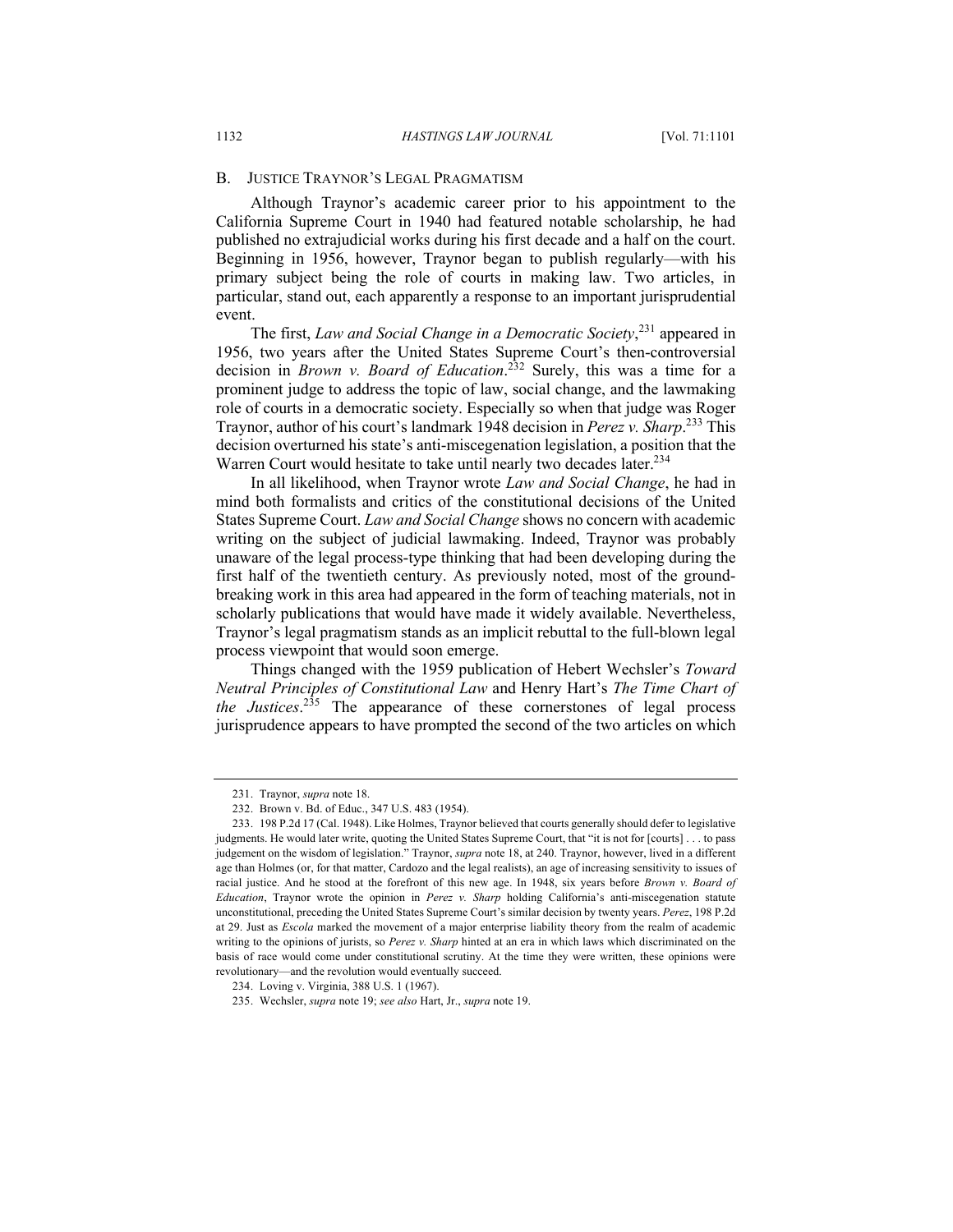#### B. JUSTICE TRAYNOR'S LEGAL PRAGMATISM

Although Traynor's academic career prior to his appointment to the California Supreme Court in 1940 had featured notable scholarship, he had published no extrajudicial works during his first decade and a half on the court. Beginning in 1956, however, Traynor began to publish regularly—with his primary subject being the role of courts in making law. Two articles, in particular, stand out, each apparently a response to an important jurisprudential event.

The first, *Law and Social Change in a Democratic Society*, <sup>231</sup> appeared in 1956, two years after the United States Supreme Court's then-controversial decision in *Brown v. Board of Education*. <sup>232</sup> Surely, this was a time for a prominent judge to address the topic of law, social change, and the lawmaking role of courts in a democratic society. Especially so when that judge was Roger Traynor, author of his court's landmark 1948 decision in *Perez v. Sharp*. <sup>233</sup> This decision overturned his state's anti-miscegenation legislation, a position that the Warren Court would hesitate to take until nearly two decades later.<sup>234</sup>

In all likelihood, when Traynor wrote *Law and Social Change*, he had in mind both formalists and critics of the constitutional decisions of the United States Supreme Court. *Law and Social Change* shows no concern with academic writing on the subject of judicial lawmaking. Indeed, Traynor was probably unaware of the legal process-type thinking that had been developing during the first half of the twentieth century. As previously noted, most of the groundbreaking work in this area had appeared in the form of teaching materials, not in scholarly publications that would have made it widely available. Nevertheless, Traynor's legal pragmatism stands as an implicit rebuttal to the full-blown legal process viewpoint that would soon emerge.

Things changed with the 1959 publication of Hebert Wechsler's *Toward Neutral Principles of Constitutional Law* and Henry Hart's *The Time Chart of the Justices*. <sup>235</sup> The appearance of these cornerstones of legal process jurisprudence appears to have prompted the second of the two articles on which

<sup>231.</sup> Traynor, *supra* note 18.

<sup>232.</sup> Brown v. Bd. of Educ., 347 U.S. 483 (1954).

<sup>233.</sup> 198 P.2d 17 (Cal. 1948). Like Holmes, Traynor believed that courts generally should defer to legislative judgments. He would later write, quoting the United States Supreme Court, that "it is not for [courts] . . . to pass judgement on the wisdom of legislation." Traynor, *supra* note 18, at 240. Traynor, however, lived in a different age than Holmes (or, for that matter, Cardozo and the legal realists), an age of increasing sensitivity to issues of racial justice. And he stood at the forefront of this new age. In 1948, six years before *Brown v. Board of Education*, Traynor wrote the opinion in *Perez v. Sharp* holding California's anti-miscegenation statute unconstitutional, preceding the United States Supreme Court's similar decision by twenty years. *Perez*, 198 P.2d at 29. Just as *Escola* marked the movement of a major enterprise liability theory from the realm of academic writing to the opinions of jurists, so *Perez v. Sharp* hinted at an era in which laws which discriminated on the basis of race would come under constitutional scrutiny. At the time they were written, these opinions were revolutionary—and the revolution would eventually succeed.

<sup>234.</sup> Loving v. Virginia, 388 U.S. 1 (1967).

<sup>235.</sup> Wechsler, *supra* note 19; *see also* Hart, Jr., *supra* note 19.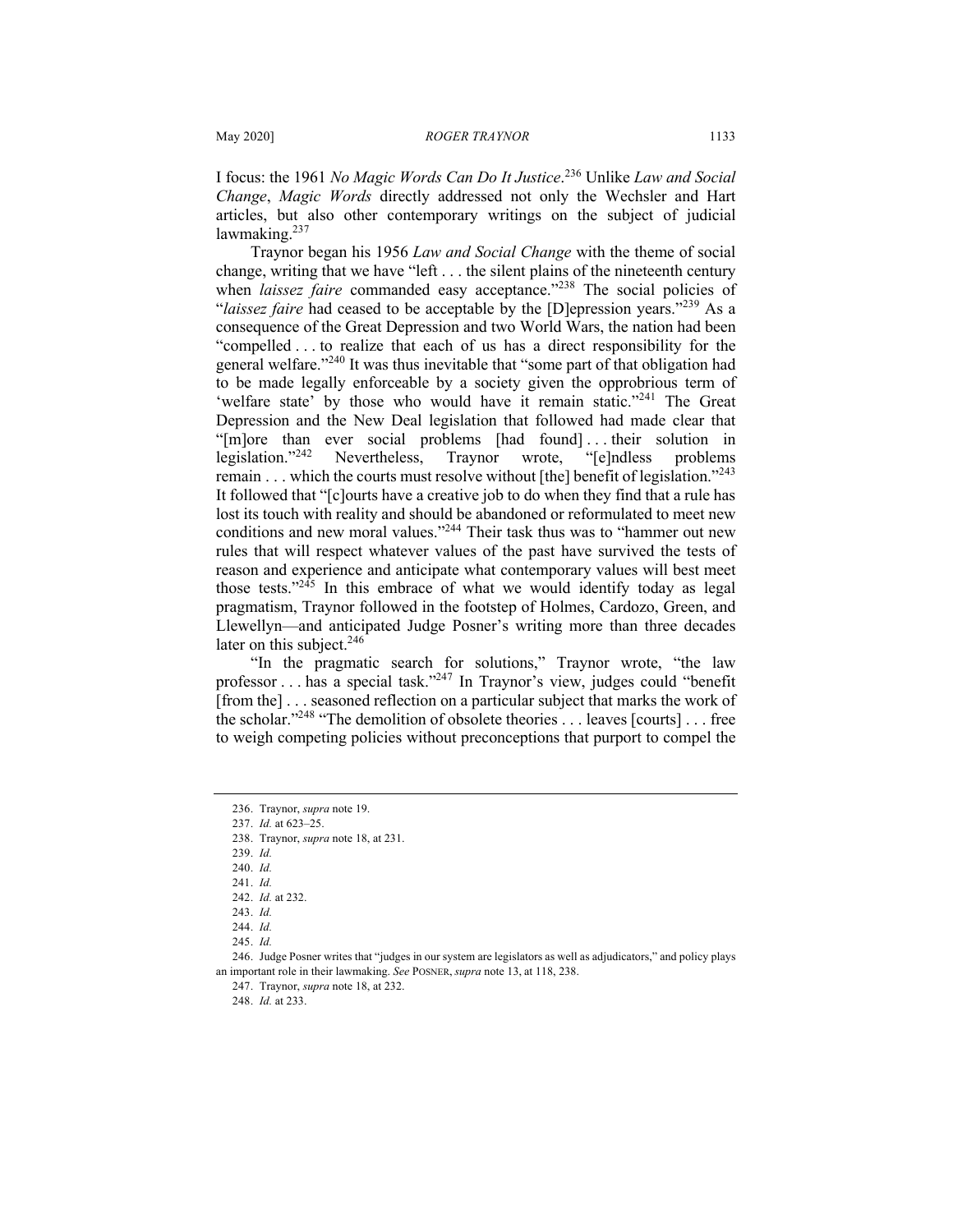I focus: the 1961 *No Magic Words Can Do It Justice*. <sup>236</sup> Unlike *Law and Social Change*, *Magic Words* directly addressed not only the Wechsler and Hart articles, but also other contemporary writings on the subject of judicial lawmaking. $237$ 

Traynor began his 1956 *Law and Social Change* with the theme of social change, writing that we have "left . . . the silent plains of the nineteenth century when *laissez faire* commanded easy acceptance."<sup>238</sup> The social policies of "*laissez faire* had ceased to be acceptable by the [D]epression years."<sup>239</sup> As a consequence of the Great Depression and two World Wars, the nation had been "compelled . . . to realize that each of us has a direct responsibility for the general welfare."240 It was thus inevitable that "some part of that obligation had to be made legally enforceable by a society given the opprobrious term of 'welfare state' by those who would have it remain static."<sup>241</sup> The Great Depression and the New Deal legislation that followed had made clear that "[m]ore than ever social problems [had found] . . . their solution in legislation."<sup>242</sup> Nevertheless, Traynor wrote, "[e]ndless problems remain ... which the courts must resolve without [the] benefit of legislation."<sup>243</sup> It followed that "[c]ourts have a creative job to do when they find that a rule has lost its touch with reality and should be abandoned or reformulated to meet new conditions and new moral values."<sup>244</sup> Their task thus was to "hammer out new rules that will respect whatever values of the past have survived the tests of reason and experience and anticipate what contemporary values will best meet those tests. $1245$  In this embrace of what we would identify today as legal pragmatism, Traynor followed in the footstep of Holmes, Cardozo, Green, and Llewellyn—and anticipated Judge Posner's writing more than three decades later on this subject.<sup>246</sup>

"In the pragmatic search for solutions," Traynor wrote, "the law professor . . . has a special task."247 In Traynor's view, judges could "benefit [from the] . . . seasoned reflection on a particular subject that marks the work of the scholar."248 "The demolition of obsolete theories . . . leaves [courts] . . . free to weigh competing policies without preconceptions that purport to compel the

<sup>236.</sup> Traynor, *supra* note 19.

<sup>237.</sup> *Id.* at 623–25.

<sup>238.</sup> Traynor, *supra* note 18, at 231.

<sup>239.</sup> *Id.*

<sup>240.</sup> *Id.*

<sup>241.</sup> *Id.*

<sup>242.</sup> *Id.* at 232.

<sup>243.</sup> *Id.* 244. *Id.* 

<sup>245.</sup> *Id.* 

<sup>246.</sup> Judge Posner writes that "judges in our system are legislators as well as adjudicators," and policy plays an important role in their lawmaking. *See* POSNER, *supra* note 13, at 118, 238.

<sup>247.</sup> Traynor, *supra* note 18, at 232.

<sup>248.</sup> *Id.* at 233.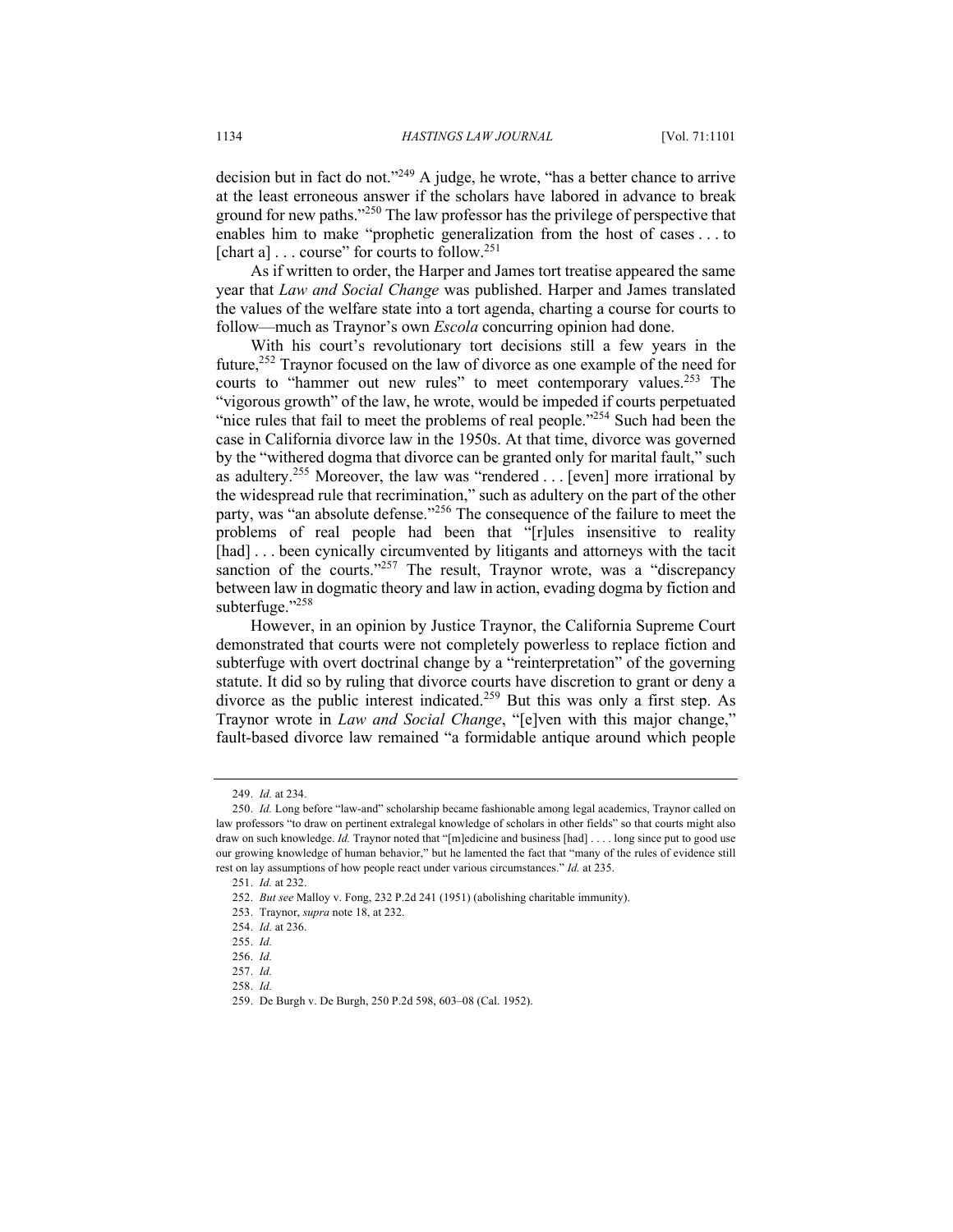decision but in fact do not."<sup>249</sup> A judge, he wrote, "has a better chance to arrive at the least erroneous answer if the scholars have labored in advance to break ground for new paths."<sup>250</sup> The law professor has the privilege of perspective that enables him to make "prophetic generalization from the host of cases . . . to [chart a]  $\ldots$  course" for courts to follow.<sup>251</sup>

As if written to order, the Harper and James tort treatise appeared the same year that *Law and Social Change* was published. Harper and James translated the values of the welfare state into a tort agenda, charting a course for courts to follow—much as Traynor's own *Escola* concurring opinion had done.

With his court's revolutionary tort decisions still a few years in the future,252 Traynor focused on the law of divorce as one example of the need for courts to "hammer out new rules" to meet contemporary values.<sup>253</sup> The "vigorous growth" of the law, he wrote, would be impeded if courts perpetuated "nice rules that fail to meet the problems of real people."<sup>254</sup> Such had been the case in California divorce law in the 1950s. At that time, divorce was governed by the "withered dogma that divorce can be granted only for marital fault," such as adultery.<sup>255</sup> Moreover, the law was "rendered  $\dots$  [even] more irrational by the widespread rule that recrimination," such as adultery on the part of the other party, was "an absolute defense."<sup>256</sup> The consequence of the failure to meet the problems of real people had been that "[r]ules insensitive to reality [had] ... been cynically circumvented by litigants and attorneys with the tacit sanction of the courts."<sup>257</sup> The result, Traynor wrote, was a "discrepancy between law in dogmatic theory and law in action, evading dogma by fiction and subterfuge."258

However, in an opinion by Justice Traynor, the California Supreme Court demonstrated that courts were not completely powerless to replace fiction and subterfuge with overt doctrinal change by a "reinterpretation" of the governing statute. It did so by ruling that divorce courts have discretion to grant or deny a divorce as the public interest indicated.<sup>259</sup> But this was only a first step. As Traynor wrote in *Law and Social Change*, "[e]ven with this major change," fault-based divorce law remained "a formidable antique around which people

<sup>249.</sup> *Id.* at 234.

<sup>250.</sup> *Id.* Long before "law-and" scholarship became fashionable among legal academics, Traynor called on law professors "to draw on pertinent extralegal knowledge of scholars in other fields" so that courts might also draw on such knowledge. *Id.* Traynor noted that "[m]edicine and business [had] . . . . long since put to good use our growing knowledge of human behavior," but he lamented the fact that "many of the rules of evidence still rest on lay assumptions of how people react under various circumstances." *Id.* at 235.

<sup>251.</sup> *Id.* at 232.

<sup>252.</sup> *But see* Malloy v. Fong, 232 P.2d 241 (1951) (abolishing charitable immunity).

<sup>253.</sup> Traynor, *supra* note 18, at 232.

<sup>254.</sup> *Id.* at 236.

<sup>255.</sup> *Id.*

<sup>256.</sup> *Id.*

<sup>257.</sup> *Id.*

<sup>258.</sup> *Id.*

<sup>259.</sup> De Burgh v. De Burgh, 250 P.2d 598, 603–08 (Cal. 1952).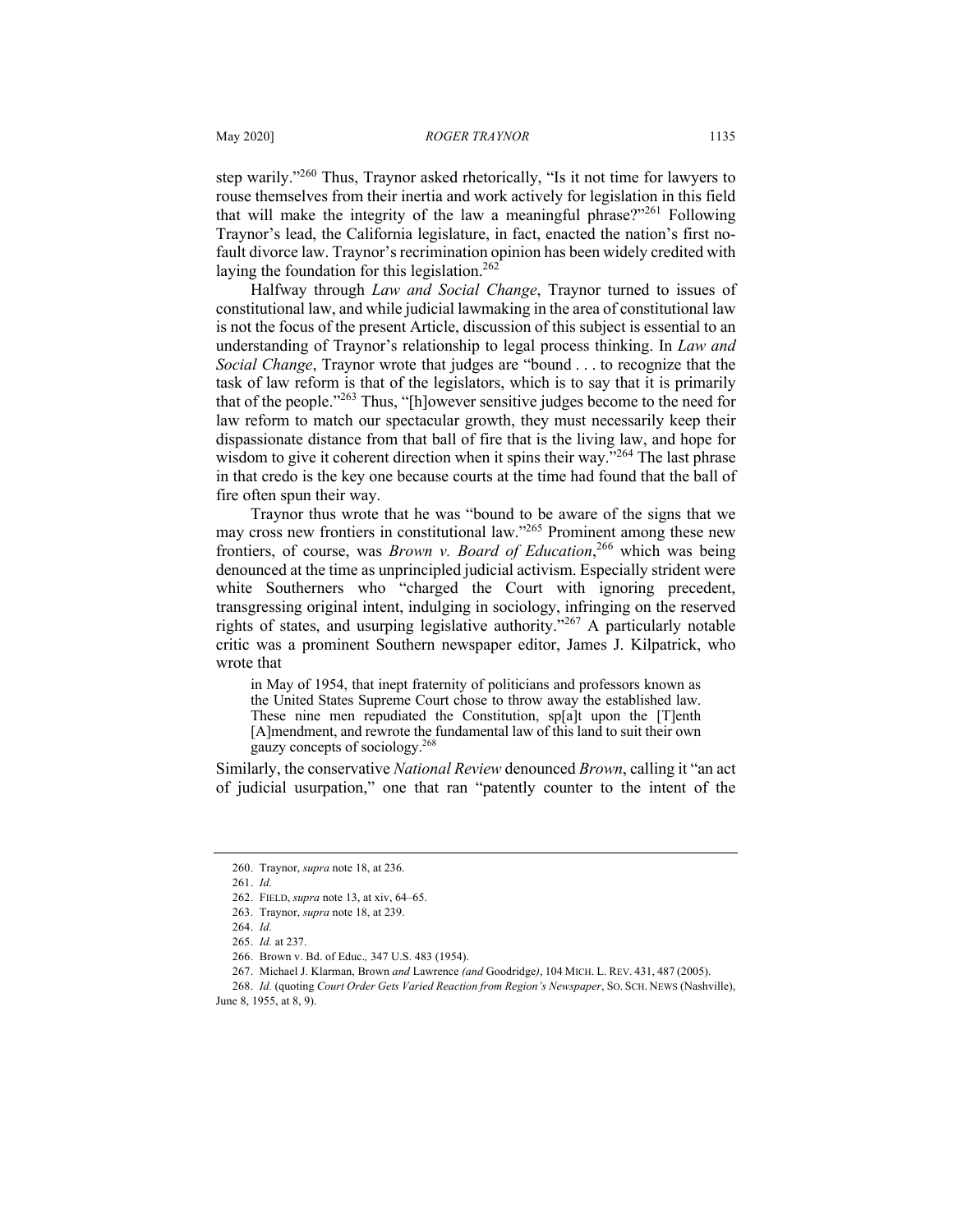step warily."<sup>260</sup> Thus, Traynor asked rhetorically, "Is it not time for lawyers to rouse themselves from their inertia and work actively for legislation in this field that will make the integrity of the law a meaningful phrase? $2^{261}$  Following Traynor's lead, the California legislature, in fact, enacted the nation's first nofault divorce law. Traynor's recrimination opinion has been widely credited with laying the foundation for this legislation. $262$ 

Halfway through *Law and Social Change*, Traynor turned to issues of constitutional law, and while judicial lawmaking in the area of constitutional law is not the focus of the present Article, discussion of this subject is essential to an understanding of Traynor's relationship to legal process thinking. In *Law and Social Change*, Traynor wrote that judges are "bound . . . to recognize that the task of law reform is that of the legislators, which is to say that it is primarily that of the people."<sup>263</sup> Thus, "[h]owever sensitive judges become to the need for law reform to match our spectacular growth, they must necessarily keep their dispassionate distance from that ball of fire that is the living law, and hope for wisdom to give it coherent direction when it spins their way."<sup>264</sup> The last phrase in that credo is the key one because courts at the time had found that the ball of fire often spun their way.

Traynor thus wrote that he was "bound to be aware of the signs that we may cross new frontiers in constitutional law."265 Prominent among these new frontiers, of course, was *Brown v. Board of Education*, <sup>266</sup> which was being denounced at the time as unprincipled judicial activism. Especially strident were white Southerners who "charged the Court with ignoring precedent, transgressing original intent, indulging in sociology, infringing on the reserved rights of states, and usurping legislative authority."<sup>267</sup> A particularly notable critic was a prominent Southern newspaper editor, James J. Kilpatrick, who wrote that

in May of 1954, that inept fraternity of politicians and professors known as the United States Supreme Court chose to throw away the established law. These nine men repudiated the Constitution, sp[a]t upon the [T]enth [A]mendment, and rewrote the fundamental law of this land to suit their own gauzy concepts of sociology.268

Similarly, the conservative *National Review* denounced *Brown*, calling it "an act of judicial usurpation," one that ran "patently counter to the intent of the

<sup>260.</sup> Traynor, *supra* note 18, at 236.

<sup>261.</sup> *Id.*

<sup>262.</sup> FIELD, *supra* note 13, at xiv, 64–65.

<sup>263.</sup> Traynor, *supra* note 18, at 239.

<sup>264.</sup> *Id.*

<sup>265.</sup> *Id.* at 237.

<sup>266.</sup> Brown v. Bd. of Educ.*,* 347 U.S. 483 (1954).

<sup>267.</sup> Michael J. Klarman, Brown *and* Lawrence *(and* Goodridge*)*, 104 MICH. L. REV. 431, 487 (2005).

<sup>268.</sup> *Id.* (quoting *Court Order Gets Varied Reaction from Region's Newspaper*, SO. SCH. NEWS (Nashville), June 8, 1955, at 8, 9).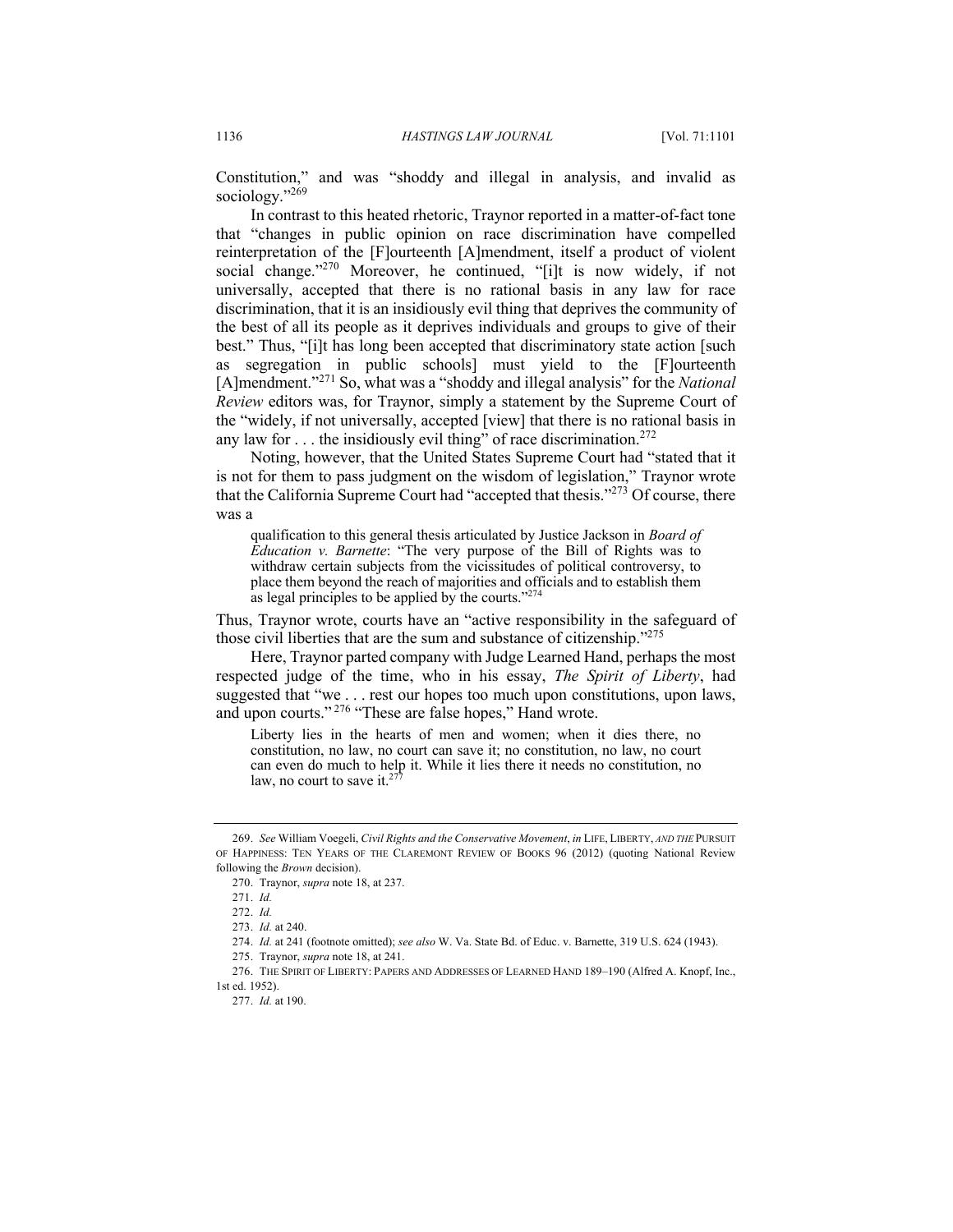Constitution," and was "shoddy and illegal in analysis, and invalid as sociology."269

In contrast to this heated rhetoric, Traynor reported in a matter-of-fact tone that "changes in public opinion on race discrimination have compelled reinterpretation of the [F]ourteenth [A]mendment, itself a product of violent social change."<sup>270</sup> Moreover, he continued, "[i]t is now widely, if not universally, accepted that there is no rational basis in any law for race discrimination, that it is an insidiously evil thing that deprives the community of the best of all its people as it deprives individuals and groups to give of their best." Thus, "[i]t has long been accepted that discriminatory state action [such as segregation in public schools] must yield to the [F]ourteenth [A]mendment."<sup>271</sup> So, what was a "shoddy and illegal analysis" for the *National Review* editors was, for Traynor, simply a statement by the Supreme Court of the "widely, if not universally, accepted [view] that there is no rational basis in any law for  $\dots$  the insidiously evil thing" of race discrimination.<sup>272</sup>

Noting, however, that the United States Supreme Court had "stated that it is not for them to pass judgment on the wisdom of legislation," Traynor wrote that the California Supreme Court had "accepted that thesis."<sup>273</sup> Of course, there was a

qualification to this general thesis articulated by Justice Jackson in *Board of Education v. Barnette*: "The very purpose of the Bill of Rights was to withdraw certain subjects from the vicissitudes of political controversy, to place them beyond the reach of majorities and officials and to establish them as legal principles to be applied by the courts."<sup>274</sup>

Thus, Traynor wrote, courts have an "active responsibility in the safeguard of those civil liberties that are the sum and substance of citizenship."<sup>275</sup>

Here, Traynor parted company with Judge Learned Hand, perhaps the most respected judge of the time, who in his essay, *The Spirit of Liberty*, had suggested that "we . . . rest our hopes too much upon constitutions, upon laws, and upon courts." <sup>276</sup> "These are false hopes," Hand wrote.

Liberty lies in the hearts of men and women; when it dies there, no constitution, no law, no court can save it; no constitution, no law, no court can even do much to help it. While it lies there it needs no constitution, no law, no court to save it. $2<sup>7</sup>$ 

<sup>269.</sup> *See* William Voegeli, *Civil Rights and the Conservative Movement*, *in* LIFE, LIBERTY, *AND THE* PURSUIT OF HAPPINESS: TEN YEARS OF THE CLAREMONT REVIEW OF BOOKS 96 (2012) (quoting National Review following the *Brown* decision).

<sup>270.</sup> Traynor, *supra* note 18, at 237.

<sup>271.</sup> *Id.*

<sup>272.</sup> *Id.*

<sup>273.</sup> *Id.* at 240.

<sup>274.</sup> *Id.* at 241 (footnote omitted); *see also* W. Va. State Bd. of Educ. v. Barnette, 319 U.S. 624 (1943).

<sup>275.</sup> Traynor, *supra* note 18, at 241.

<sup>276.</sup> THE SPIRIT OF LIBERTY: PAPERS AND ADDRESSES OF LEARNED HAND 189–190 (Alfred A. Knopf, Inc., 1st ed. 1952).

<sup>277.</sup> *Id.* at 190.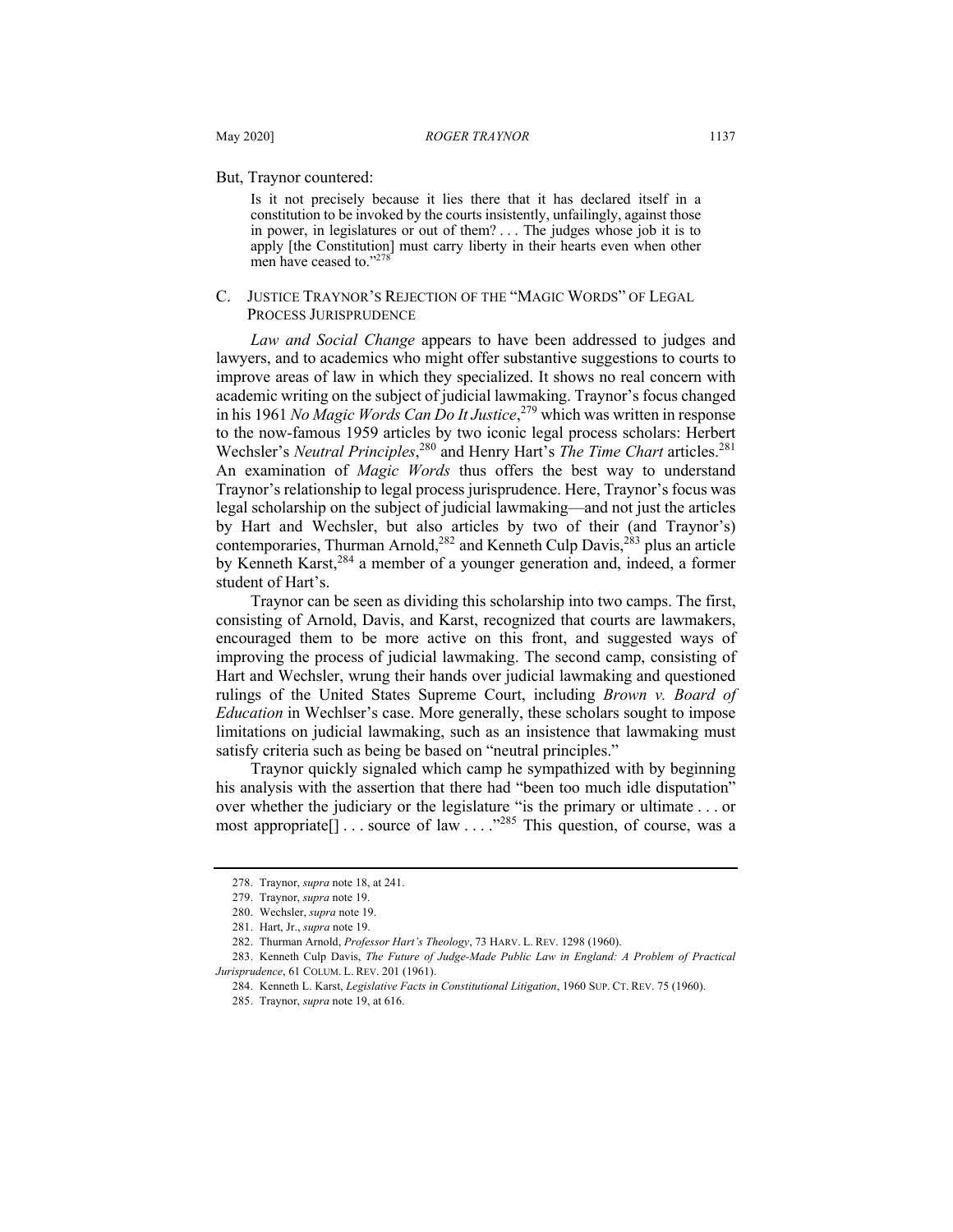But, Traynor countered:

Is it not precisely because it lies there that it has declared itself in a constitution to be invoked by the courts insistently, unfailingly, against those in power, in legislatures or out of them? . . . The judges whose job it is to apply [the Constitution] must carry liberty in their hearts even when other men have ceased to."278

#### C. JUSTICE TRAYNOR'S REJECTION OF THE "MAGIC WORDS" OF LEGAL PROCESS JURISPRUDENCE

*Law and Social Change* appears to have been addressed to judges and lawyers, and to academics who might offer substantive suggestions to courts to improve areas of law in which they specialized. It shows no real concern with academic writing on the subject of judicial lawmaking. Traynor's focus changed in his 1961 *No Magic Words Can Do It Justice*, <sup>279</sup> which was written in response to the now-famous 1959 articles by two iconic legal process scholars: Herbert Wechsler's *Neutral Principles*, <sup>280</sup> and Henry Hart's *The Time Chart* articles.<sup>281</sup> An examination of *Magic Words* thus offers the best way to understand Traynor's relationship to legal process jurisprudence. Here, Traynor's focus was legal scholarship on the subject of judicial lawmaking—and not just the articles by Hart and Wechsler, but also articles by two of their (and Traynor's) contemporaries, Thurman Arnold, <sup>282</sup> and Kenneth Culp Davis, <sup>283</sup> plus an article by Kenneth Karst,<sup>284</sup> a member of a younger generation and, indeed, a former student of Hart's.

Traynor can be seen as dividing this scholarship into two camps. The first, consisting of Arnold, Davis, and Karst, recognized that courts are lawmakers, encouraged them to be more active on this front, and suggested ways of improving the process of judicial lawmaking. The second camp, consisting of Hart and Wechsler, wrung their hands over judicial lawmaking and questioned rulings of the United States Supreme Court, including *Brown v. Board of Education* in Wechlser's case. More generally, these scholars sought to impose limitations on judicial lawmaking, such as an insistence that lawmaking must satisfy criteria such as being be based on "neutral principles."

Traynor quickly signaled which camp he sympathized with by beginning his analysis with the assertion that there had "been too much idle disputation" over whether the judiciary or the legislature "is the primary or ultimate . . . or most appropriate  $\left[ \right]$ ... source of law ...."<sup>285</sup> This question, of course, was a

<sup>278.</sup> Traynor, *supra* note 18, at 241.

<sup>279.</sup> Traynor, *supra* note 19.

<sup>280.</sup> Wechsler, *supra* note 19.

<sup>281.</sup> Hart, Jr., *supra* note 19.

<sup>282.</sup> Thurman Arnold, *Professor Hart's Theology*, 73 HARV. L. REV. 1298 (1960).

<sup>283.</sup> Kenneth Culp Davis, *The Future of Judge-Made Public Law in England: A Problem of Practical Jurisprudence*, 61 COLUM. L. REV. 201 (1961).

<sup>284.</sup> Kenneth L. Karst, *Legislative Facts in Constitutional Litigation*, 1960 SUP. CT. REV. 75 (1960).

<sup>285.</sup> Traynor, *supra* note 19, at 616.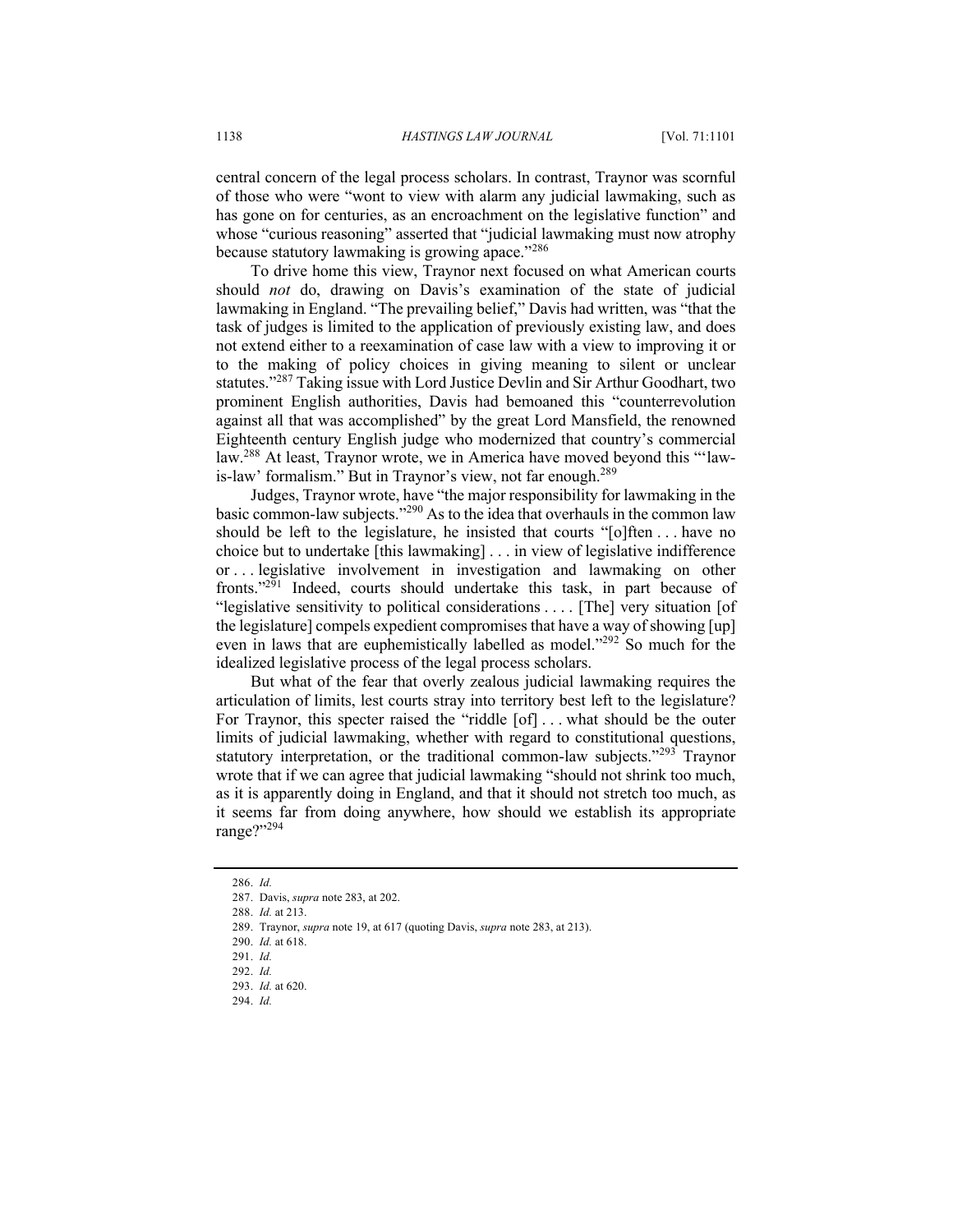central concern of the legal process scholars. In contrast, Traynor was scornful of those who were "wont to view with alarm any judicial lawmaking, such as has gone on for centuries, as an encroachment on the legislative function" and whose "curious reasoning" asserted that "judicial lawmaking must now atrophy because statutory lawmaking is growing apace."<sup>286</sup>

To drive home this view, Traynor next focused on what American courts should *not* do, drawing on Davis's examination of the state of judicial lawmaking in England. "The prevailing belief," Davis had written, was "that the task of judges is limited to the application of previously existing law, and does not extend either to a reexamination of case law with a view to improving it or to the making of policy choices in giving meaning to silent or unclear statutes."<sup>287</sup> Taking issue with Lord Justice Devlin and Sir Arthur Goodhart, two prominent English authorities, Davis had bemoaned this "counterrevolution against all that was accomplished" by the great Lord Mansfield, the renowned Eighteenth century English judge who modernized that country's commercial law.<sup>288</sup> At least, Traynor wrote, we in America have moved beyond this "'lawis-law' formalism." But in Traynor's view, not far enough.<sup>289</sup>

Judges, Traynor wrote, have "the major responsibility for lawmaking in the basic common-law subjects."<sup>290</sup> As to the idea that overhauls in the common law should be left to the legislature, he insisted that courts "[o]ften . . . have no choice but to undertake [this lawmaking] . . . in view of legislative indifference or . . . legislative involvement in investigation and lawmaking on other fronts."291 Indeed, courts should undertake this task, in part because of "legislative sensitivity to political considerations . . . . [The] very situation [of the legislature] compels expedient compromises that have a way of showing [up] even in laws that are euphemistically labelled as model."<sup>292</sup> So much for the idealized legislative process of the legal process scholars.

But what of the fear that overly zealous judicial lawmaking requires the articulation of limits, lest courts stray into territory best left to the legislature? For Traynor, this specter raised the "riddle [of] . . . what should be the outer limits of judicial lawmaking, whether with regard to constitutional questions, statutory interpretation, or the traditional common-law subjects."<sup>293</sup> Traynor wrote that if we can agree that judicial lawmaking "should not shrink too much, as it is apparently doing in England, and that it should not stretch too much, as it seems far from doing anywhere, how should we establish its appropriate range?" $^{294}$ 

<sup>286.</sup> *Id.*

<sup>287.</sup> Davis, *supra* note 283, at 202.

<sup>288.</sup> *Id.* at 213.

<sup>289.</sup> Traynor, *supra* note 19, at 617 (quoting Davis, *supra* note 283, at 213).

<sup>290.</sup> *Id.* at 618.

<sup>291.</sup> *Id.*

<sup>292.</sup> *Id.*

<sup>293.</sup> *Id.* at 620.

<sup>294.</sup> *Id.*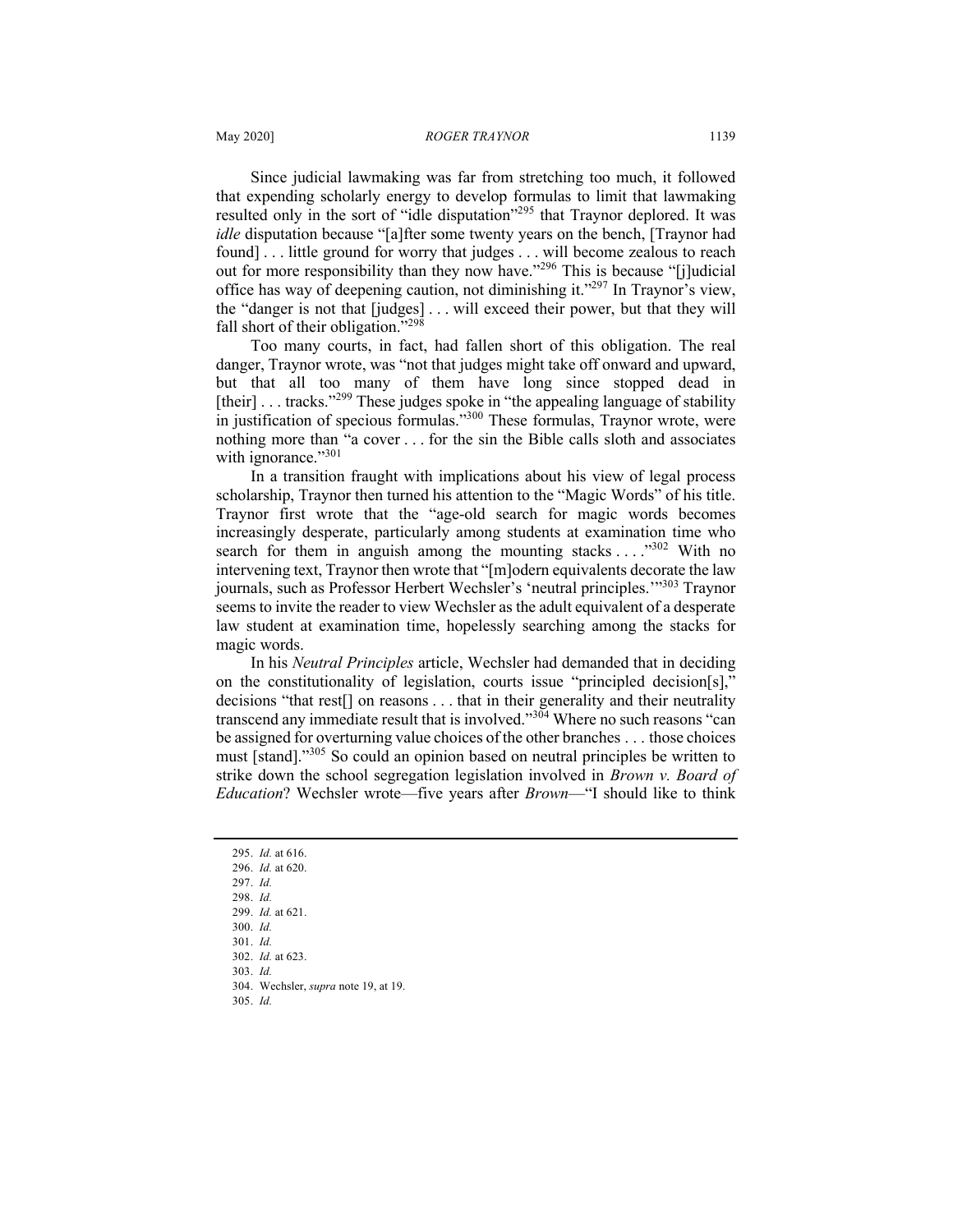Since judicial lawmaking was far from stretching too much, it followed that expending scholarly energy to develop formulas to limit that lawmaking resulted only in the sort of "idle disputation"<sup>295</sup> that Traynor deplored. It was *idle* disputation because "[a]fter some twenty years on the bench, [Traynor had found] . . . little ground for worry that judges . . . will become zealous to reach out for more responsibility than they now have."296 This is because "[j]udicial office has way of deepening caution, not diminishing it."<sup>297</sup> In Traynor's view, the "danger is not that [judges] . . . will exceed their power, but that they will fall short of their obligation."<sup>298</sup>

Too many courts, in fact, had fallen short of this obligation. The real danger, Traynor wrote, was "not that judges might take off onward and upward, but that all too many of them have long since stopped dead in [their]  $\ldots$  tracks."<sup>299</sup> These judges spoke in "the appealing language of stability in justification of specious formulas."<sup>300</sup> These formulas, Traynor wrote, were nothing more than "a cover . . . for the sin the Bible calls sloth and associates with ignorance."301

In a transition fraught with implications about his view of legal process scholarship, Traynor then turned his attention to the "Magic Words" of his title. Traynor first wrote that the "age-old search for magic words becomes increasingly desperate, particularly among students at examination time who search for them in anguish among the mounting stacks . . . . . . 302 With no intervening text, Traynor then wrote that "[m]odern equivalents decorate the law journals, such as Professor Herbert Wechsler's 'neutral principles.'"303 Traynor seems to invite the reader to view Wechsler as the adult equivalent of a desperate law student at examination time, hopelessly searching among the stacks for magic words.

In his *Neutral Principles* article, Wechsler had demanded that in deciding on the constitutionality of legislation, courts issue "principled decision[s]," decisions "that rest[] on reasons . . . that in their generality and their neutrality transcend any immediate result that is involved."<sup>304</sup> Where no such reasons "can be assigned for overturning value choices of the other branches . . . those choices must [stand]."<sup>305</sup> So could an opinion based on neutral principles be written to strike down the school segregation legislation involved in *Brown v. Board of Education*? Wechsler wrote—five years after *Brown*—"I should like to think

305. *Id.*

<sup>295.</sup> *Id.* at 616.

<sup>296.</sup> *Id.* at 620. 297. *Id.*

<sup>298.</sup> *Id.*

<sup>299.</sup> *Id.* at 621.

<sup>300.</sup> *Id.*

<sup>301.</sup> *Id.*

<sup>302.</sup> *Id.* at 623.

<sup>303.</sup> *Id.*

<sup>304.</sup> Wechsler, *supra* note 19, at 19.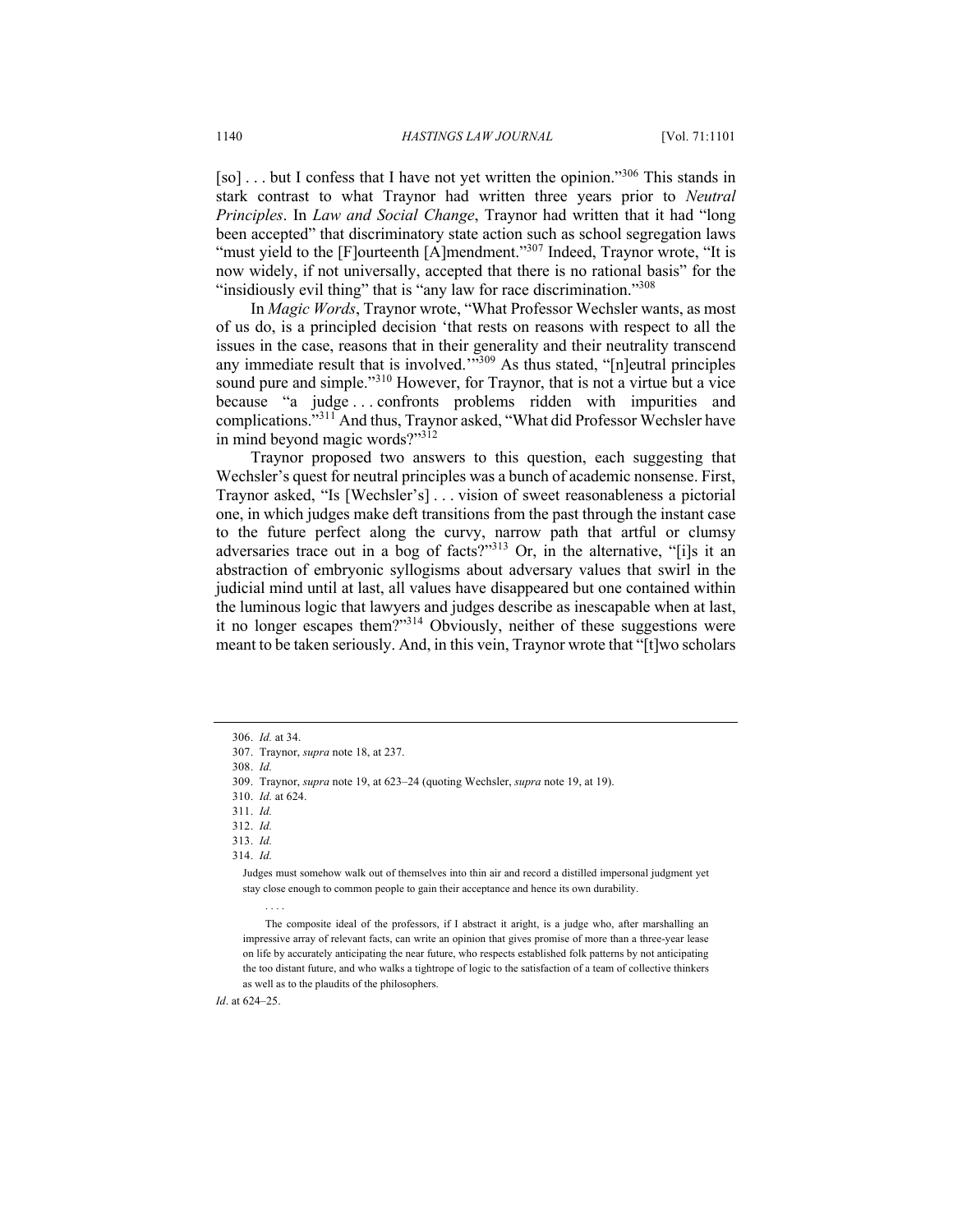[so] . . . but I confess that I have not yet written the opinion."<sup>306</sup> This stands in stark contrast to what Traynor had written three years prior to *Neutral Principles*. In *Law and Social Change*, Traynor had written that it had "long been accepted" that discriminatory state action such as school segregation laws "must yield to the [F]ourteenth [A]mendment."<sup>307</sup> Indeed, Traynor wrote, "It is now widely, if not universally, accepted that there is no rational basis" for the "insidiously evil thing" that is "any law for race discrimination."<sup>308</sup>

In *Magic Words*, Traynor wrote, "What Professor Wechsler wants, as most of us do, is a principled decision 'that rests on reasons with respect to all the issues in the case, reasons that in their generality and their neutrality transcend any immediate result that is involved."<sup>309</sup> As thus stated, "[n]eutral principles sound pure and simple."<sup>310</sup> However, for Traynor, that is not a virtue but a vice because "a judge . . . confronts problems ridden with impurities and complications."<sup>311</sup> And thus, Traynor asked, "What did Professor Wechsler have in mind beyond magic words?"312

Traynor proposed two answers to this question, each suggesting that Wechsler's quest for neutral principles was a bunch of academic nonsense. First, Traynor asked, "Is [Wechsler's] . . . vision of sweet reasonableness a pictorial one, in which judges make deft transitions from the past through the instant case to the future perfect along the curvy, narrow path that artful or clumsy adversaries trace out in a bog of facts?"<sup>313</sup> Or, in the alternative, "[i]s it an abstraction of embryonic syllogisms about adversary values that swirl in the judicial mind until at last, all values have disappeared but one contained within the luminous logic that lawyers and judges describe as inescapable when at last, it no longer escapes them?"<sup>314</sup> Obviously, neither of these suggestions were meant to be taken seriously. And, in this vein, Traynor wrote that "[t]wo scholars

308. *Id.*

310. *Id.* at 624.

. . . .

311. *Id.*

313. *Id.*

Judges must somehow walk out of themselves into thin air and record a distilled impersonal judgment yet stay close enough to common people to gain their acceptance and hence its own durability.

The composite ideal of the professors, if I abstract it aright, is a judge who, after marshalling an impressive array of relevant facts, can write an opinion that gives promise of more than a three-year lease on life by accurately anticipating the near future, who respects established folk patterns by not anticipating the too distant future, and who walks a tightrope of logic to the satisfaction of a team of collective thinkers as well as to the plaudits of the philosophers.

*Id*. at 624–25.

<sup>306.</sup> *Id.* at 34.

<sup>307.</sup> Traynor, *supra* note 18, at 237.

<sup>309.</sup> Traynor, *supra* note 19, at 623–24 (quoting Wechsler, *supra* note 19, at 19).

<sup>312.</sup> *Id.*

<sup>314.</sup> *Id.*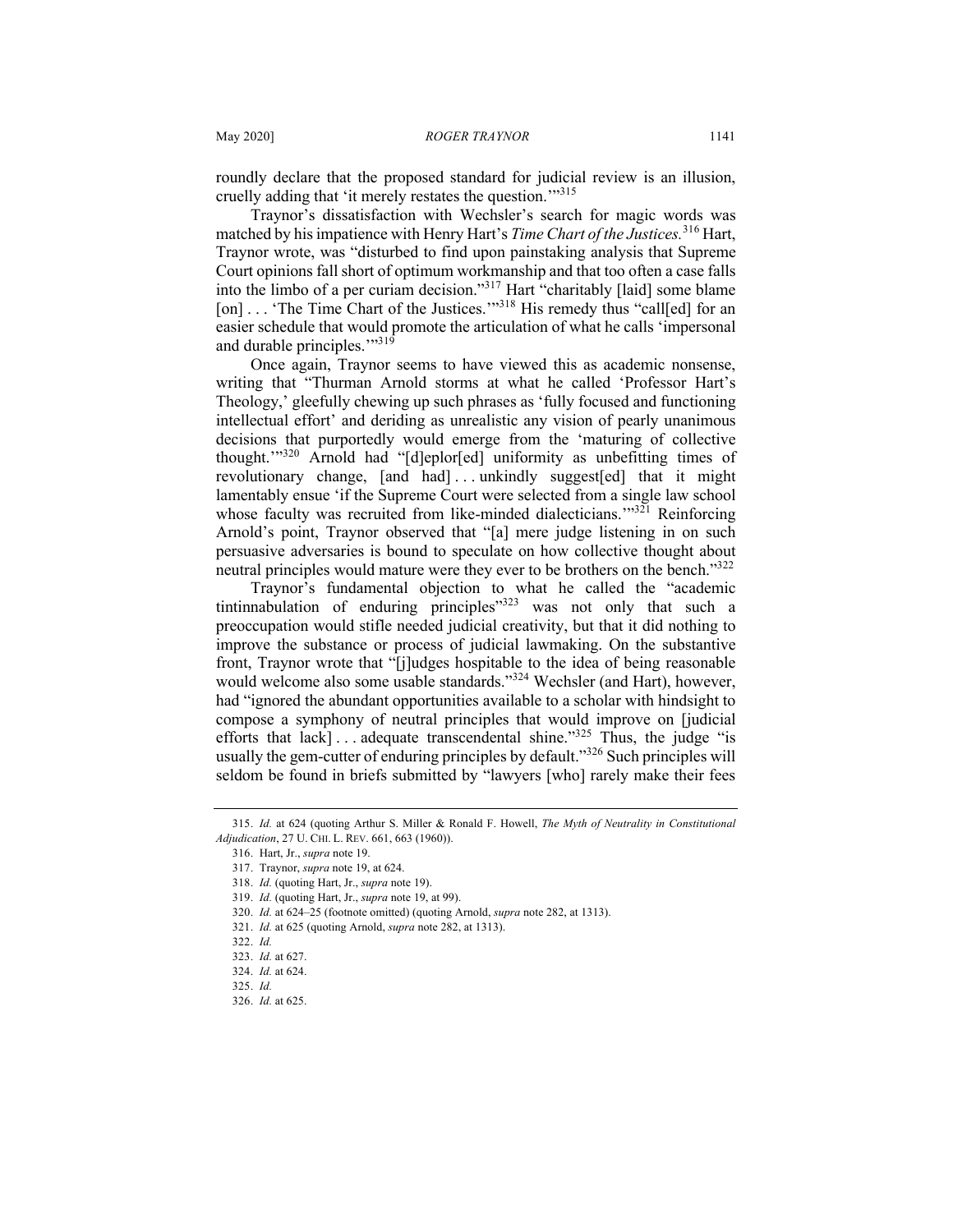roundly declare that the proposed standard for judicial review is an illusion, cruelly adding that 'it merely restates the question.""315

Traynor's dissatisfaction with Wechsler's search for magic words was matched by his impatience with Henry Hart's *Time Chart of the Justices.*<sup>316</sup> Hart, Traynor wrote, was "disturbed to find upon painstaking analysis that Supreme Court opinions fall short of optimum workmanship and that too often a case falls into the limbo of a per curiam decision."317 Hart "charitably [laid] some blame [on] . . . 'The Time Chart of the Justices.'"<sup>318</sup> His remedy thus "call[ed] for an easier schedule that would promote the articulation of what he calls 'impersonal and durable principles."<sup>319</sup>

Once again, Traynor seems to have viewed this as academic nonsense, writing that "Thurman Arnold storms at what he called 'Professor Hart's Theology,' gleefully chewing up such phrases as 'fully focused and functioning intellectual effort' and deriding as unrealistic any vision of pearly unanimous decisions that purportedly would emerge from the 'maturing of collective thought.'"<sup>320</sup> Arnold had "[d]eplor[ed] uniformity as unbefitting times of revolutionary change, [and had] . . . unkindly suggest[ed] that it might lamentably ensue 'if the Supreme Court were selected from a single law school whose faculty was recruited from like-minded dialecticians."<sup>321</sup> Reinforcing Arnold's point, Traynor observed that "[a] mere judge listening in on such persuasive adversaries is bound to speculate on how collective thought about neutral principles would mature were they ever to be brothers on the bench."<sup>322</sup>

Traynor's fundamental objection to what he called the "academic tintinnabulation of enduring principles $12323$  was not only that such a preoccupation would stifle needed judicial creativity, but that it did nothing to improve the substance or process of judicial lawmaking. On the substantive front, Traynor wrote that "[j]udges hospitable to the idea of being reasonable would welcome also some usable standards."<sup>324</sup> Wechsler (and Hart), however, had "ignored the abundant opportunities available to a scholar with hindsight to compose a symphony of neutral principles that would improve on [judicial efforts that lack] . . . adequate transcendental shine."<sup>325</sup> Thus, the judge "is usually the gem-cutter of enduring principles by default."<sup>326</sup> Such principles will seldom be found in briefs submitted by "lawyers [who] rarely make their fees

<sup>315.</sup> *Id.* at 624 (quoting Arthur S. Miller & Ronald F. Howell, *The Myth of Neutrality in Constitutional Adjudication*, 27 U. CHI. L. REV. 661, 663 (1960)).

<sup>316.</sup> Hart, Jr., *supra* note 19.

<sup>317.</sup> Traynor, *supra* note 19, at 624.

<sup>318.</sup> *Id.* (quoting Hart, Jr., *supra* note 19).

<sup>319.</sup> *Id.* (quoting Hart, Jr., *supra* note 19, at 99).

<sup>320.</sup> *Id.* at 624–25 (footnote omitted) (quoting Arnold, *supra* note 282, at 1313).

<sup>321.</sup> *Id.* at 625 (quoting Arnold, *supra* note 282, at 1313).

<sup>322.</sup> *Id.*

<sup>323.</sup> *Id.* at 627.

<sup>324.</sup> *Id.* at 624.

<sup>325.</sup> *Id.*

<sup>326.</sup> *Id.* at 625.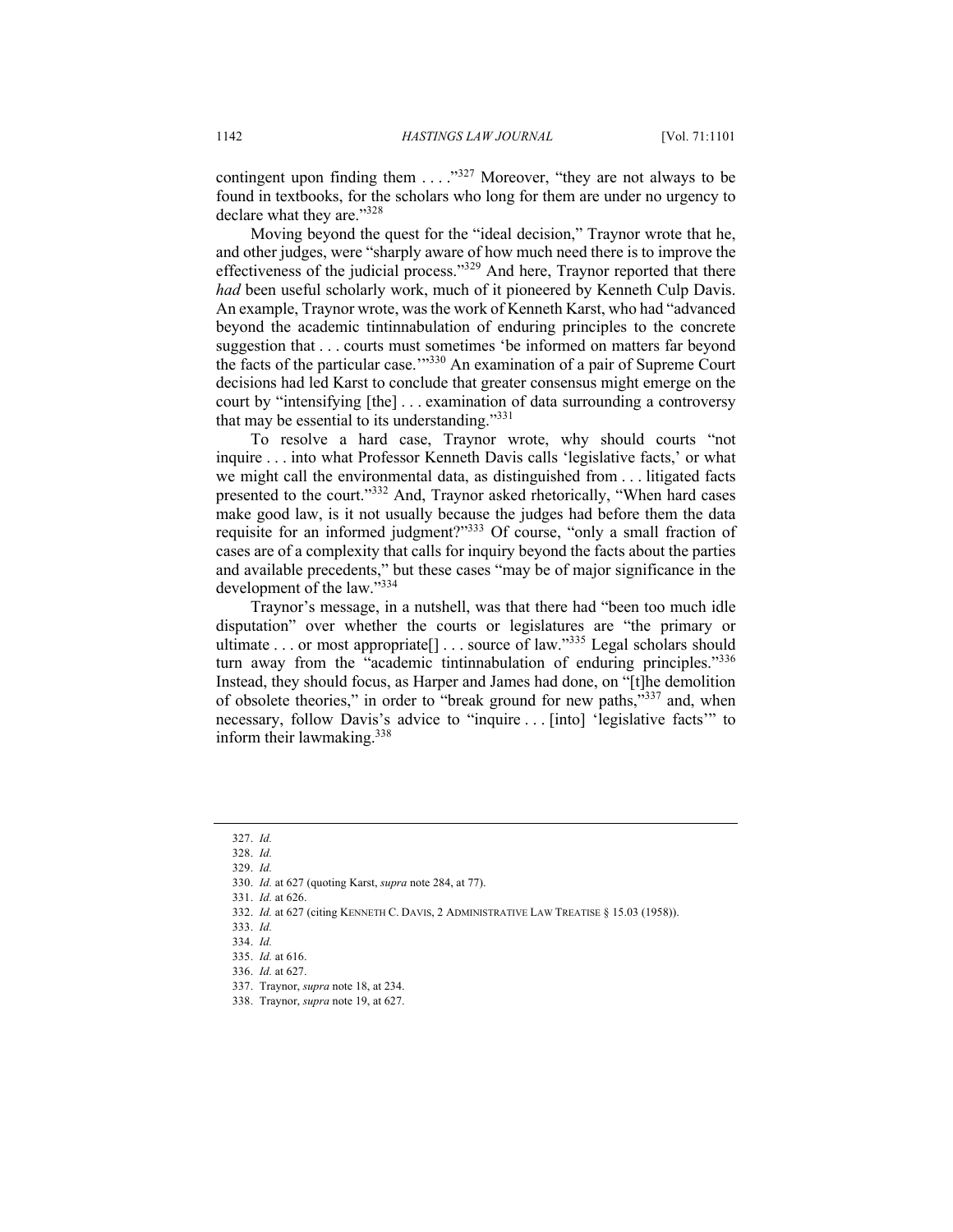contingent upon finding them . . . ."<sup>327</sup> Moreover, "they are not always to be found in textbooks, for the scholars who long for them are under no urgency to declare what they are."328

Moving beyond the quest for the "ideal decision," Traynor wrote that he, and other judges, were "sharply aware of how much need there is to improve the effectiveness of the judicial process."<sup>329</sup> And here, Traynor reported that there *had* been useful scholarly work, much of it pioneered by Kenneth Culp Davis. An example, Traynor wrote, was the work of Kenneth Karst, who had "advanced beyond the academic tintinnabulation of enduring principles to the concrete suggestion that . . . courts must sometimes 'be informed on matters far beyond the facts of the particular case.'"<sup>330</sup> An examination of a pair of Supreme Court decisions had led Karst to conclude that greater consensus might emerge on the court by "intensifying [the] . . . examination of data surrounding a controversy that may be essential to its understanding."<sup>331</sup>

To resolve a hard case, Traynor wrote, why should courts "not inquire . . . into what Professor Kenneth Davis calls 'legislative facts,' or what we might call the environmental data, as distinguished from . . . litigated facts presented to the court."<sup>332</sup> And, Traynor asked rhetorically, "When hard cases make good law, is it not usually because the judges had before them the data requisite for an informed judgment?"333 Of course, "only a small fraction of cases are of a complexity that calls for inquiry beyond the facts about the parties and available precedents," but these cases "may be of major significance in the development of the law."334

Traynor's message, in a nutshell, was that there had "been too much idle disputation" over whether the courts or legislatures are "the primary or ultimate . . . or most appropriate<sup>[]</sup> . . . source of law."<sup>335</sup> Legal scholars should turn away from the "academic tintinnabulation of enduring principles."<sup>336</sup> Instead, they should focus, as Harper and James had done, on "[t]he demolition of obsolete theories," in order to "break ground for new paths,"<sup>337</sup> and, when necessary, follow Davis's advice to "inquire . . . [into] 'legislative facts'" to inform their lawmaking.<sup>338</sup>

331. *Id.* at 626.

<sup>327.</sup> *Id.*

<sup>328.</sup> *Id.*

<sup>329.</sup> *Id.*

<sup>330.</sup> *Id.* at 627 (quoting Karst, *supra* note 284, at 77).

<sup>332.</sup> *Id.* at 627 (citing KENNETH C. DAVIS, 2 ADMINISTRATIVE LAW TREATISE § 15.03 (1958)).

<sup>333.</sup> *Id.*

<sup>334.</sup> *Id.*

<sup>335.</sup> *Id.* at 616.

<sup>336.</sup> *Id.* at 627.

<sup>337.</sup> Traynor, *supra* note 18, at 234. 338. Traynor, *supra* note 19, at 627.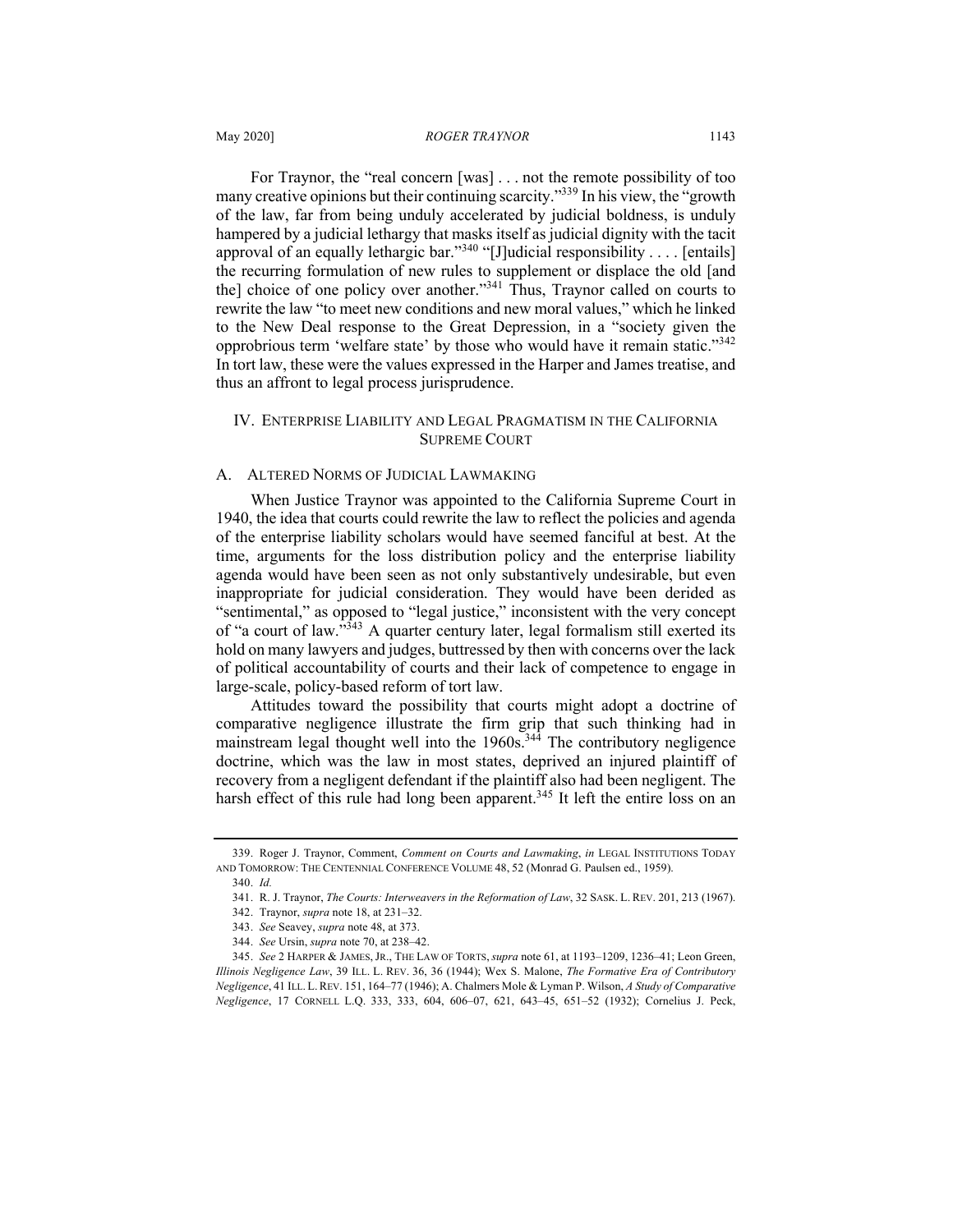For Traynor, the "real concern [was] . . . not the remote possibility of too many creative opinions but their continuing scarcity."<sup>339</sup> In his view, the "growth of the law, far from being unduly accelerated by judicial boldness, is unduly hampered by a judicial lethargy that masks itself as judicial dignity with the tacit approval of an equally lethargic bar."<sup>340</sup> "[J]udicial responsibility . . . . [entails] the recurring formulation of new rules to supplement or displace the old [and the] choice of one policy over another."<sup>341</sup> Thus, Traynor called on courts to rewrite the law "to meet new conditions and new moral values," which he linked to the New Deal response to the Great Depression, in a "society given the opprobrious term 'welfare state' by those who would have it remain static."<sup>342</sup> In tort law, these were the values expressed in the Harper and James treatise, and thus an affront to legal process jurisprudence.

# IV. ENTERPRISE LIABILITY AND LEGAL PRAGMATISM IN THE CALIFORNIA SUPREME COURT

#### A. ALTERED NORMS OF JUDICIAL LAWMAKING

When Justice Traynor was appointed to the California Supreme Court in 1940, the idea that courts could rewrite the law to reflect the policies and agenda of the enterprise liability scholars would have seemed fanciful at best. At the time, arguments for the loss distribution policy and the enterprise liability agenda would have been seen as not only substantively undesirable, but even inappropriate for judicial consideration. They would have been derided as "sentimental," as opposed to "legal justice," inconsistent with the very concept of "a court of law." $343$  A quarter century later, legal formalism still exerted its hold on many lawyers and judges, buttressed by then with concerns over the lack of political accountability of courts and their lack of competence to engage in large-scale, policy-based reform of tort law.

Attitudes toward the possibility that courts might adopt a doctrine of comparative negligence illustrate the firm grip that such thinking had in mainstream legal thought well into the 1960s.<sup>344</sup> The contributory negligence doctrine, which was the law in most states, deprived an injured plaintiff of recovery from a negligent defendant if the plaintiff also had been negligent. The harsh effect of this rule had long been apparent.<sup>345</sup> It left the entire loss on an

<sup>339.</sup> Roger J. Traynor, Comment, *Comment on Courts and Lawmaking*, *in* LEGAL INSTITUTIONS TODAY AND TOMORROW: THE CENTENNIAL CONFERENCE VOLUME 48, 52 (Monrad G. Paulsen ed., 1959).

<sup>340.</sup> *Id.*

<sup>341.</sup> R. J. Traynor, *The Courts: Interweavers in the Reformation of Law*, 32 SASK. L. REV. 201, 213 (1967).

<sup>342.</sup> Traynor, *supra* note 18, at 231–32.

<sup>343.</sup> *See* Seavey, *supra* note 48, at 373.

<sup>344.</sup> *See* Ursin, *supra* note 70, at 238–42.

<sup>345.</sup> *See* 2 HARPER & JAMES,JR., THE LAW OF TORTS,*supra* note 61, at 1193–1209, 1236–41; Leon Green, *Illinois Negligence Law*, 39 ILL. L. REV. 36, 36 (1944); Wex S. Malone, *The Formative Era of Contributory Negligence*, 41 ILL. L.REV. 151, 164–77 (1946); A. Chalmers Mole & Lyman P. Wilson, *A Study of Comparative Negligence*, 17 CORNELL L.Q. 333, 333, 604, 606–07, 621, 643–45, 651–52 (1932); Cornelius J. Peck,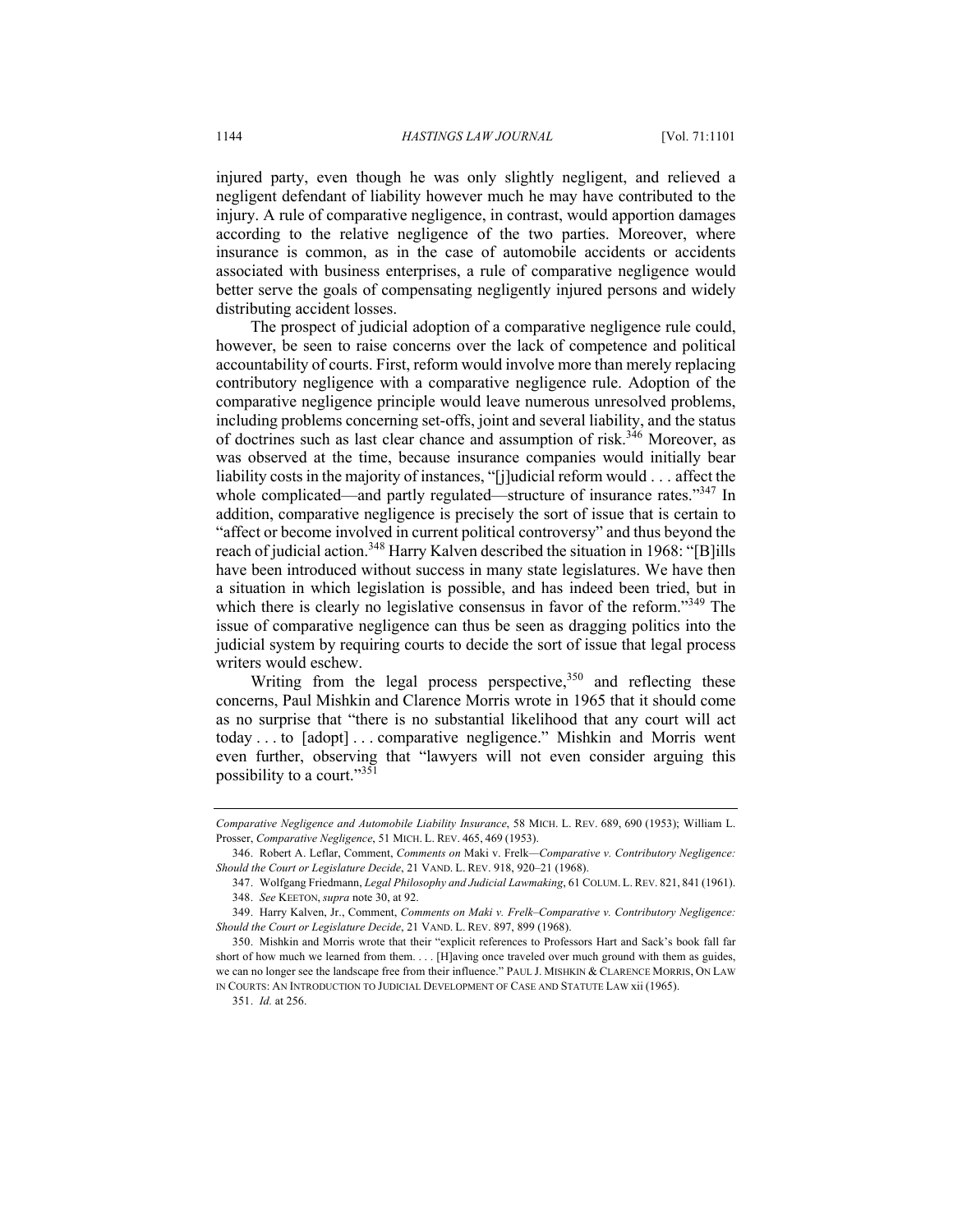injured party, even though he was only slightly negligent, and relieved a negligent defendant of liability however much he may have contributed to the injury. A rule of comparative negligence, in contrast, would apportion damages according to the relative negligence of the two parties. Moreover, where insurance is common, as in the case of automobile accidents or accidents associated with business enterprises, a rule of comparative negligence would better serve the goals of compensating negligently injured persons and widely distributing accident losses.

The prospect of judicial adoption of a comparative negligence rule could, however, be seen to raise concerns over the lack of competence and political accountability of courts. First, reform would involve more than merely replacing contributory negligence with a comparative negligence rule. Adoption of the comparative negligence principle would leave numerous unresolved problems, including problems concerning set-offs, joint and several liability, and the status of doctrines such as last clear chance and assumption of risk.<sup>346</sup> Moreover, as was observed at the time, because insurance companies would initially bear liability costs in the majority of instances, "[j]udicial reform would . . . affect the whole complicated—and partly regulated—structure of insurance rates."347 In addition, comparative negligence is precisely the sort of issue that is certain to "affect or become involved in current political controversy" and thus beyond the reach of judicial action.<sup>348</sup> Harry Kalven described the situation in 1968: "[B]ills have been introduced without success in many state legislatures. We have then a situation in which legislation is possible, and has indeed been tried, but in which there is clearly no legislative consensus in favor of the reform."<sup>349</sup> The issue of comparative negligence can thus be seen as dragging politics into the judicial system by requiring courts to decide the sort of issue that legal process writers would eschew.

Writing from the legal process perspective,  $350$  and reflecting these concerns, Paul Mishkin and Clarence Morris wrote in 1965 that it should come as no surprise that "there is no substantial likelihood that any court will act today . . . to [adopt] . . . comparative negligence." Mishkin and Morris went even further, observing that "lawyers will not even consider arguing this possibility to a court."351

*Comparative Negligence and Automobile Liability Insurance*, 58 MICH. L. REV. 689, 690 (1953); William L. Prosser, *Comparative Negligence*, 51 MICH. L. REV. 465, 469 (1953).

<sup>346.</sup> Robert A. Leflar, Comment, *Comments on* Maki v. Frelk*—Comparative v. Contributory Negligence: Should the Court or Legislature Decide*, 21 VAND. L. REV. 918, 920–21 (1968).

<sup>347.</sup> Wolfgang Friedmann, *Legal Philosophy and Judicial Lawmaking*, 61 COLUM. L. REV. 821, 841 (1961). 348. *See* KEETON, *supra* note 30, at 92.

<sup>349.</sup> Harry Kalven, Jr., Comment, *Comments on Maki v. Frelk–Comparative v. Contributory Negligence: Should the Court or Legislature Decide*, 21 VAND. L. REV. 897, 899 (1968).

<sup>350.</sup> Mishkin and Morris wrote that their "explicit references to Professors Hart and Sack's book fall far short of how much we learned from them. . . . [H]aving once traveled over much ground with them as guides, we can no longer see the landscape free from their influence." PAUL J. MISHKIN & CLARENCE MORRIS, ON LAW IN COURTS: AN INTRODUCTION TO JUDICIAL DEVELOPMENT OF CASE AND STATUTE LAW xii (1965).

<sup>351.</sup> *Id.* at 256.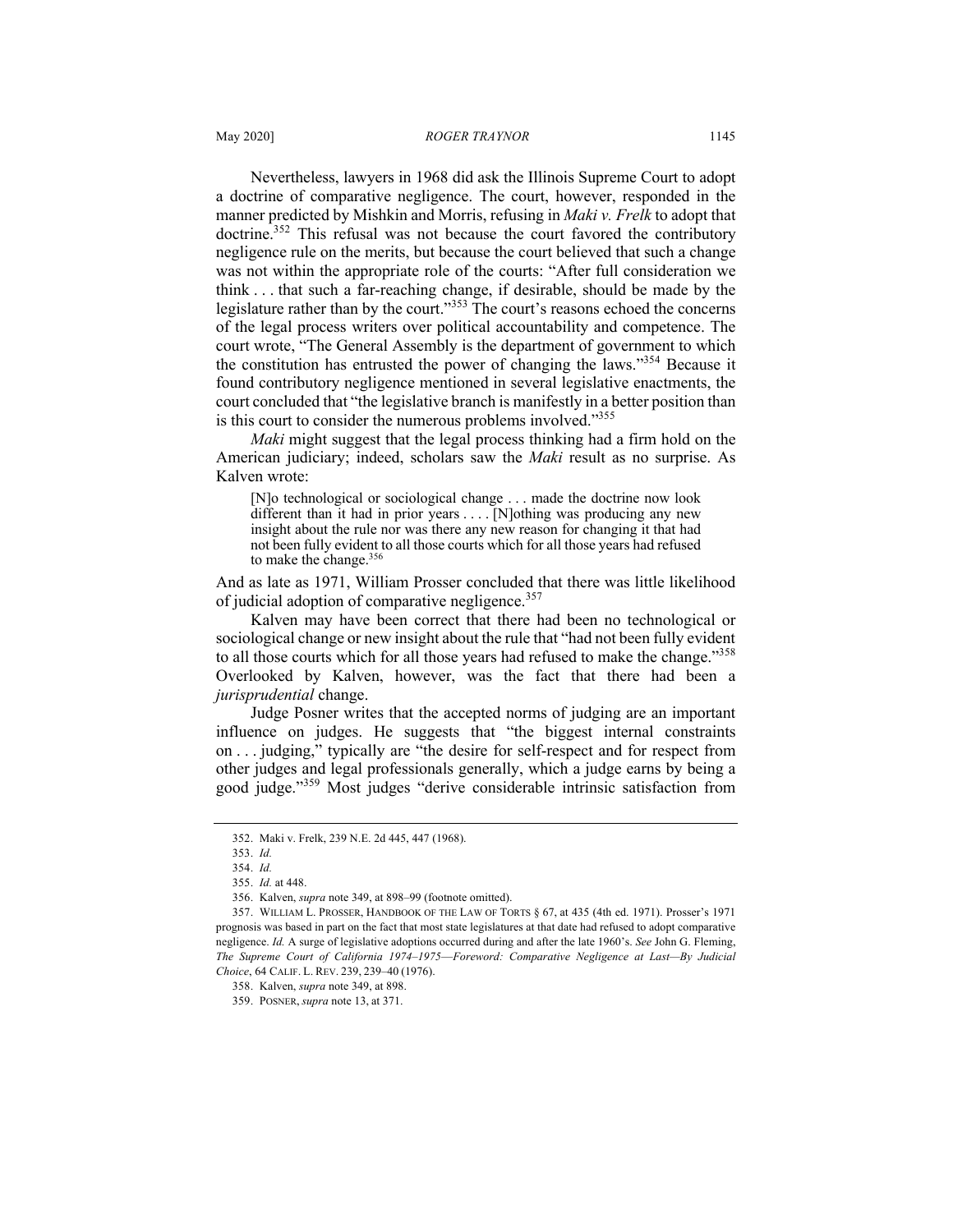Nevertheless, lawyers in 1968 did ask the Illinois Supreme Court to adopt a doctrine of comparative negligence. The court, however, responded in the manner predicted by Mishkin and Morris, refusing in *Maki v. Frelk* to adopt that doctrine.<sup>352</sup> This refusal was not because the court favored the contributory negligence rule on the merits, but because the court believed that such a change was not within the appropriate role of the courts: "After full consideration we think . . . that such a far-reaching change, if desirable, should be made by the legislature rather than by the court."<sup>353</sup> The court's reasons echoed the concerns of the legal process writers over political accountability and competence. The court wrote, "The General Assembly is the department of government to which the constitution has entrusted the power of changing the laws."354 Because it found contributory negligence mentioned in several legislative enactments, the court concluded that "the legislative branch is manifestly in a better position than is this court to consider the numerous problems involved."<sup>355</sup>

*Maki* might suggest that the legal process thinking had a firm hold on the American judiciary; indeed, scholars saw the *Maki* result as no surprise. As Kalven wrote:

[N]o technological or sociological change . . . made the doctrine now look different than it had in prior years . . . . [N]othing was producing any new insight about the rule nor was there any new reason for changing it that had not been fully evident to all those courts which for all those years had refused to make the change.<sup>356</sup>

And as late as 1971, William Prosser concluded that there was little likelihood of judicial adoption of comparative negligence.<sup>357</sup>

Kalven may have been correct that there had been no technological or sociological change or new insight about the rule that "had not been fully evident to all those courts which for all those years had refused to make the change."<sup>358</sup> Overlooked by Kalven, however, was the fact that there had been a *jurisprudential* change.

Judge Posner writes that the accepted norms of judging are an important influence on judges. He suggests that "the biggest internal constraints on . . . judging," typically are "the desire for self-respect and for respect from other judges and legal professionals generally, which a judge earns by being a good judge."<sup>359</sup> Most judges "derive considerable intrinsic satisfaction from

<sup>352.</sup> Maki v. Frelk, 239 N.E. 2d 445, 447 (1968).

<sup>353.</sup> *Id.* 354. *Id.*

<sup>355.</sup> *Id.* at 448.

<sup>356.</sup> Kalven, *supra* note 349, at 898–99 (footnote omitted).

<sup>357.</sup> WILLIAM L. PROSSER, HANDBOOK OF THE LAW OF TORTS § 67, at 435 (4th ed. 1971). Prosser's 1971 prognosis was based in part on the fact that most state legislatures at that date had refused to adopt comparative negligence. *Id.* A surge of legislative adoptions occurred during and after the late 1960's. *See* John G. Fleming, *The Supreme Court of California 1974–1975*—*Foreword: Comparative Negligence at Last—By Judicial Choice*, 64 CALIF. L. REV. 239, 239–40 (1976).

<sup>358.</sup> Kalven, *supra* note 349, at 898.

<sup>359.</sup> POSNER, *supra* note 13, at 371.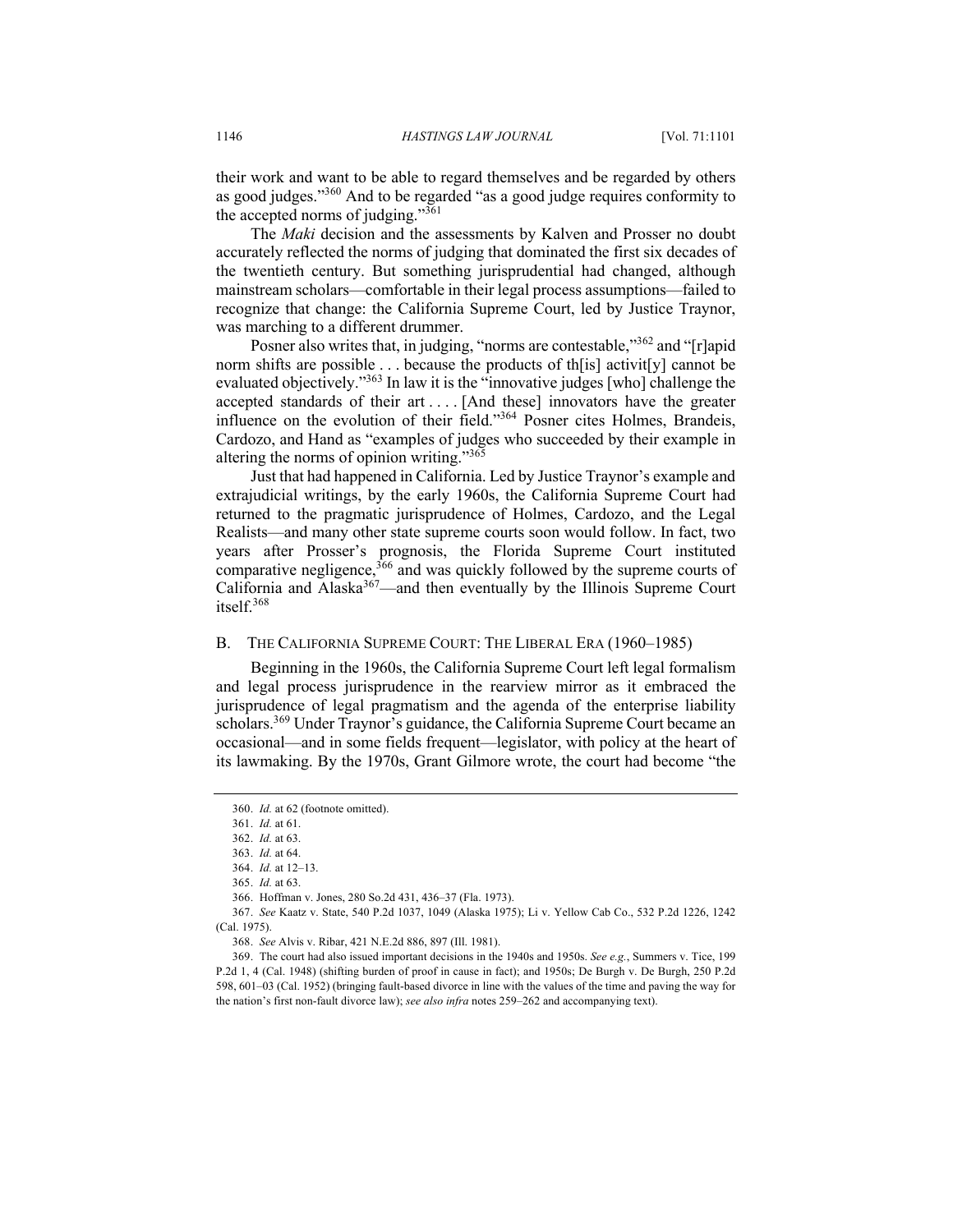their work and want to be able to regard themselves and be regarded by others as good judges."<sup>360</sup> And to be regarded "as a good judge requires conformity to the accepted norms of judging." $361$ 

The *Maki* decision and the assessments by Kalven and Prosser no doubt accurately reflected the norms of judging that dominated the first six decades of the twentieth century. But something jurisprudential had changed, although mainstream scholars—comfortable in their legal process assumptions—failed to recognize that change: the California Supreme Court, led by Justice Traynor, was marching to a different drummer.

Posner also writes that, in judging, "norms are contestable,"<sup>362</sup> and "[r]apid norm shifts are possible . . . because the products of th[is] activit[y] cannot be evaluated objectively."<sup>363</sup> In law it is the "innovative judges [who] challenge the accepted standards of their art . . . . [And these] innovators have the greater influence on the evolution of their field."364 Posner cites Holmes, Brandeis, Cardozo, and Hand as "examples of judges who succeeded by their example in altering the norms of opinion writing."365

Just that had happened in California. Led by Justice Traynor's example and extrajudicial writings, by the early 1960s, the California Supreme Court had returned to the pragmatic jurisprudence of Holmes, Cardozo, and the Legal Realists—and many other state supreme courts soon would follow. In fact, two years after Prosser's prognosis, the Florida Supreme Court instituted comparative negligence,<sup>366</sup> and was quickly followed by the supreme courts of California and Alaska<sup>367</sup>—and then eventually by the Illinois Supreme Court itself.<sup>368</sup>

### B. THE CALIFORNIA SUPREME COURT: THE LIBERAL ERA (1960–1985)

Beginning in the 1960s, the California Supreme Court left legal formalism and legal process jurisprudence in the rearview mirror as it embraced the jurisprudence of legal pragmatism and the agenda of the enterprise liability scholars.<sup>369</sup> Under Traynor's guidance, the California Supreme Court became an occasional—and in some fields frequent—legislator, with policy at the heart of its lawmaking. By the 1970s, Grant Gilmore wrote, the court had become "the

<sup>360.</sup> *Id.* at 62 (footnote omitted).

<sup>361.</sup> *Id.* at 61.

<sup>362.</sup> *Id.* at 63.

<sup>363.</sup> *Id.* at 64.

<sup>364.</sup> *Id.* at 12–13.

<sup>365.</sup> *Id.* at 63.

<sup>366.</sup> Hoffman v. Jones, 280 So.2d 431, 436–37 (Fla. 1973).

<sup>367.</sup> *See* Kaatz v. State, 540 P.2d 1037, 1049 (Alaska 1975); Li v. Yellow Cab Co., 532 P.2d 1226, 1242 (Cal. 1975).

<sup>368.</sup> *See* Alvis v. Ribar, 421 N.E.2d 886, 897 (Ill. 1981).

<sup>369.</sup> The court had also issued important decisions in the 1940s and 1950s. *See e.g.*, Summers v. Tice, 199 P.2d 1, 4 (Cal. 1948) (shifting burden of proof in cause in fact); and 1950s; De Burgh v. De Burgh, 250 P.2d 598, 601–03 (Cal. 1952) (bringing fault-based divorce in line with the values of the time and paving the way for the nation's first non-fault divorce law); *see also infra* notes 259–262 and accompanying text).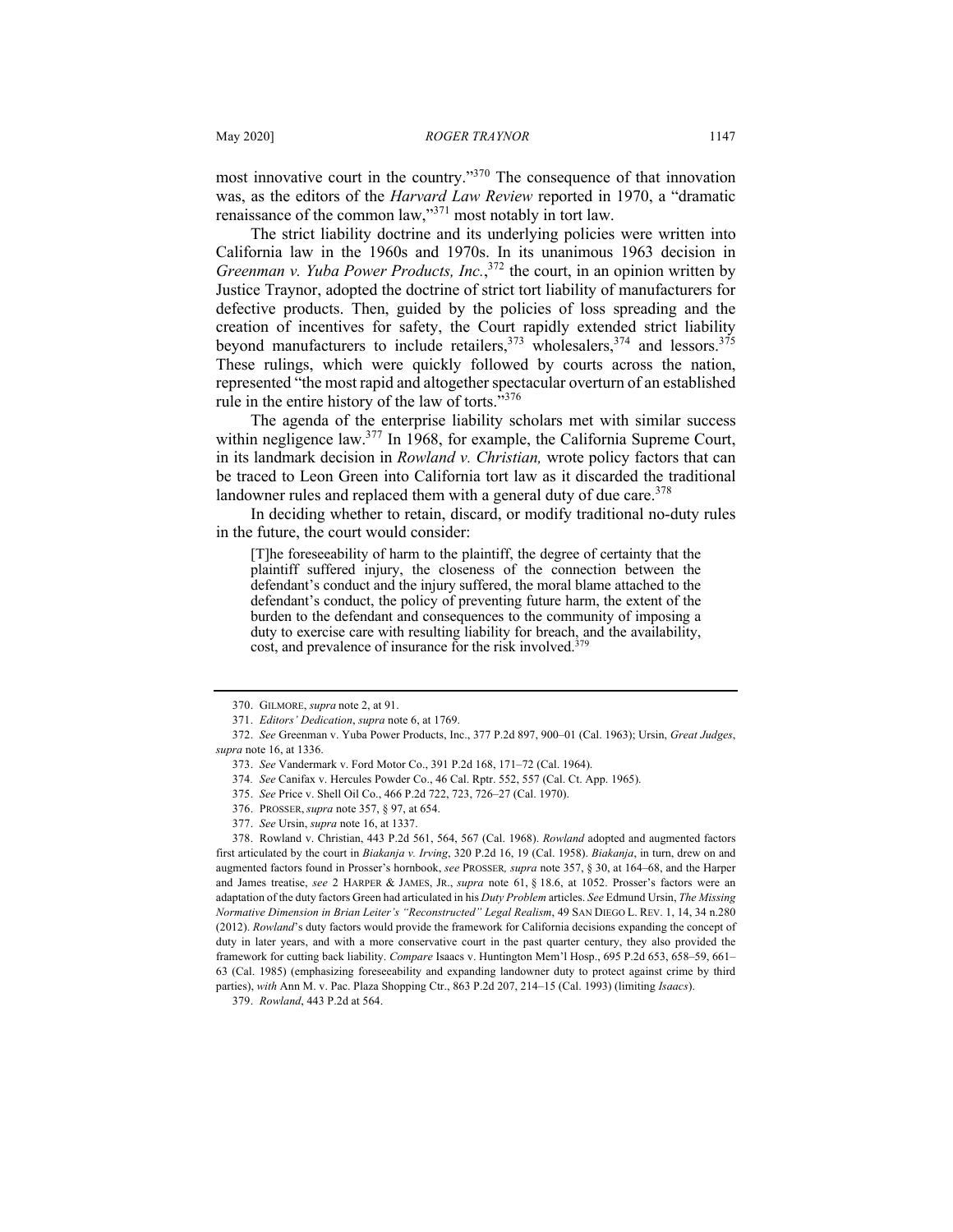most innovative court in the country."<sup>370</sup> The consequence of that innovation was, as the editors of the *Harvard Law Review* reported in 1970, a "dramatic renaissance of the common law,"<sup>371</sup> most notably in tort law.

The strict liability doctrine and its underlying policies were written into California law in the 1960s and 1970s. In its unanimous 1963 decision in *Greenman v. Yuba Power Products, Inc.*, <sup>372</sup> the court, in an opinion written by Justice Traynor, adopted the doctrine of strict tort liability of manufacturers for defective products. Then, guided by the policies of loss spreading and the creation of incentives for safety, the Court rapidly extended strict liability beyond manufacturers to include retailers,  $373 \frac{1}{100}$  wholesalers,  $374 \text{ and }$  lessors.  $375 \text{ m}$ These rulings, which were quickly followed by courts across the nation, represented "the most rapid and altogether spectacular overturn of an established rule in the entire history of the law of torts. $\cdot^{3376}$ 

The agenda of the enterprise liability scholars met with similar success within negligence law.<sup>377</sup> In 1968, for example, the California Supreme Court, in its landmark decision in *Rowland v. Christian,* wrote policy factors that can be traced to Leon Green into California tort law as it discarded the traditional landowner rules and replaced them with a general duty of due care.<sup>378</sup>

In deciding whether to retain, discard, or modify traditional no-duty rules in the future, the court would consider:

[T]he foreseeability of harm to the plaintiff, the degree of certainty that the plaintiff suffered injury, the closeness of the connection between the defendant's conduct and the injury suffered, the moral blame attached to the defendant's conduct, the policy of preventing future harm, the extent of the burden to the defendant and consequences to the community of imposing a duty to exercise care with resulting liability for breach, and the availability, cost, and prevalence of insurance for the risk involved.<sup>379</sup>

378. Rowland v. Christian, 443 P.2d 561, 564, 567 (Cal. 1968). *Rowland* adopted and augmented factors first articulated by the court in *Biakanja v. Irving*, 320 P.2d 16, 19 (Cal. 1958). *Biakanja*, in turn, drew on and augmented factors found in Prosser's hornbook, *see* PROSSER*, supra* note 357, § 30, at 164–68, and the Harper and James treatise, *see* 2 HARPER & JAMES, JR., *supra* note 61, § 18.6, at 1052. Prosser's factors were an adaptation of the duty factors Green had articulated in his *Duty Problem* articles. *See* Edmund Ursin, *The Missing Normative Dimension in Brian Leiter's "Reconstructed" Legal Realism*, 49 SAN DIEGO L. REV. 1, 14, 34 n.280 (2012). *Rowland*'s duty factors would provide the framework for California decisions expanding the concept of duty in later years, and with a more conservative court in the past quarter century, they also provided the framework for cutting back liability. *Compare* Isaacs v. Huntington Mem'l Hosp., 695 P.2d 653, 658–59, 661– 63 (Cal. 1985) (emphasizing foreseeability and expanding landowner duty to protect against crime by third parties), *with* Ann M. v. Pac. Plaza Shopping Ctr., 863 P.2d 207, 214–15 (Cal. 1993) (limiting *Isaacs*).

379. *Rowland*, 443 P.2d at 564.

<sup>370.</sup> GILMORE, *supra* note 2, at 91.

<sup>371.</sup> *Editors' Dedication*, *supra* note 6, at 1769.

<sup>372.</sup> *See* Greenman v. Yuba Power Products, Inc., 377 P.2d 897, 900–01 (Cal. 1963); Ursin, *Great Judges*, *supra* note 16, at 1336.

<sup>373.</sup> *See* Vandermark v. Ford Motor Co., 391 P.2d 168, 171–72 (Cal. 1964).

<sup>374</sup>*. See* Canifax v. Hercules Powder Co., 46 Cal. Rptr. 552, 557 (Cal. Ct. App. 1965).

<sup>375.</sup> *See* Price v. Shell Oil Co., 466 P.2d 722, 723, 726–27 (Cal. 1970).

<sup>376.</sup> PROSSER, *supra* note 357, § 97, at 654.

<sup>377.</sup> *See* Ursin, *supra* note 16, at 1337.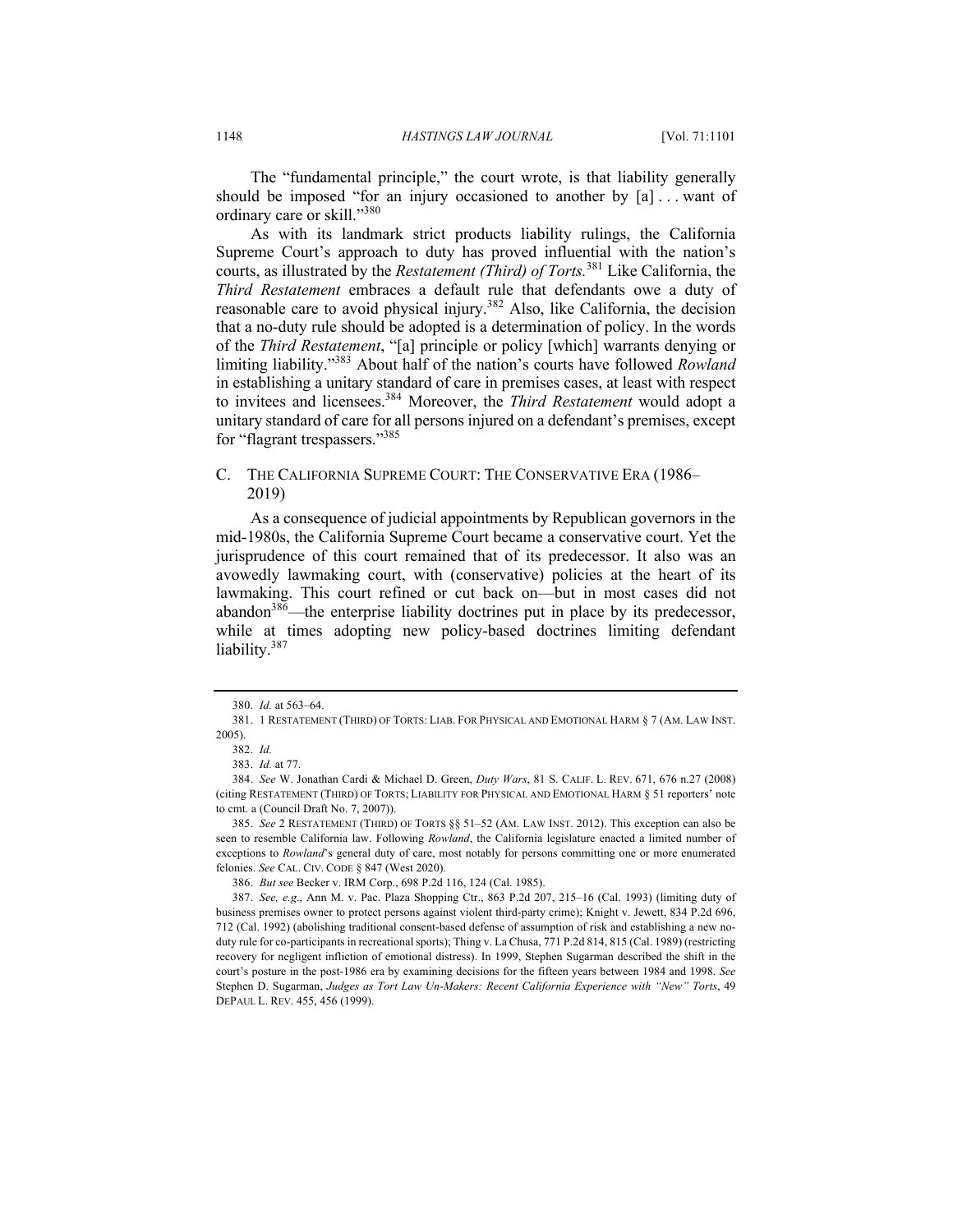The "fundamental principle," the court wrote, is that liability generally should be imposed "for an injury occasioned to another by  $[a]$ ... want of ordinary care or skill."380

As with its landmark strict products liability rulings, the California Supreme Court's approach to duty has proved influential with the nation's courts, as illustrated by the *Restatement (Third) of Torts.*<sup>381</sup> Like California, the *Third Restatement* embraces a default rule that defendants owe a duty of reasonable care to avoid physical injury.<sup>382</sup> Also, like California, the decision that a no-duty rule should be adopted is a determination of policy. In the words of the *Third Restatement*, "[a] principle or policy [which] warrants denying or limiting liability."383 About half of the nation's courts have followed *Rowland* in establishing a unitary standard of care in premises cases, at least with respect to invitees and licensees.384 Moreover, the *Third Restatement* would adopt a unitary standard of care for all persons injured on a defendant's premises, except for "flagrant trespassers."<sup>385</sup>

## C. THE CALIFORNIA SUPREME COURT: THE CONSERVATIVE ERA (1986– 2019)

As a consequence of judicial appointments by Republican governors in the mid-1980s, the California Supreme Court became a conservative court. Yet the jurisprudence of this court remained that of its predecessor. It also was an avowedly lawmaking court, with (conservative) policies at the heart of its lawmaking. This court refined or cut back on—but in most cases did not abandon<sup>386</sup>—the enterprise liability doctrines put in place by its predecessor, while at times adopting new policy-based doctrines limiting defendant liability.<sup>387</sup>

<sup>380.</sup> *Id.* at 563–64.

<sup>381.</sup> 1 RESTATEMENT (THIRD) OF TORTS: LIAB. FOR PHYSICAL AND EMOTIONAL HARM § 7 (AM. LAW INST. 2005).

<sup>382.</sup> *Id.*

<sup>383.</sup> *Id.* at 77.

<sup>384.</sup> *See* W. Jonathan Cardi & Michael D. Green, *Duty Wars*, 81 S. CALIF. L. REV. 671, 676 n.27 (2008) (citing RESTATEMENT (THIRD) OF TORTS; LIABILITY FOR PHYSICAL AND EMOTIONAL HARM § 51 reporters' note to cmt. a (Council Draft No. 7, 2007)).

<sup>385.</sup> *See* 2 RESTATEMENT (THIRD) OF TORTS §§ 51–52 (AM. LAW INST. 2012). This exception can also be seen to resemble California law. Following *Rowland*, the California legislature enacted a limited number of exceptions to *Rowland*'s general duty of care, most notably for persons committing one or more enumerated felonies. *See* CAL. CIV. CODE § 847 (West 2020).

<sup>386.</sup> *But see* Becker v. IRM Corp., 698 P.2d 116, 124 (Cal. 1985).

<sup>387.</sup> *See, e.g*., Ann M. v. Pac. Plaza Shopping Ctr., 863 P.2d 207, 215–16 (Cal. 1993) (limiting duty of business premises owner to protect persons against violent third-party crime); Knight v. Jewett, 834 P.2d 696, 712 (Cal. 1992) (abolishing traditional consent-based defense of assumption of risk and establishing a new noduty rule for co-participants in recreational sports); Thing v. La Chusa, 771 P.2d 814, 815 (Cal. 1989) (restricting recovery for negligent infliction of emotional distress). In 1999, Stephen Sugarman described the shift in the court's posture in the post-1986 era by examining decisions for the fifteen years between 1984 and 1998. *See* Stephen D. Sugarman, *Judges as Tort Law Un-Makers: Recent California Experience with "New" Torts*, 49 DEPAUL L. REV. 455, 456 (1999).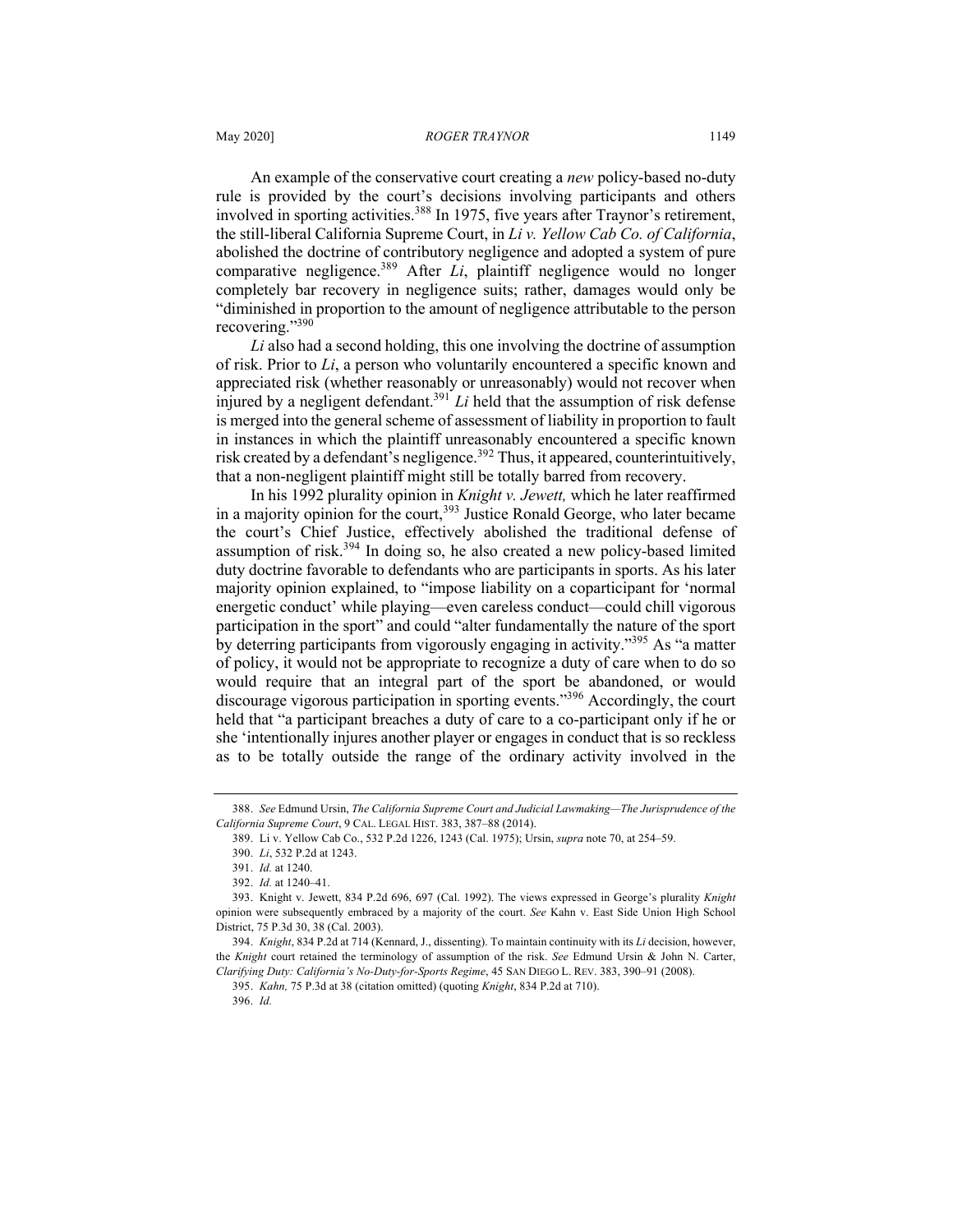An example of the conservative court creating a *new* policy-based no-duty rule is provided by the court's decisions involving participants and others involved in sporting activities.<sup>388</sup> In 1975, five years after Traynor's retirement, the still-liberal California Supreme Court, in *Li v. Yellow Cab Co. of California*, abolished the doctrine of contributory negligence and adopted a system of pure comparative negligence.<sup>389</sup> After *Li*, plaintiff negligence would no longer completely bar recovery in negligence suits; rather, damages would only be "diminished in proportion to the amount of negligence attributable to the person recovering."390

*Li* also had a second holding, this one involving the doctrine of assumption of risk. Prior to *Li*, a person who voluntarily encountered a specific known and appreciated risk (whether reasonably or unreasonably) would not recover when injured by a negligent defendant.391 *Li* held that the assumption of risk defense is merged into the general scheme of assessment of liability in proportion to fault in instances in which the plaintiff unreasonably encountered a specific known risk created by a defendant's negligence.<sup>392</sup> Thus, it appeared, counterintuitively, that a non-negligent plaintiff might still be totally barred from recovery.

In his 1992 plurality opinion in *Knight v. Jewett,* which he later reaffirmed in a majority opinion for the court,<sup>393</sup> Justice Ronald George, who later became the court's Chief Justice, effectively abolished the traditional defense of assumption of risk.<sup>394</sup> In doing so, he also created a new policy-based limited duty doctrine favorable to defendants who are participants in sports. As his later majority opinion explained, to "impose liability on a coparticipant for 'normal energetic conduct' while playing—even careless conduct—could chill vigorous participation in the sport" and could "alter fundamentally the nature of the sport by deterring participants from vigorously engaging in activity."<sup>395</sup> As "a matter of policy, it would not be appropriate to recognize a duty of care when to do so would require that an integral part of the sport be abandoned, or would discourage vigorous participation in sporting events."<sup>396</sup> Accordingly, the court held that "a participant breaches a duty of care to a co-participant only if he or she 'intentionally injures another player or engages in conduct that is so reckless as to be totally outside the range of the ordinary activity involved in the

<sup>388.</sup> *See* Edmund Ursin, *The California Supreme Court and Judicial Lawmaking—The Jurisprudence of the California Supreme Court*, 9 CAL. LEGAL HIST. 383, 387–88 (2014).

<sup>389.</sup> Li v. Yellow Cab Co., 532 P.2d 1226, 1243 (Cal. 1975); Ursin, *supra* note 70, at 254–59.

<sup>390.</sup> *Li*, 532 P.2d at 1243.

<sup>391.</sup> *Id.* at 1240.

<sup>392.</sup> *Id.* at 1240–41.

<sup>393.</sup> Knight v. Jewett, 834 P.2d 696, 697 (Cal. 1992). The views expressed in George's plurality *Knight*  opinion were subsequently embraced by a majority of the court. *See* Kahn v. East Side Union High School District, 75 P.3d 30, 38 (Cal. 2003).

<sup>394.</sup> *Knight*, 834 P.2d at 714 (Kennard, J., dissenting). To maintain continuity with its *Li* decision, however, the *Knight* court retained the terminology of assumption of the risk. *See* Edmund Ursin & John N. Carter, *Clarifying Duty: California's No-Duty-for-Sports Regime*, 45 SAN DIEGO L. REV. 383, 390–91 (2008).

<sup>395.</sup> *Kahn,* 75 P.3d at 38 (citation omitted) (quoting *Knight*, 834 P.2d at 710).

<sup>396.</sup> *Id.*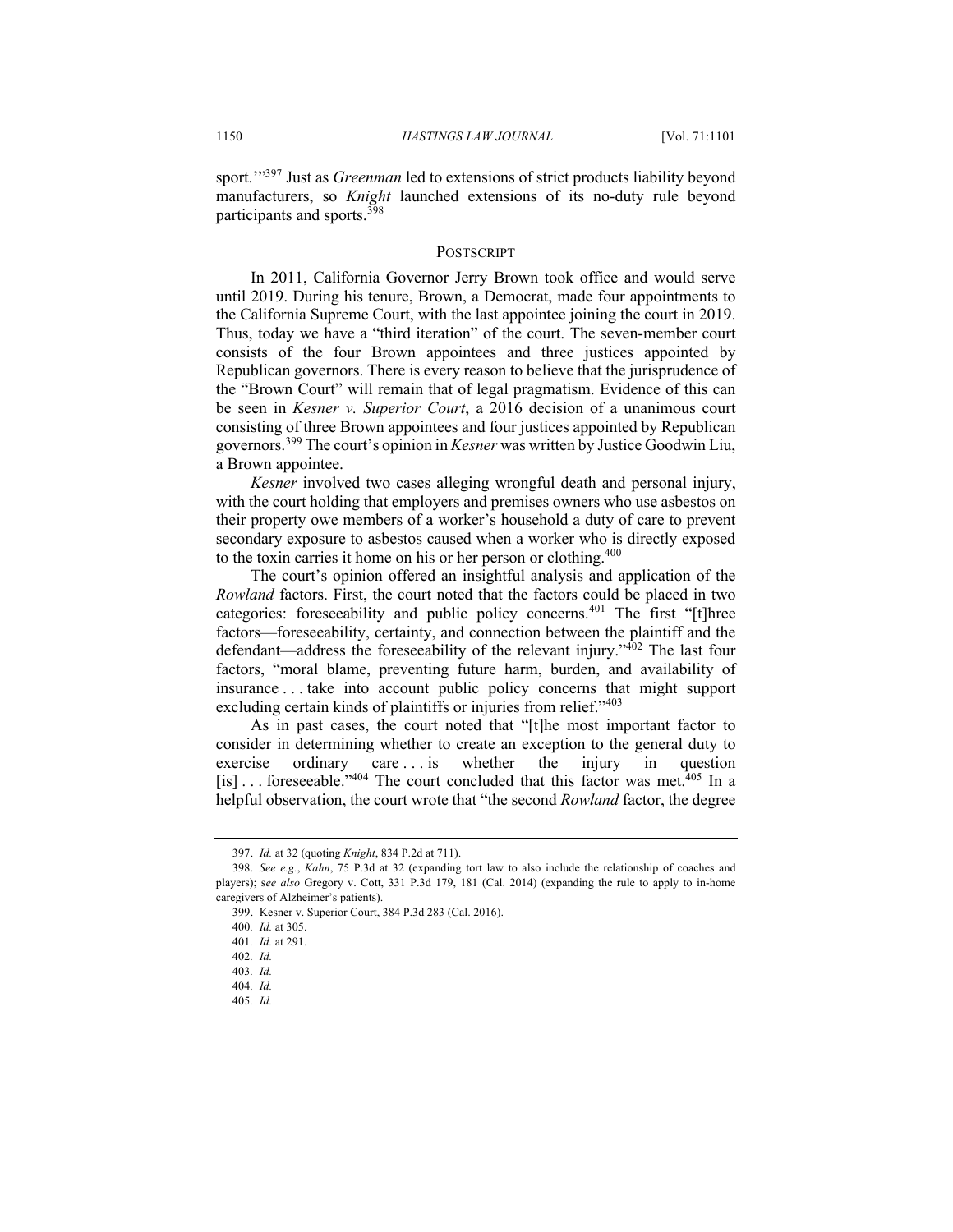sport.'"397 Just as *Greenman* led to extensions of strict products liability beyond manufacturers, so *Knight* launched extensions of its no-duty rule beyond participants and sports.<sup>398</sup>

#### **POSTSCRIPT**

In 2011, California Governor Jerry Brown took office and would serve until 2019. During his tenure, Brown, a Democrat, made four appointments to the California Supreme Court, with the last appointee joining the court in 2019. Thus, today we have a "third iteration" of the court. The seven-member court consists of the four Brown appointees and three justices appointed by Republican governors. There is every reason to believe that the jurisprudence of the "Brown Court" will remain that of legal pragmatism. Evidence of this can be seen in *Kesner v. Superior Court*, a 2016 decision of a unanimous court consisting of three Brown appointees and four justices appointed by Republican governors.<sup>399</sup> The court's opinion in *Kesner* was written by Justice Goodwin Liu, a Brown appointee.

*Kesner* involved two cases alleging wrongful death and personal injury, with the court holding that employers and premises owners who use asbestos on their property owe members of a worker's household a duty of care to prevent secondary exposure to asbestos caused when a worker who is directly exposed to the toxin carries it home on his or her person or clothing.<sup>400</sup>

The court's opinion offered an insightful analysis and application of the *Rowland* factors. First, the court noted that the factors could be placed in two categories: foreseeability and public policy concerns.<sup>401</sup> The first "[t]hree factors—foreseeability, certainty, and connection between the plaintiff and the defendant—address the foreseeability of the relevant injury." $402$  The last four factors, "moral blame, preventing future harm, burden, and availability of insurance . . . take into account public policy concerns that might support excluding certain kinds of plaintiffs or injuries from relief."<sup>403</sup>

As in past cases, the court noted that "[t]he most important factor to consider in determining whether to create an exception to the general duty to exercise ordinary care ... is whether the injury in question exercise ordinary care ... is whether the injury in question [is]  $\ldots$  foreseeable."<sup>404</sup> The court concluded that this factor was met.<sup>405</sup> In a helpful observation, the court wrote that "the second *Rowland* factor, the degree

<sup>397.</sup> *Id.* at 32 (quoting *Knight*, 834 P.2d at 711).

<sup>398.</sup> *See e.g.*, *Kahn*, 75 P.3d at 32 (expanding tort law to also include the relationship of coaches and players); s*ee also* Gregory v. Cott, 331 P.3d 179, 181 (Cal. 2014) (expanding the rule to apply to in-home caregivers of Alzheimer's patients).

<sup>399.</sup> Kesner v. Superior Court, 384 P.3d 283 (Cal. 2016).

<sup>400</sup>*. Id.* at 305.

<sup>401</sup>*. Id.* at 291.

<sup>402</sup>*. Id.*

<sup>403</sup>*. Id.*

<sup>404</sup>*. Id.* 405*. Id.*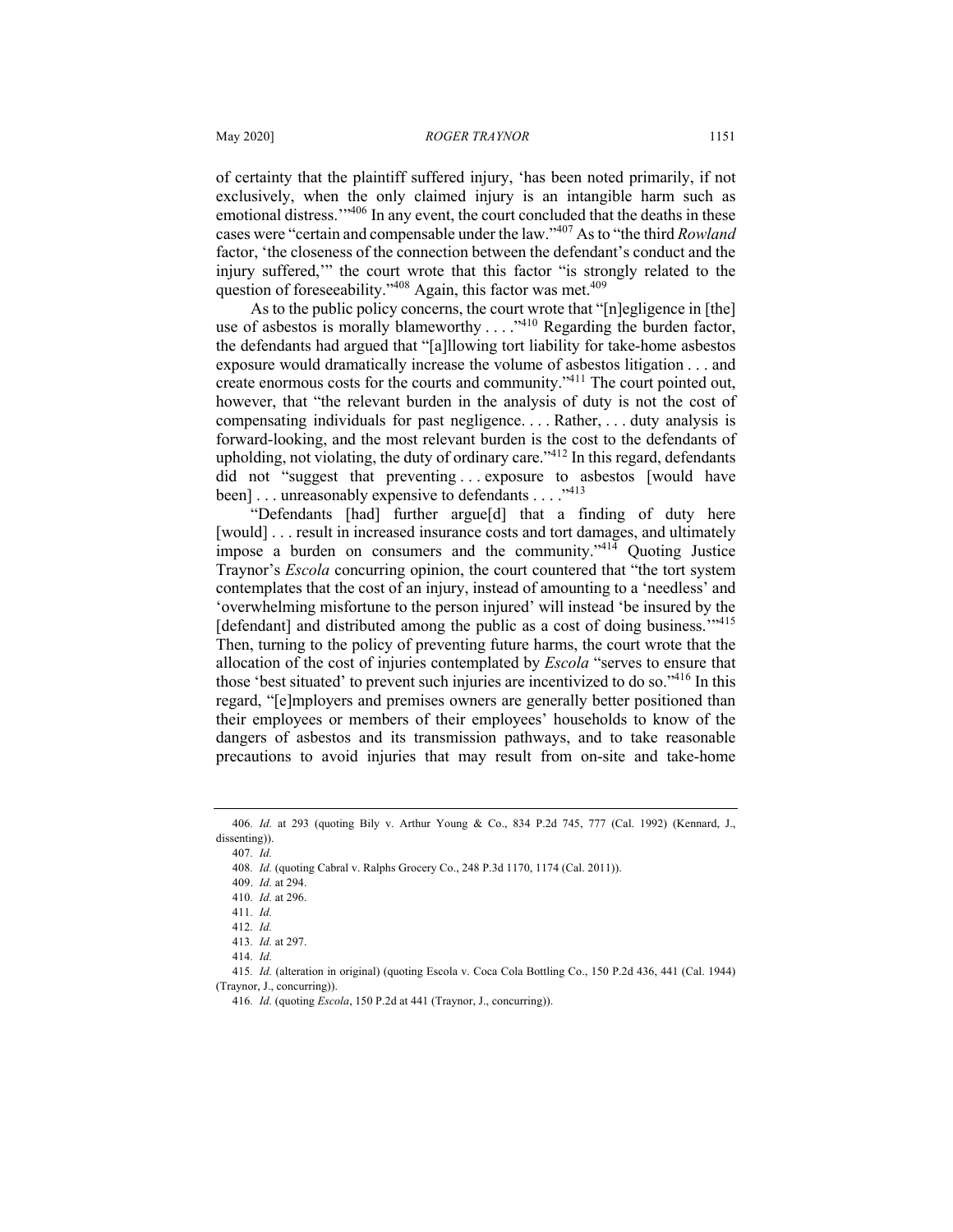of certainty that the plaintiff suffered injury, 'has been noted primarily, if not exclusively, when the only claimed injury is an intangible harm such as emotional distress."<sup>406</sup> In any event, the court concluded that the deaths in these cases were "certain and compensable under the law."<sup>407</sup> As to "the third *Rowland*  factor, 'the closeness of the connection between the defendant's conduct and the injury suffered,'" the court wrote that this factor "is strongly related to the question of foreseeability."<sup>408</sup> Again, this factor was met.<sup>409</sup>

As to the public policy concerns, the court wrote that "[n]egligence in [the] use of asbestos is morally blameworthy  $\dots$ <sup>,410</sup> Regarding the burden factor, the defendants had argued that "[a]llowing tort liability for take-home asbestos exposure would dramatically increase the volume of asbestos litigation . . . and create enormous costs for the courts and community."<sup>411</sup> The court pointed out, however, that "the relevant burden in the analysis of duty is not the cost of compensating individuals for past negligence. . . . Rather, . . . duty analysis is forward-looking, and the most relevant burden is the cost to the defendants of upholding, not violating, the duty of ordinary care.<sup> $3412$ </sup> In this regard, defendants did not "suggest that preventing ... exposure to asbestos [would have been] . . . unreasonably expensive to defendants . . . . "413

"Defendants [had] further argue[d] that a finding of duty here [would] . . . result in increased insurance costs and tort damages, and ultimately impose a burden on consumers and the community." $414}$  Quoting Justice Traynor's *Escola* concurring opinion, the court countered that "the tort system contemplates that the cost of an injury, instead of amounting to a 'needless' and 'overwhelming misfortune to the person injured' will instead 'be insured by the [defendant] and distributed among the public as a cost of doing business."<sup>415</sup> Then, turning to the policy of preventing future harms, the court wrote that the allocation of the cost of injuries contemplated by *Escola* "serves to ensure that those 'best situated' to prevent such injuries are incentivized to do so."416 In this regard, "[e]mployers and premises owners are generally better positioned than their employees or members of their employees' households to know of the dangers of asbestos and its transmission pathways, and to take reasonable precautions to avoid injuries that may result from on-site and take-home

407*. Id.*

<sup>406</sup>*. Id.* at 293 (quoting Bily v. Arthur Young & Co., 834 P.2d 745, 777 (Cal. 1992) (Kennard, J., dissenting)).

<sup>408</sup>*. Id.* (quoting Cabral v. Ralphs Grocery Co., 248 P.3d 1170, 1174 (Cal. 2011)).

<sup>409.</sup> *Id.* at 294.

<sup>410</sup>*. Id.* at 296.

<sup>411</sup>*. Id.*

<sup>412</sup>*. Id.*

<sup>413</sup>*. Id.* at 297.

<sup>414</sup>*. Id.*

<sup>415</sup>*. Id.* (alteration in original) (quoting Escola v. Coca Cola Bottling Co., 150 P.2d 436, 441 (Cal. 1944) (Traynor, J., concurring)).

<sup>416</sup>*. Id.* (quoting *Escola*, 150 P.2d at 441 (Traynor, J., concurring)).